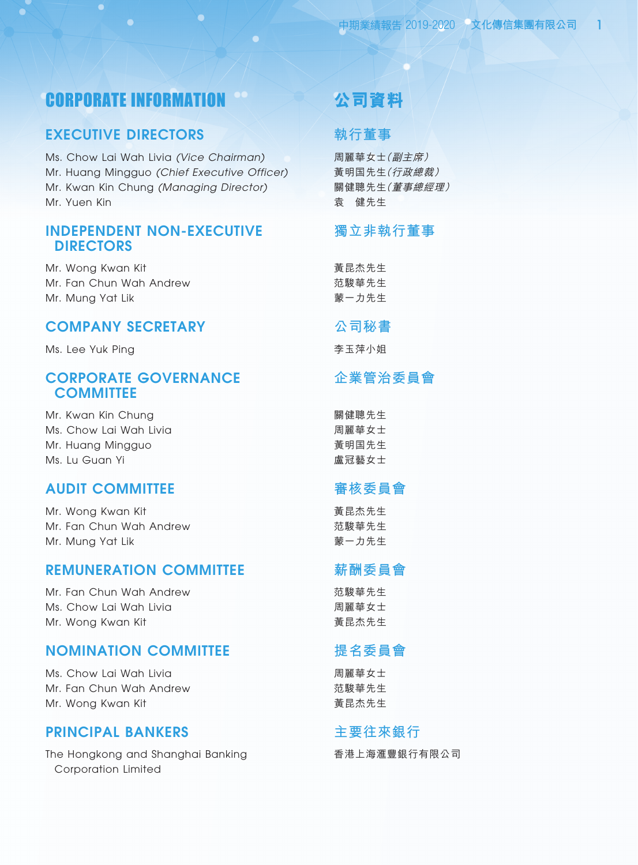# CORPORATE INFORMATION

## EXECUTIVE DIRECTORS

Ms. Chow Lai Wah Livia *(Vice Chairman)* Mr. Huang Mingguo *(Chief Executive Officer)* Mr. Kwan Kin Chung *(Managing Director)* Mr. Yuen Kin

### INDEPENDENT NON-EXECUTIVE DIRECTORS

Mr. Wong Kwan Kit Mr. Fan Chun Wah Andrew Mr. Mung Yat Lik

## COMPANY SECRETARY

Ms. Lee Yuk Ping

## CORPORATE GOVERNANCE **COMMITTEE**

Mr. Kwan Kin Chung Ms. Chow Lai Wah Livia Mr. Huang Mingguo Ms. Lu Guan Yi

## AUDIT COMMITTEE

Mr. Wong Kwan Kit Mr. Fan Chun Wah Andrew Mr. Mung Yat Lik

## REMUNERATION COMMITTEE

Mr. Fan Chun Wah Andrew Ms. Chow Lai Wah Livia Mr. Wong Kwan Kit

## NOMINATION COMMITTEE

Ms. Chow Lai Wah Livia Mr. Fan Chun Wah Andrew Mr. Wong Kwan Kit

## PRINCIPAL BANKERS

The Hongkong and Shanghai Banking Corporation Limited

# **公司資料**

## **執行董事**

周麗華女士(副主席) 黃明國先生(行政總裁) 關健聰先生(董事總經理) 袁 健先生

## **獨立非執行董事**

黃昆杰先生 范駿華先生 蒙一力先生

### **公司秘書**

李玉萍小姐

## **企業管治委員會**

關健聰先生 周麗華女士 黃明國先生 盧冠藝女士

## **審核委員會**

黃昆杰先生 范駿華先生 蒙一力先生

## **薪酬委員會**

范駿華先生 周麗華女士 黃昆杰先生

# **提名委員會**

周麗華女士 范駿華先生 黃昆杰先生

## **主要往來銀行**

香港上海滙豐銀行有限公司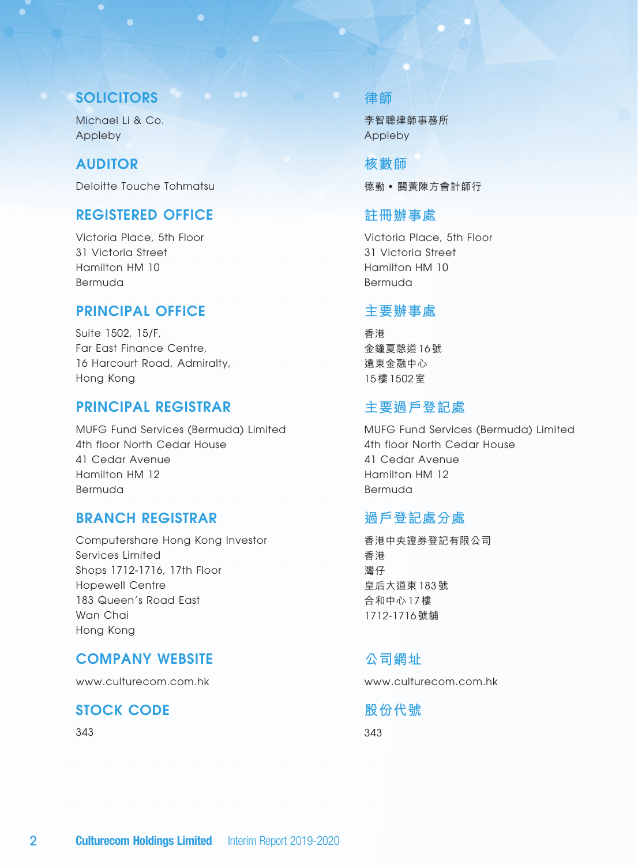## **SOLICITORS**

Michael Li & Co. Appleby

### AUDITOR

Deloitte Touche Tohmatsu

## REGISTERED OFFICE

Victoria Place, 5th Floor 31 Victoria Street Hamilton HM 10 Bermuda

## PRINCIPAL OFFICE

Suite 1502, 15/F, Far East Finance Centre, 16 Harcourt Road, Admiralty, Hong Kong

### PRINCIPAL REGISTRAR

MUFG Fund Services (Bermuda) Limited 4th floor North Cedar House 41 Cedar Avenue Hamilton HM 12 Bermuda

## BRANCH REGISTRAR

Computershare Hong Kong Investor Services Limited Shops 1712-1716, 17th Floor Hopewell Centre 183 Queen's Road East Wan Chai Hong Kong

## COMPANY WEBSITE

www.culturecom.com.hk

# STOCK CODE

343

## **律師**

李智聰律師事務所 Appleby

**核數師** 德勤 • 關黃陳方會計師行

## **註冊辦事處**

Victoria Place, 5th Floor 31 Victoria Street Hamilton HM 10 Bermuda

## **主要辦事處**

香港 金鐘夏愨道 16 號 遠東金融中心 15 樓 1502 室

### **主要過戶登記處**

MUFG Fund Services (Bermuda) Limited 4th floor North Cedar House 41 Cedar Avenue Hamilton HM 12 Bermuda

## **過戶登記處分處**

香港中央證券登記有限公司 香港 灣仔 皇后大道東 183 號 合和中心 17 樓 1712-1716 號舖

## **公司網址**

www.culturecom.com.hk

**股份代號**

343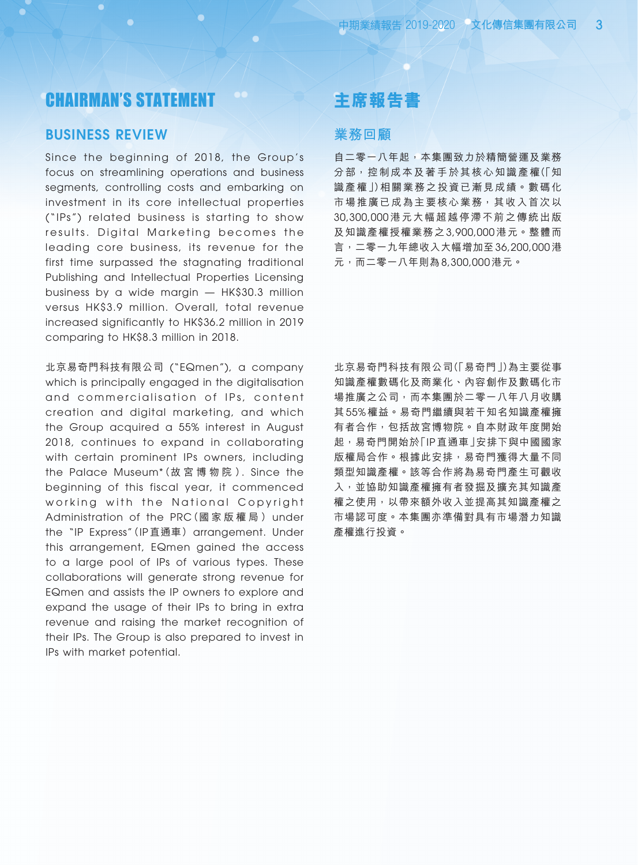# CHAIRMAN'S STATEMENT

### BUSINESS REVIEW

Since the beginning of 2018, the Group's focus on streamlining operations and business segments, controlling costs and embarking on investment in its core intellectual properties ("IPs") related business is starting to show results. Digital Marketing becomes the leading core business, its revenue for the first time surpassed the stagnating traditional Publishing and Intellectual Properties Licensing business by a wide margin — HK\$30.3 million versus HK\$3.9 million. Overall, total revenue increased significantly to HK\$36.2 million in 2019 comparing to HK\$8.3 million in 2018.

北京易奇門科技有限公司 ("EQmen"), a company which is principally engaged in the digitalisation and commercialisation of IPs, content creation and digital marketing, and which the Group acquired a 55% interest in August 2018, continues to expand in collaborating with certain prominent IPs owners, including the Palace Museum\*(故 宮 博 物 院 ). Since the beginning of this fiscal year, it commenced working with the National Copyright Administration of the PRC(國 家 版 權 局 ) under the "IP Express"(IP 直通車) arrangement. Under this arrangement, EQmen gained the access to a large pool of IPs of various types. These collaborations will generate strong revenue for EQmen and assists the IP owners to explore and expand the usage of their IPs to bring in extra revenue and raising the market recognition of their IPs. The Group is also prepared to invest in IPs with market potential.

# **主席報告書**

### **業務回顧**

自二零一八年起,本集團致力於精簡營運及業務 分部,控制成本及著手於其核心知識產權(「知 識產權」)相關業務之投資已漸見成績。數碼化 市場推廣已成為主要核心業務,其收入首次以 30,300,000 港元大幅超越停滯不前之傳統出版 及知識產權授權業務之 3,900,000 港元。整體而 言,二零一九年總收入大幅增加至 36,200,000 港 元,而二零一八年則為 8,300,000 港元。

北京易奇門科技有限公司(「易奇門」)為主要從事 知識產權數碼化及商業化、內容創作及數碼化市 場推廣之公司,而本集團於二零一八年八月收購 其 55% 權益。易奇門繼續與若干知名知識產權擁 有者合作,包括故宮博物院。自本財政年度開始 起,易奇門開始於「IP 直通車」安排下與中國國家 版權局合作。根據此安排,易奇門獲得大量不同 類型知識產權。該等合作將為易奇門產生可觀收 入,並協助知識產權擁有者發掘及擴充其知識產 權之使用,以帶來額外收入並提高其知識產權之 市場認可度。本集團亦準備對具有市場潛力知識 產權進行投資。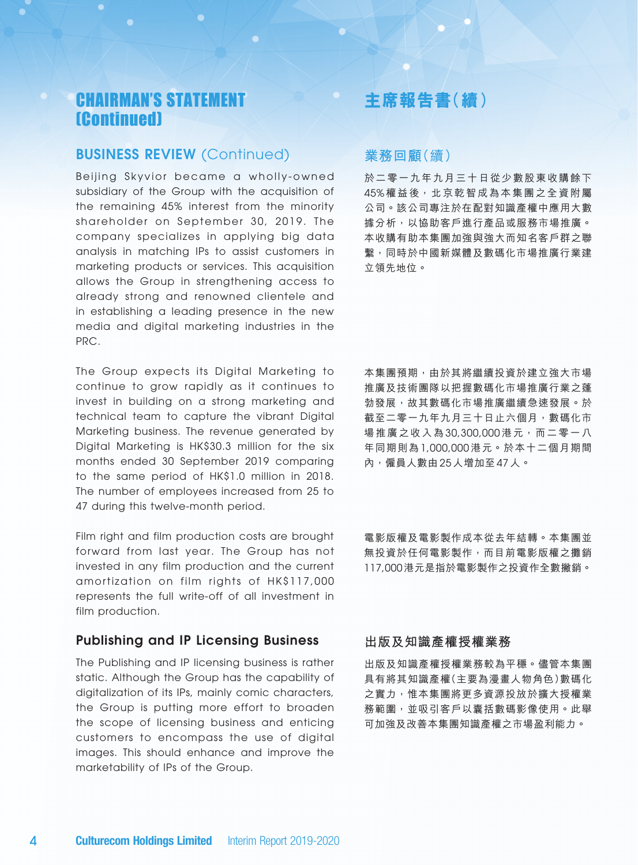# CHAIRMAN'S STATEMENT (Continued)

## BUSINESS REVIEW (Continued)

Beijing Skyvior became a wholly-owned subsidiary of the Group with the acquisition of the remaining 45% interest from the minority shareholder on September 30, 2019. The company specializes in applying big data analysis in matching IPs to assist customers in marketing products or services. This acquisition allows the Group in strengthening access to already strong and renowned clientele and in establishing a leading presence in the new media and digital marketing industries in the PRC.

The Group expects its Digital Marketing to continue to grow rapidly as it continues to invest in building on a strong marketing and technical team to capture the vibrant Digital Marketing business. The revenue generated by Digital Marketing is HK\$30.3 million for the six months ended 30 September 2019 comparing to the same period of HK\$1.0 million in 2018. The number of employees increased from 25 to 47 during this twelve-month period.

Film right and film production costs are brought forward from last year. The Group has not invested in any film production and the current amortization on film rights of HK\$117,000 represents the full write-off of all investment in film production.

### Publishing and IP Licensing Business

The Publishing and IP licensing business is rather static. Although the Group has the capability of digitalization of its IPs, mainly comic characters, the Group is putting more effort to broaden the scope of licensing business and enticing customers to encompass the use of digital images. This should enhance and improve the marketability of IPs of the Group.

## **主席報告書(續)**

### **業務回顧**(續)

於二零一九年九月三十日從少數股東收購餘下 45% 權益後, 北京乾智成為本集團之全資附屬 公司。該公司專注於在配對知識產權中應用大數 據分析,以協助客戶進行產品或服務市場推廣。 本收購有助本集團加強與強大而知名客戶群之聯 繫,同時於中國新媒體及數碼化市場推廣行業建 立領先地位。

本集團預期,由於其將繼續投資於建立強大市場 推廣及技術團隊以把握數碼化市場推廣行業之蓬 勃發展,故其數碼化市場推廣繼續急速發展。於 截至二零一九年九月三十日止六個月,數碼化市 場推廣之收入為 30,300,000 港元,而二零一八 年同期則為 1,000,000 港元。於本十二個月期間 內,僱員人數由 25 人增加至 47 人。

電影版權及電影製作成本從去年結轉。本集團並 無投資於任何電影製作,而目前電影版權之攤銷 117,000港元是指於電影製作之投資作全數撇銷。

### **出版及知識產權授權業務**

出版及知識產權授權業務較為平穩。儘管本集團 具有將其知識產權(主要為漫畫人物角色)數碼化 之實力,惟本集團將更多資源投放於擴大授權業 務範圍,並吸引客戶以囊括數碼影像使用。此舉 可加強及改善本集團知識產權之市場盈利能力。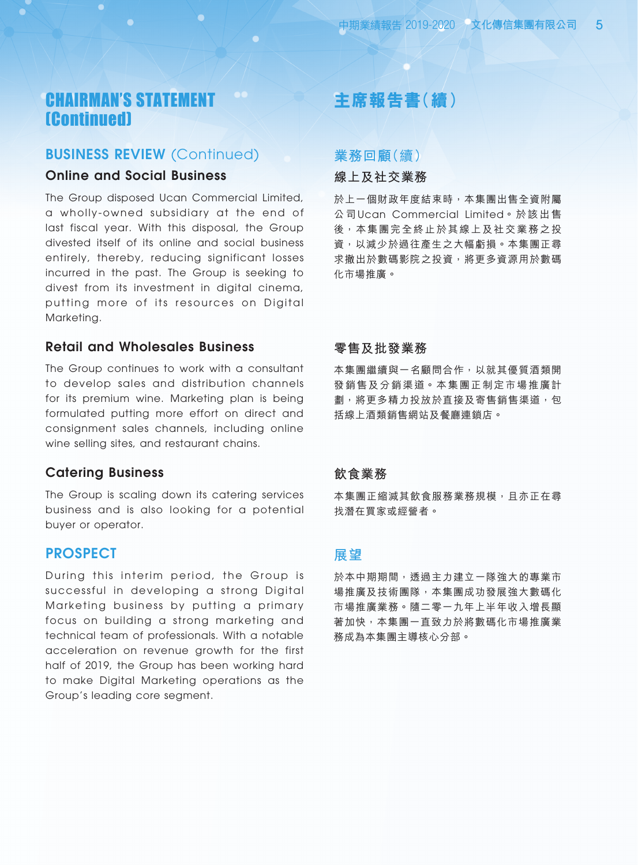# CHAIRMAN'S STATEMENT (Continued)

### BUSINESS REVIEW (Continued)

### Online and Social Business

The Group disposed Ucan Commercial Limited, a wholly-owned subsidiary at the end of last fiscal year. With this disposal, the Group divested itself of its online and social business entirely, thereby, reducing significant losses incurred in the past. The Group is seeking to divest from its investment in digital cinema, putting more of its resources on Digital Marketing.

### Retail and Wholesales Business

The Group continues to work with a consultant to develop sales and distribution channels for its premium wine. Marketing plan is being formulated putting more effort on direct and consignment sales channels, including online wine selling sites, and restaurant chains.

### Catering Business

The Group is scaling down its catering services business and is also looking for a potential buyer or operator.

### PROSPECT

During this interim period, the Group is successful in developing a strong Digital Marketing business by putting a primary focus on building a strong marketing and technical team of professionals. With a notable acceleration on revenue growth for the first half of 2019, the Group has been working hard to make Digital Marketing operations as the Group's leading core segment.

# **主席報告書(續)**

## **業務回顧**(續)

### **線上及社交業務**

於上一個財政年度結束時,本集團出售全資附屬 公司 Ucan Commercial Limited。於該出售 後,本集團完全終止於其線上及社交業務之投 資,以減少於過往產生之大幅虧損。本集團正尋 求撤出於數碼影院之投資,將更多資源用於數碼 化市場推廣。

### **零售及批發業務**

本集團繼續與一名顧問合作,以就其優質酒類開 發銷售及分銷渠道。本集團正制定市場推廣計 劃,將更多精力投放於直接及寄售銷售渠道,包 括線上酒類銷售網站及餐廳連鎖店。

### **飲食業務**

本集團正縮減其飲食服務業務規模,且亦正在尋 找潛在買家或經營者。

### **展望**

於本中期期間,透過主力建立一隊強大的專業市 場推廣及技術團隊,本集團成功發展強大數碼化 市場推廣業務。隨二零一九年上半年收入增長顯 著加快,本集團一直致力於將數碼化市場推廣業 務成為本集團主導核心分部。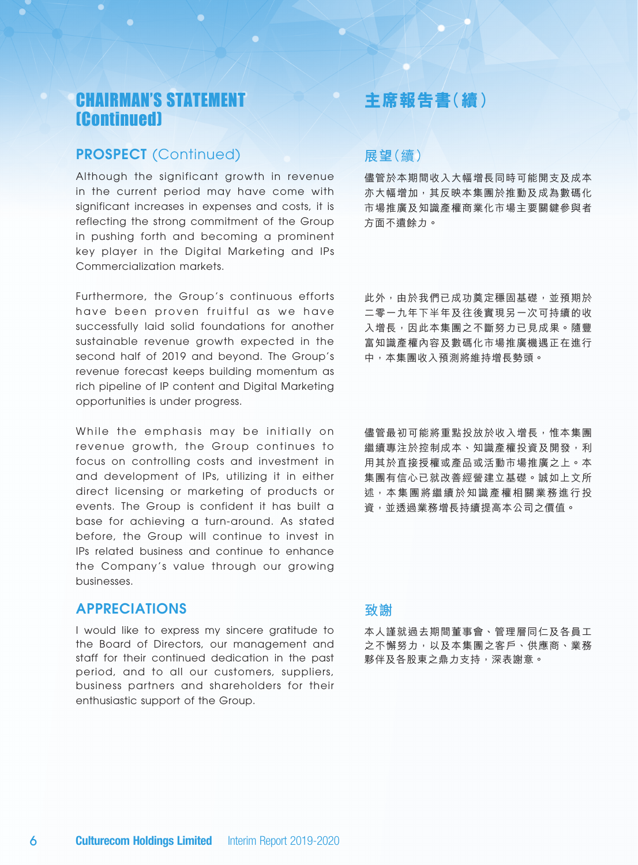# CHAIRMAN'S STATEMENT (Continued)

## PROSPECT (Continued)

Although the significant growth in revenue in the current period may have come with significant increases in expenses and costs, it is reflecting the strong commitment of the Group in pushing forth and becoming a prominent key player in the Digital Marketing and IPs Commercialization markets.

Furthermore, the Group's continuous efforts have been proven fruitful as we have successfully laid solid foundations for another sustainable revenue growth expected in the second half of 2019 and beyond. The Group's revenue forecast keeps building momentum as rich pipeline of IP content and Digital Marketing opportunities is under progress.

While the emphasis may be initially on revenue growth, the Group continues to focus on controlling costs and investment in and development of IPs, utilizing it in either direct licensing or marketing of products or events. The Group is confident it has built a base for achieving a turn-around. As stated before, the Group will continue to invest in IPs related business and continue to enhance the Company's value through our growing businesses.

### APPRECIATIONS

I would like to express my sincere gratitude to the Board of Directors, our management and staff for their continued dedication in the past period, and to all our customers, suppliers, business partners and shareholders for their enthusiastic support of the Group.

## **主席報告書(續)**

## **展望**(續)

儘管於本期間收入大幅增長同時可能開支及成本 亦大幅增加,其反映本集團於推動及成為數碼化 市場推廣及知識產權商業化市場主要關鍵參與者 方面不遺餘力。

此外,由於我們已成功奠定穩固基礎,並預期於 二零一九年下半年及往後實現另一次可持續的收 入增長,因此本集團之不斷努力已見成果。隨豐 富知識產權內容及數碼化市場推廣機遇正在進行 中,本集團收入預測將維持增長勢頭。

儘管最初可能將重點投放於收入增長,惟本集團 繼續專注於控制成本、知識產權投資及開發,利 用其於直接授權或產品或活動市場推廣之上。本 集團有信心已就改善經營建立基礎。誠如上文所 述,本集團將繼續於知識產權相關業務進行投 資,並透過業務增長持續提高本公司之價值。

### **致謝**

本人謹就過去期間董事會、管理層同仁及各員工 之不懈努力,以及本集團之客戶、供應商、業務 夥伴及各股東之鼎力支持,深表謝意。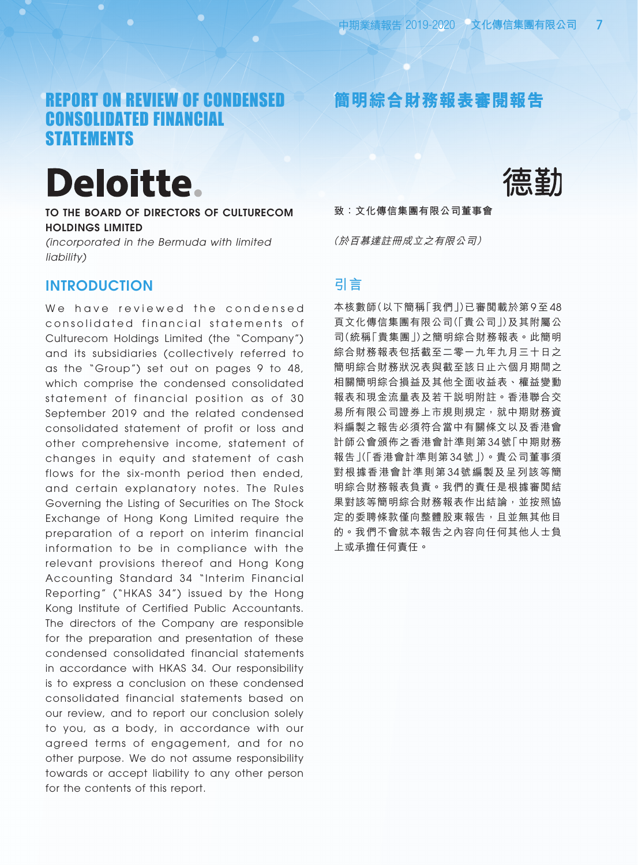**簡明綜合財務報表審閱報告**

# REPORT ON REVIEW OF CONDENSED CONSOLIDATED FINANCIAL **STATEMENTS**

# **Deloitte**

TO THE BOARD OF DIRECTORS OF CULTURECOM HOLDINGS LIMITED

*(incorporated in the Bermuda with limited liability)*

## **INTRODUCTION**

We have reviewed the condensed consolidated financial statements of Culturecom Holdings Limited (the "Company") and its subsidiaries (collectively referred to as the "Group") set out on pages 9 to 48, which comprise the condensed consolidated statement of financial position as of 30 September 2019 and the related condensed consolidated statement of profit or loss and other comprehensive income, statement of changes in equity and statement of cash flows for the six-month period then ended, and certain explanatory notes. The Rules Governing the Listing of Securities on The Stock Exchange of Hong Kong Limited require the preparation of a report on interim financial information to be in compliance with the relevant provisions thereof and Hong Kong Accounting Standard 34 "Interim Financial Reporting" ("HKAS 34") issued by the Hong Kong Institute of Certified Public Accountants. The directors of the Company are responsible for the preparation and presentation of these condensed consolidated financial statements in accordance with HKAS 34. Our responsibility is to express a conclusion on these condensed consolidated financial statements based on our review, and to report our conclusion solely to you, as a body, in accordance with our agreed terms of engagement, and for no other purpose. We do not assume responsibility towards or accept liability to any other person for the contents of this report.



**致:文化傳信集團有限公司董事會**

(於百慕達註冊成立之有限公司)

### **引言**

本核數師(以下簡稱「我們」)已審閱載於第 9 至 48 頁文化傳信集團有限公司(「貴公司」)及其附屬公 司(統稱「貴集團」)之簡明綜合財務報表。此簡明 綜合財務報表包括截至二零一九年九月三十日之 簡明綜合財務狀況表與截至該日止六個月期間之 相關簡明綜合損益及其他全面收益表、權益變動 報表和現金流量表及若干說明附註。香港聯合交 易所有限公司證券上市規則規定,就中期財務資 料編製之報告必須符合當中有關條文以及香港會 計師公會頒佈之香港會計準則第 34 號「中期財務 報告」(「香港會計準則第 34 號」)。貴公司董事須 對根據香港會計準則第 34 號編製及呈列該等簡 明綜合財務報表負責。我們的責任是根據審閱結 果對該等簡明綜合財務報表作出結論,並按照協 定的委聘條款僅向整體股東報告,且並無其他目 的。我們不會就本報告之內容向任何其他人士負 上或承擔任何責任。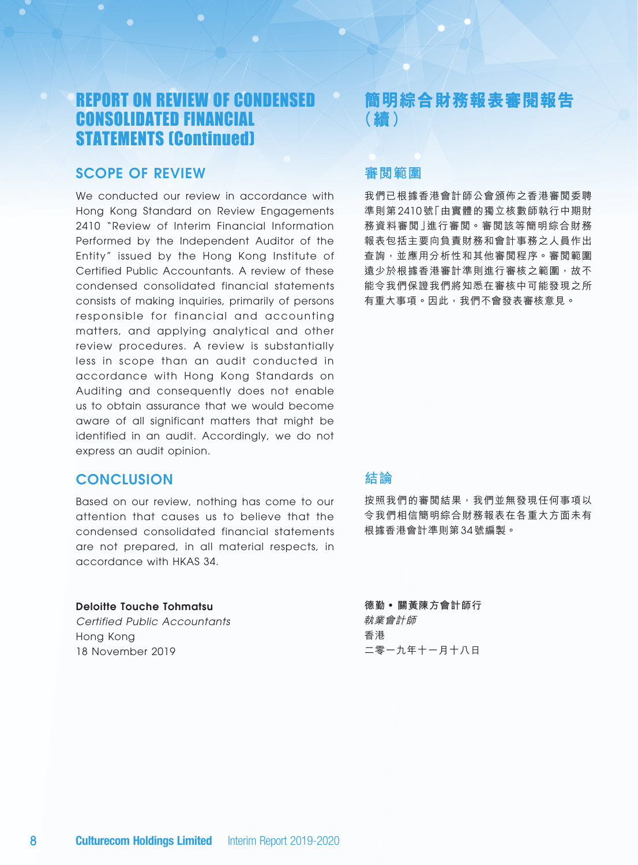# REPORT ON REVIEW OF CONDENSED CONSOLIDATED FINANCIAL STATEMENTS (Continued)

## Scope of Review

We conducted our review in accordance with Hong Kong Standard on Review Engagements 2410 "Review of Interim Financial Information Performed by the Independent Auditor of the Entity" issued by the Hong Kong Institute of Certified Public Accountants. A review of these condensed consolidated financial statements consists of making inquiries, primarily of persons responsible for financial and accounting matters, and applying analytical and other review procedures. A review is substantially less in scope than an audit conducted in accordance with Hong Kong Standards on Auditing and consequently does not enable us to obtain assurance that we would become aware of all significant matters that might be identified in an audit. Accordingly, we do not express an audit opinion.

### **CONCLUSION**

Based on our review, nothing has come to our attention that causes us to believe that the condensed consolidated financial statements are not prepared, in all material respects, in accordance with HKAS 34.

### Deloitte Touche Tohmatsu

*Certified Public Accountants* Hong Kong 18 November 2019

# **簡明綜合財務報表審閱報告 (續)**

## **審閱範圍**

我們已根據香港會計師公會頒佈之香港審閱委聘 準則第 2410 號「由實體的獨立核數師執行中期財 務資料審閱」進行審閱。審閱該等簡明綜合財務 報表包括主要向負責財務和會計事務之人員作出 查詢,並應用分析性和其他審閱程序。審閱範圍 遠少於根據香港審計準則進行審核之範圍,故不 能令我們保證我們將知悉在審核中可能發現之所 有重大事項。因此,我們不會發表審核意見。

## **結論**

按照我們的審閱結果,我們並無發現任何事項以 令我們相信簡明綜合財務報表在各重大方面未有 根據香港會計準則第 34 號編製。

**德勤** • **關黃陳方會計師行** 執業會計師 香港 二零一九年十一月十八日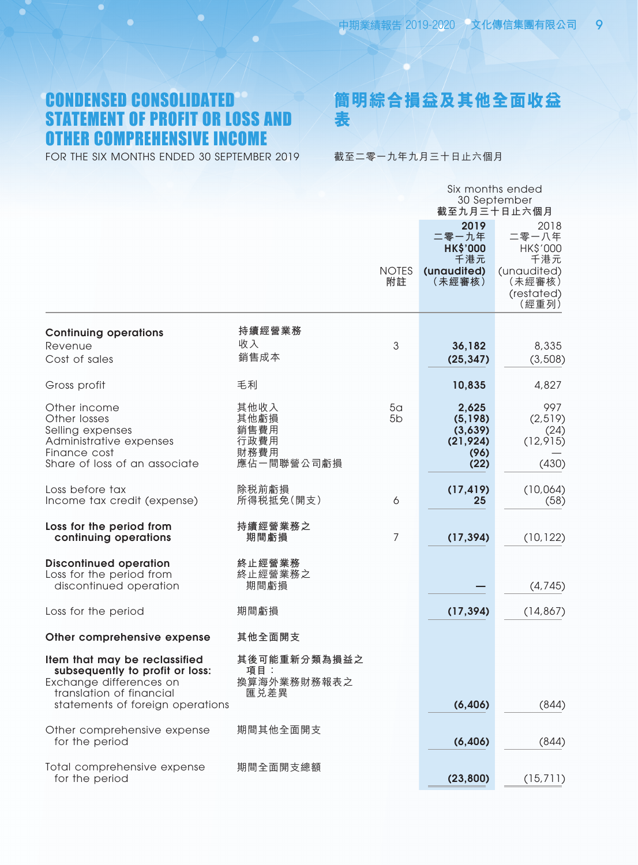# CONDENSED CONSOLIDATED STATEMENT OF PROFIT OR LOSS AND OTHER COMPREHENSIVE INCOME

FOR THE SIX MONTHS ENDED 30 SEPTEMBER 2019

**簡明綜合損益及其他全面收益 表**

截至二零一九年九月三十日止六個月

|                                                                                                                                                             |                                                    | Six months ended<br>30 September<br>截至九月三十日止六個月 |                                                                  |                                                                                  |  |
|-------------------------------------------------------------------------------------------------------------------------------------------------------------|----------------------------------------------------|-------------------------------------------------|------------------------------------------------------------------|----------------------------------------------------------------------------------|--|
|                                                                                                                                                             |                                                    | <b>NOTES</b><br>附註                              | 2019<br>二零一九年<br><b>HK\$'000</b><br>千港元<br>(unaudited)<br>(未經審核) | 2018<br>二零一八年<br>HK\$'000<br>千港元<br>(unaudited)<br>(未經審核)<br>(restated)<br>(經重列) |  |
| <b>Continuing operations</b><br>Revenue<br>Cost of sales                                                                                                    | 持續經營業務<br>收入<br>銷售成本                               | $\mathfrak{S}$                                  | 36,182<br>(25, 347)                                              | 8,335<br>(3, 508)                                                                |  |
| Gross profit                                                                                                                                                | 毛利                                                 |                                                 | 10,835                                                           | 4,827                                                                            |  |
| Other income<br>Other losses<br>Selling expenses<br>Administrative expenses<br>Finance cost<br>Share of loss of an associate                                | 其他收入<br>其他虧損<br>銷售費用<br>行政費用<br>財務費用<br>應佔一間聯營公司虧損 | 5 <sub>a</sub><br>5 <sub>b</sub>                | 2,625<br>(5,198)<br>(3,639)<br>(21, 924)<br>(96)<br>(22)         | 997<br>(2,519)<br>(24)<br>(12, 915)<br>(430)                                     |  |
| Loss before tax<br>Income tax credit (expense)                                                                                                              | 除税前虧損<br>所得税抵免(開支)                                 | 6                                               | (17, 419)<br>25                                                  | (10,064)<br>(58)                                                                 |  |
| Loss for the period from<br>continuing operations                                                                                                           | 持續經營業務之<br>期間虧損                                    | $\overline{7}$                                  | (17, 394)                                                        | (10, 122)                                                                        |  |
| <b>Discontinued operation</b><br>Loss for the period from<br>discontinued operation                                                                         | 終止經營業務<br>終止經營業務之<br>期間虧損                          |                                                 |                                                                  | (4, 745)                                                                         |  |
| Loss for the period                                                                                                                                         | 期間虧損                                               |                                                 | (17, 394)                                                        | (14, 867)                                                                        |  |
| Other comprehensive expense                                                                                                                                 | 其他全面開支                                             |                                                 |                                                                  |                                                                                  |  |
| Item that may be reclassified<br>subsequently to profit or loss:<br>Exchange differences on<br>translation of financial<br>statements of foreign operations | 其後可能重新分類為損益之<br>項目:<br>換算海外業務財務報表之<br>匯兑差異         |                                                 | (6, 406)                                                         | (844)                                                                            |  |
| Other comprehensive expense<br>for the period                                                                                                               | 期間其他全面開支                                           |                                                 | (6, 406)                                                         | (844)                                                                            |  |
| Total comprehensive expense<br>for the period                                                                                                               | 期間全面開支總額                                           |                                                 | (23, 800)                                                        | (15, 711)                                                                        |  |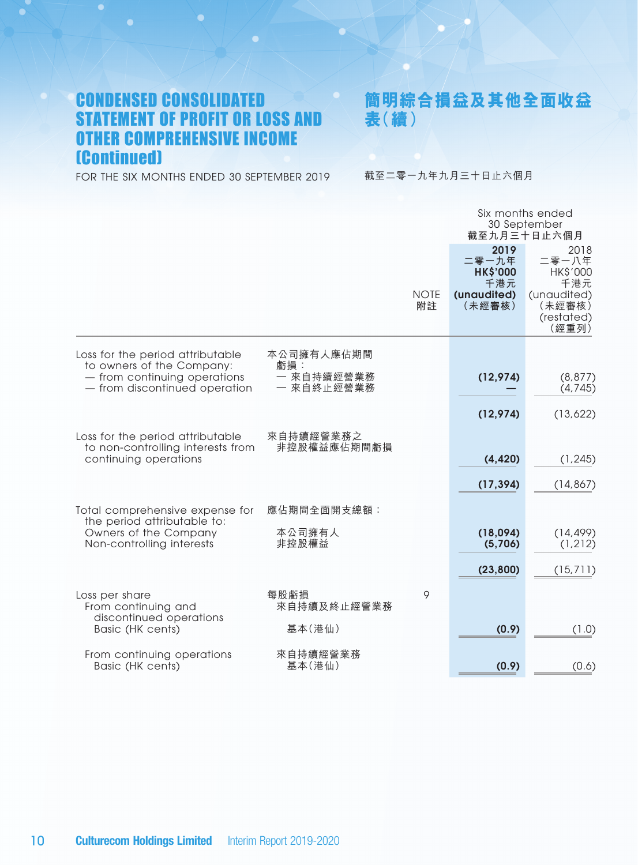# CONDENSED CONSOLIDATED STATEMENT OF PROFIT OR LOSS AND OTHER COMPREHENSIVE INCOME (Continued)

**簡明綜合損益及其他全面收益 表(續)**

FOR THE SIX MONTHS ENDED 30 SEPTEMBER 2019

截至二零一九年九月三十日止六個月

|                                                                                                |                          |                   |                                                                  | Six months ended<br>30 September<br>截至九月三十日止六個月                                  |
|------------------------------------------------------------------------------------------------|--------------------------|-------------------|------------------------------------------------------------------|----------------------------------------------------------------------------------|
|                                                                                                |                          | <b>NOTE</b><br>附註 | 2019<br>二零一九年<br><b>HK\$'000</b><br>千港元<br>(unaudited)<br>(未經審核) | 2018<br>二零一八年<br>HK\$'000<br>千港元<br>(unaudited)<br>(未經審核)<br>(restated)<br>(經重列) |
| Loss for the period attributable<br>to owners of the Company:                                  | 本公司擁有人應佔期間<br>虧損:        |                   |                                                                  |                                                                                  |
| - from continuing operations<br>- from discontinued operation                                  | 一 來自持續經營業務<br>一 來自終止經營業務 |                   | (12, 974)                                                        | (8, 877)<br>(4, 745)                                                             |
|                                                                                                |                          |                   | (12,974)                                                         | (13,622)                                                                         |
| Loss for the period attributable<br>to non-controlling interests from<br>continuing operations | 來自持續經營業務之<br>非控股權益應佔期間虧損 |                   | (4, 420)                                                         | (1, 245)                                                                         |
|                                                                                                |                          |                   | (17, 394)                                                        | (14, 867)                                                                        |
| Total comprehensive expense for<br>the period attributable to:                                 | 應佔期間全面開支總額:              |                   |                                                                  |                                                                                  |
| Owners of the Company<br>Non-controlling interests                                             | 本公司擁有人<br>非控股權益          |                   | (18,094)<br>(5,706)                                              | (14, 499)<br>(1, 212)                                                            |
|                                                                                                |                          |                   | (23, 800)                                                        | (15, 711)                                                                        |
| Loss per share<br>From continuing and                                                          | 每股虧損<br>來自持續及終止經營業務      | 9                 |                                                                  |                                                                                  |
| discontinued operations<br>Basic (HK cents)                                                    | 基本(港仙)                   |                   | (0.9)                                                            | (1.0)                                                                            |
| From continuing operations<br>Basic (HK cents)                                                 | 來自持續經營業務<br>基本(港仙)       |                   | (0.9)                                                            | (0.6)                                                                            |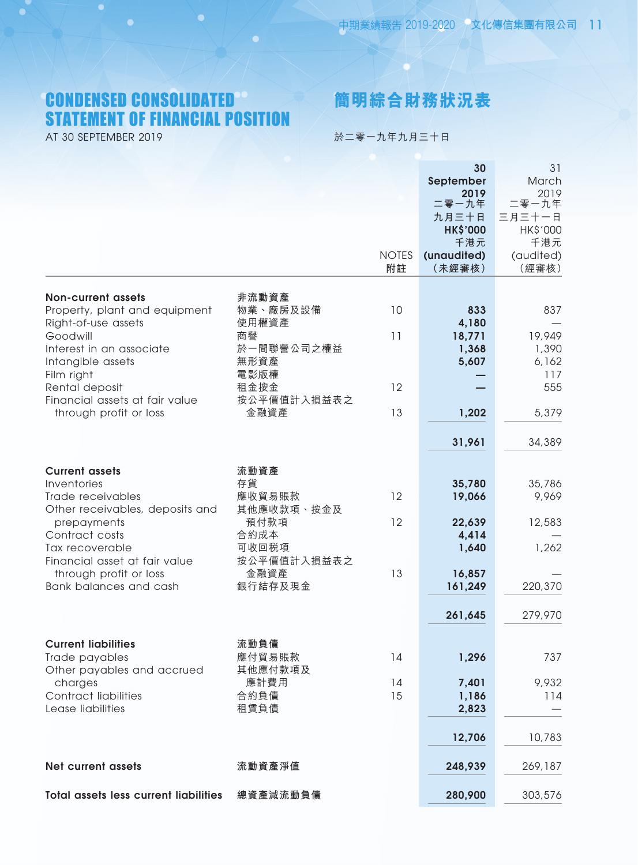# CONDENSED CONSOLIDATED STATEMENT OF FINANCIAL POSITION

AT 30 SEPTEMBER 2019

# **簡明綜合財務狀況表**

於二零一九年九月三十日

|                                              |             |              | 30                 | 31              |
|----------------------------------------------|-------------|--------------|--------------------|-----------------|
|                                              |             |              | September          | March           |
|                                              |             |              | 2019               | 2019            |
|                                              |             |              | 二零一九年              | 二零一九年           |
|                                              |             |              | 九月三十日              | 三月三十一日          |
|                                              |             |              | <b>HK\$'000</b>    | HK\$'000<br>千港元 |
|                                              |             | <b>NOTES</b> | 千港元<br>(unaudited) | (audited)       |
|                                              |             | 附註           | (未經審核)             | (經審核)           |
|                                              |             |              |                    |                 |
| <b>Non-current assets</b>                    | 非流動資產       |              |                    |                 |
| Property, plant and equipment                | 物業、廠房及設備    | 10           | 833                | 837             |
| Right-of-use assets                          | 使用權資產       |              | 4,180              |                 |
| Goodwill                                     | 商譽          | 11           | 18,771             | 19,949          |
| Interest in an associate                     | 於一間聯營公司之權益  |              | 1,368              | 1,390           |
| Intangible assets                            | 無形資產        |              | 5,607              | 6,162           |
| Film right                                   | 電影版權        |              |                    | 117             |
| Rental deposit                               | 租金按金        | 12           |                    | 555             |
| Financial assets at fair value               | 按公平價值計入損益表之 |              |                    |                 |
| through profit or loss                       | 金融資產        | 13           | 1,202              | 5,379           |
|                                              |             |              | 31,961             | 34,389          |
|                                              |             |              |                    |                 |
| <b>Current assets</b>                        | 流動資產        |              |                    |                 |
| Inventories                                  | 存貨          |              | 35,780             | 35,786          |
| Trade receivables                            | 應收貿易賬款      | 12           | 19,066             | 9,969           |
| Other receivables, deposits and              | 其他應收款項、按金及  |              |                    |                 |
| prepayments                                  | 預付款項        | 12           | 22,639             | 12,583          |
| Contract costs                               | 合約成本        |              | 4,414              |                 |
| Tax recoverable                              | 可收回税項       |              | 1,640              | 1,262           |
| Financial asset at fair value                | 按公平價值計入損益表之 |              |                    |                 |
| through profit or loss                       | 金融資產        | 13           | 16,857             |                 |
| Bank balances and cash                       | 銀行結存及現金     |              | 161,249            | 220,370         |
|                                              |             |              | 261,645            | 279,970         |
|                                              |             |              |                    |                 |
| <b>Current liabilities</b>                   | 流動負債        |              |                    |                 |
| Trade payables                               | 應付貿易賬款      | 14           | 1,296              | 737             |
| Other payables and accrued                   | 其他應付款項及     |              |                    |                 |
| charges                                      | 應計費用        | 14           | 7,401              | 9,932           |
| <b>Contract liabilities</b>                  | 合約負債        | 15           | 1,186              | 114             |
| Lease liabilities                            | 租賃負債        |              | 2,823              |                 |
|                                              |             |              | 12,706             | 10,783          |
|                                              |             |              |                    |                 |
| <b>Net current assets</b>                    | 流動資產淨值      |              | 248,939            | 269,187         |
|                                              |             |              |                    |                 |
| <b>Total assets less current liabilities</b> | 總資產減流動負債    |              | 280,900            | 303,576         |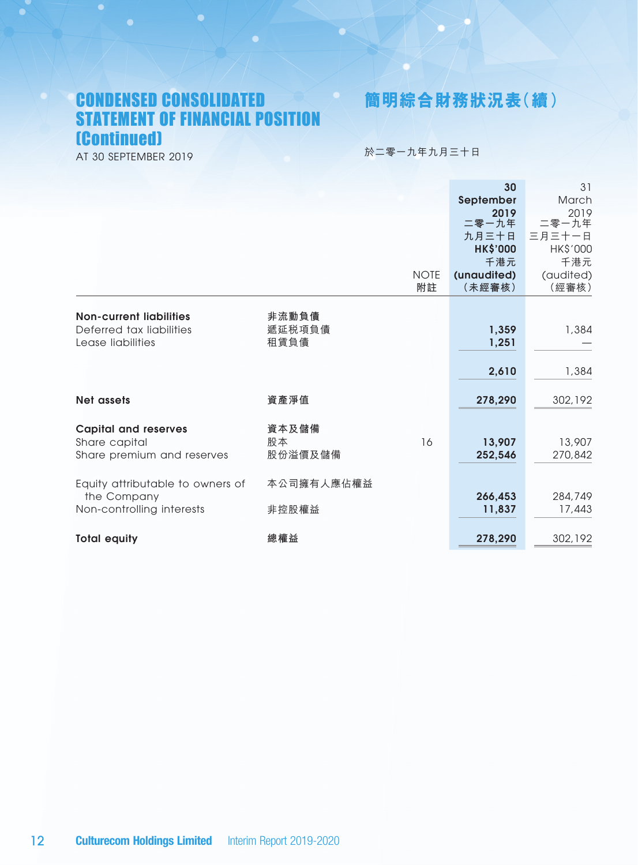# CONDENSED CONSOLIDATED STATEMENT OF FINANCIAL POSITION (Continued)

**簡明綜合財務狀況表(續)**

AT 30 SEPTEMBER 2019

於二零一九年九月三十日

|                                                 |                |             | 30              | 31            |
|-------------------------------------------------|----------------|-------------|-----------------|---------------|
|                                                 |                |             | September       | March         |
|                                                 |                |             | 2019<br>二零一九年   | 2019<br>二零一九年 |
|                                                 |                |             | 九月三十日           | 三月三十一日        |
|                                                 |                |             | <b>HK\$'000</b> | HK\$'000      |
|                                                 |                |             | 千港元             | 千港元           |
|                                                 |                | <b>NOTE</b> | (unaudited)     | (audited)     |
|                                                 |                | 附註          | (未經審核)          | (經審核)         |
|                                                 |                |             |                 |               |
| <b>Non-current liabilities</b>                  | 非流動負債          |             |                 |               |
| Deferred tax liabilities<br>Lease liabilities   | 遞延税項負債<br>租賃負債 |             | 1,359<br>1,251  | 1,384         |
|                                                 |                |             |                 |               |
|                                                 |                |             | 2,610           | 1,384         |
|                                                 |                |             |                 |               |
| Net assets                                      | 資產淨值           |             | 278,290         | 302,192       |
|                                                 |                |             |                 |               |
| <b>Capital and reserves</b>                     | 資本及儲備          |             |                 |               |
| Share capital                                   | 股本             | 16          | 13,907          | 13,907        |
| Share premium and reserves                      | 股份溢價及儲備        |             | 252,546         | 270,842       |
|                                                 | 本公司擁有人應佔權益     |             |                 |               |
| Equity attributable to owners of<br>the Company |                |             | 266,453         | 284,749       |
| Non-controlling interests                       | 非控股權益          |             | 11,837          | 17,443        |
|                                                 |                |             |                 |               |
| <b>Total equity</b>                             | 總權益            |             | 278,290         | 302,192       |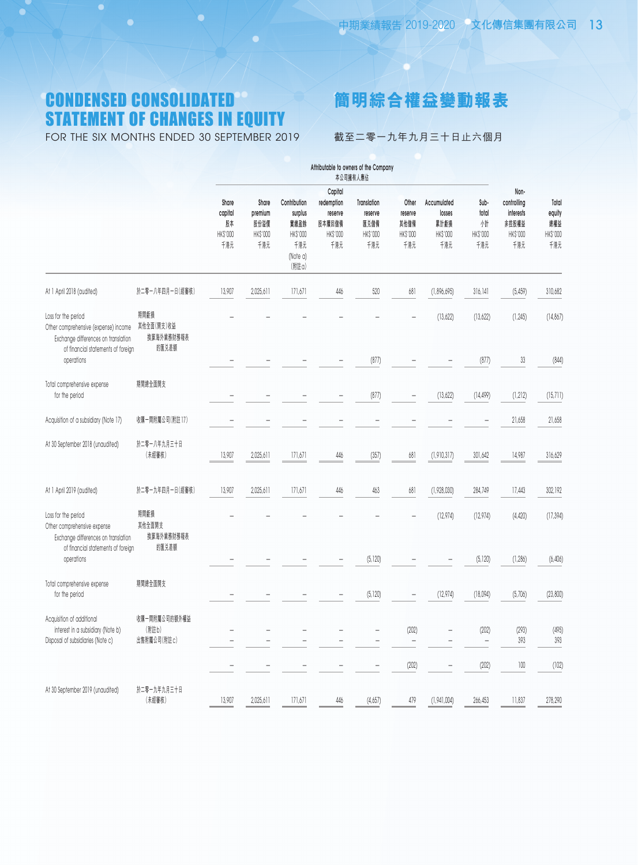# CONDENSED CONSOLIDATED STATEMENT OF CHANGES IN EQUITY

FOR THE SIX MONTHS ENDED 30 SEPTEMBER 2019



截至二零一九年九月三十日止六個月

|                                                                                                                                          |                                           | Attributable to owners of the Company<br>本公司擁有人應佔 |                         |                                              |                                  |                         |                         |                         |                                   |                                  |                        |
|------------------------------------------------------------------------------------------------------------------------------------------|-------------------------------------------|---------------------------------------------------|-------------------------|----------------------------------------------|----------------------------------|-------------------------|-------------------------|-------------------------|-----------------------------------|----------------------------------|------------------------|
|                                                                                                                                          |                                           | Share<br>capital                                  | Share<br>premium        | Contribution<br>surplus                      | Capital<br>redemption<br>reserve | Translation<br>reserve  | Other<br>reserve        | Accumulated<br>losses   | Sub-<br>total                     | Non-<br>controlling<br>interests | Total<br>equity        |
|                                                                                                                                          |                                           | 股本<br>HK\$'000<br>千港元                             | 股份溢價<br>HK\$'000<br>千港元 | 實繳盈餘<br>HK\$'000<br>千港元<br>(Note a)<br>(附註a) | 股本贖回儲備<br>HK\$'000<br>千港元        | 匯兑儲備<br>HK\$'000<br>千港元 | 其他儲備<br>HK\$'000<br>千港元 | 累計虧損<br>HK\$'000<br>千港元 | 惜<br>HK\$'000<br>千港元              | 非控股權益<br>HK\$'000<br>千港元         | 總權益<br>HK\$'000<br>千港元 |
| At 1 April 2018 (audited)                                                                                                                | 於二零一八年四月一日(經審核)                           | 13,907                                            | 2,025,611               | 171,671                                      | 446                              | 520                     | 681                     | (1,896,695)             | 316, 141                          | (5, 459)                         | 310,682                |
| Loss for the period<br>Other comprehensive (expense) income<br>Exchange differences on translation<br>of financial statements of foreign | 期間虧損<br>其他全面(開支)收益<br>換算海外業務財務報表<br>的匯兑差額 |                                                   |                         |                                              |                                  |                         |                         | (13,622)                | (13,622)                          | (1, 245)                         | (14, 867)              |
| operations                                                                                                                               |                                           |                                                   |                         |                                              |                                  | (877)                   |                         |                         | (877)                             | 33                               | (844)                  |
| Total comprehensive expense<br>for the period                                                                                            | 期間總全面開支                                   |                                                   |                         |                                              |                                  | (877)                   |                         | (13,622)                | (14, 499)                         | (1, 212)                         | (15,711)               |
| Acquisition of a subsidiary (Note 17)                                                                                                    | 收購一間附屬公司(附註17)                            |                                                   |                         |                                              |                                  |                         |                         |                         |                                   | 21,658                           | 21,658                 |
| At 30 September 2018 (unaudited)                                                                                                         | 於二零一八年九月三十日<br>(未經審核)                     | 13,907                                            | 2,025,611               | 171,671                                      | 446                              | (357)                   | 681                     | (1, 910, 317)           | 301,642                           | 14,987                           | 316,629                |
| At 1 April 2019 (audited)                                                                                                                | 於二零一九年四月一日(經審核)                           | 13,907                                            | 2,025,611               | 171,671                                      | 446                              | 463                     | 681                     | (1,928,030)             | 284,749                           | 17,443                           | 302,192                |
| Loss for the period<br>Other comprehensive expense<br>Exchange differences on translation                                                | 期間虧損<br>其他全面開支<br>換算海外業務財務報表              |                                                   |                         |                                              |                                  |                         |                         | (12,974)                | (12,974)                          | (4, 420)                         | (17, 394)              |
| of financial statements of foreign<br>operations                                                                                         | 的匯兑差額                                     |                                                   |                         |                                              |                                  | (5, 120)                |                         |                         | (5, 120)                          | (1, 286)                         | (6,406)                |
| Total comprehensive expense<br>for the period                                                                                            | 期間總全面開支                                   |                                                   |                         |                                              |                                  | (5, 120)                |                         | (12, 974)               | (18,094)                          | (5,706)                          | (23, 800)              |
| Acquisition of additional<br>interest in a subsidiary (Note b)<br>Disposal of subsidiaries (Note c)                                      | 收購一間附屬公司的額外權益<br>(附註b)<br>出售附屬公司(附註c)     |                                                   |                         |                                              |                                  |                         | (202)                   |                         | (202)<br>$\overline{\phantom{a}}$ | (293)<br>393                     | (495)<br>393           |
|                                                                                                                                          |                                           |                                                   |                         |                                              |                                  |                         | (202)                   |                         | (202)                             | $100\,$                          | (102)                  |
| At 30 September 2019 (unaudited)                                                                                                         | 於二零一九年九月三十日<br>(未經審核)                     | 13,907                                            | 2,025,611               | 171,671                                      | 446                              | (4,657)                 | 479                     | (1,941,004)             | 266,453                           | 11,837                           | 278,290                |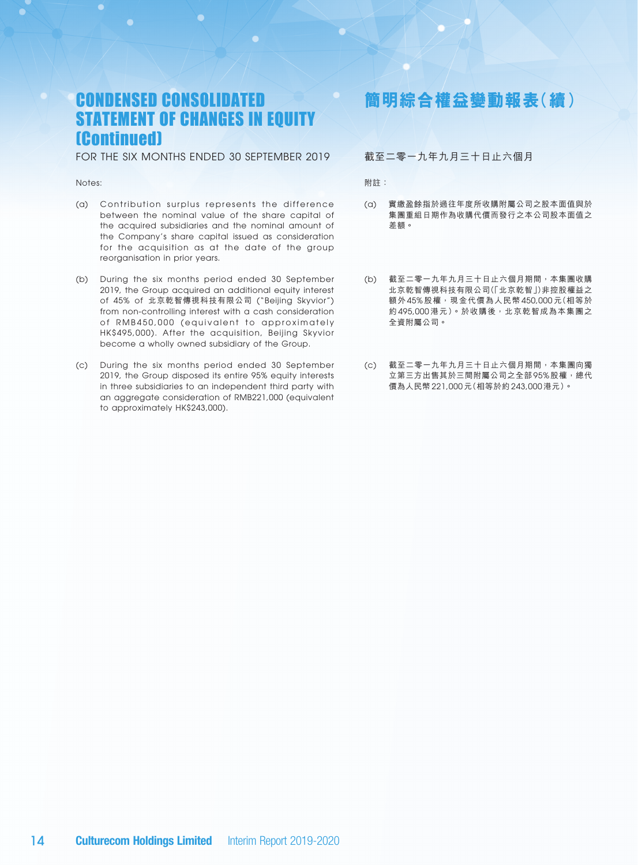# CONDENSED CONSOLIDATED STATEMENT OF CHANGES IN EQUITY (Continued)

FOR THE SIX MONTHS ENDED 30 SEPTEMBER 2019

#### Notes:

- (a) Contribution surplus represents the difference between the nominal value of the share capital of the acquired subsidiaries and the nominal amount of the Company's share capital issued as consideration for the acquisition as at the date of the group reorganisation in prior years.
- (b) During the six months period ended 30 September 2019, the Group acquired an additional equity interest of 45% of 北京乾智傳視科技有限公司 ("Beijing Skyvior") from non-controlling interest with a cash consideration of RMB450,000 (equivalent to approximately HK\$495,000). After the acquisition, Beijing Skyvior become a wholly owned subsidiary of the Group.
- (c) During the six months period ended 30 September 2019, the Group disposed its entire 95% equity interests in three subsidiaries to an independent third party with an aggregate consideration of RMB221,000 (equivalent to approximately HK\$243,000).

# **簡明綜合權益變動報表(續)**

### 截至二零一九年九月三十日止六個月

附註:

- (a) 實繳盈餘指於過往年度所收購附屬公司之股本面值與於 集團重組日期作為收購代價而發行之本公司股本面值之 差額。
- (b) 截至二零一九年九月三十日止六個月期間,本集團收購 北京乾智傳視科技有限公司(「北京乾智」)非控股權益之 額外 45% 股權,現金代價為人民幣 450,000 元(相等於 約 495,000 港元)。於收購後, 北京乾智成為本集團之 全資附屬公司。
- (c) 截至二零一九年九月三十日止六個月期間,本集團向獨 立第三方出售其於三間附屬公司之全部 95% 股權,總代 價為人民幣 221,000 元(相等於約 243,000 港元)。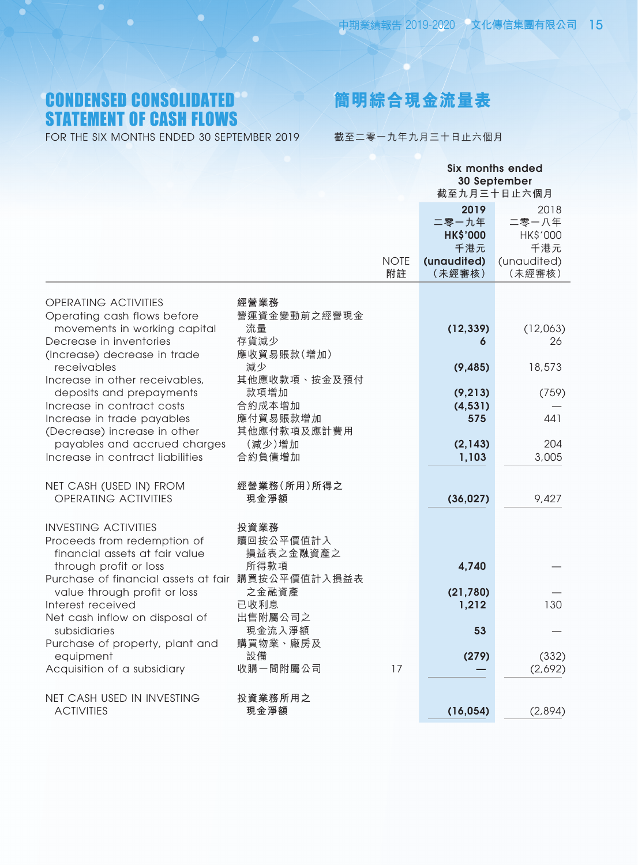# CONDENSED CONSOLIDATED STATEMENT OF CASH FLOWS

FOR THE SIX MONTHS ENDED 30 SEPTEMBER 2019

# **簡明綜合現金流量表**

截至二零一九年九月三十日止六個月

|                                                                                                                                          |                                            |                   | <b>Six months ended</b><br>30 September<br>截至九月三十日止六個月           |                                                           |
|------------------------------------------------------------------------------------------------------------------------------------------|--------------------------------------------|-------------------|------------------------------------------------------------------|-----------------------------------------------------------|
|                                                                                                                                          |                                            | <b>NOTE</b><br>附註 | 2019<br>二零一九年<br><b>HK\$'000</b><br>千港元<br>(unaudited)<br>(未經審核) | 2018<br>二零一八年<br>HK\$'000<br>千港元<br>(unaudited)<br>(未經審核) |
| <b>OPERATING ACTIVITIES</b><br>Operating cash flows before<br>movements in working capital                                               | 經營業務<br>營運資金變動前之經營現金<br>流量                 |                   | (12, 339)                                                        | (12,063)                                                  |
| Decrease in inventories<br>(Increase) decrease in trade<br>receivables                                                                   | 存貨減少<br>應收貿易賬款(增加)<br>減少                   |                   | 6<br>(9, 485)                                                    | 26<br>18,573                                              |
| Increase in other receivables,<br>deposits and prepayments<br>Increase in contract costs<br>Increase in trade payables                   | 其他應收款項、按金及預付<br>款項增加<br>合約成本增加<br>應付貿易賬款增加 |                   | (9, 213)<br>(4, 531)<br>575                                      | (759)<br>441                                              |
| (Decrease) increase in other<br>payables and accrued charges<br>Increase in contract liabilities                                         | 其他應付款項及應計費用<br>(減少)增加<br>合約負債增加            |                   | (2, 143)<br>1,103                                                | 204<br>3,005                                              |
| NET CASH (USED IN) FROM<br><b>OPERATING ACTIVITIES</b>                                                                                   | 經營業務(所用)所得之<br>現金淨額                        |                   | (36, 027)                                                        | 9,427                                                     |
| <b>INVESTING ACTIVITIES</b><br>Proceeds from redemption of<br>financial assets at fair value<br>through profit or loss                   | 投資業務<br>贖回按公平價值計入<br>損益表之金融資產之<br>所得款項     |                   | 4,740                                                            |                                                           |
| Purchase of financial assets at fair 購買按公平價值計入損益表<br>value through profit or loss<br>Interest received<br>Net cash inflow on disposal of | 之金融資產<br>已收利息<br>出售附屬公司之                   |                   | (21,780)<br>1,212                                                | 130                                                       |
| subsidiaries<br>Purchase of property, plant and<br>equipment                                                                             | 現金流入淨額<br>購買物業、廠房及<br>設備                   |                   | 53<br>(279)                                                      | (332)                                                     |
| Acquisition of a subsidiary<br>NET CASH USED IN INVESTING                                                                                | 收購一間附屬公司<br>投資業務所用之                        | 17                |                                                                  | (2,692)                                                   |
| <b>ACTIVITIES</b>                                                                                                                        | 現金淨額                                       |                   | (16, 054)                                                        | (2,894)                                                   |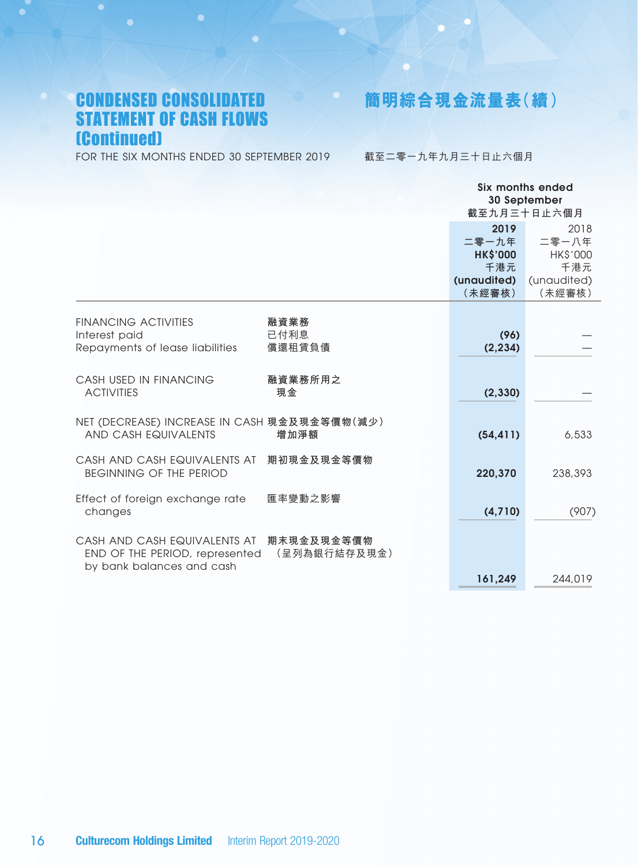# CONDENSED CONSOLIDATED STATEMENT OF CASH FLOWS (Continued)

**簡明綜合現金流量表(續)**

FOR THE SIX MONTHS ENDED 30 SEPTEMBER 2019

截至二零一九年九月三十日止六個月

|                                                                                             |                            | Six months ended<br>30 September<br>截至九月三十日止六個月                  |                                                           |  |
|---------------------------------------------------------------------------------------------|----------------------------|------------------------------------------------------------------|-----------------------------------------------------------|--|
|                                                                                             |                            | 2019<br>二零一九年<br><b>HK\$'000</b><br>千港元<br>(unaudited)<br>(未經審核) | 2018<br>二零一八年<br>HK\$'000<br>千港元<br>(unaudited)<br>(未經審核) |  |
| <b>FINANCING ACTIVITIES</b><br>Interest paid<br>Repayments of lease liabilities             | 融資業務<br>已付利息<br>償還租賃負債     | (96)<br>(2, 234)                                                 |                                                           |  |
| CASH USED IN FINANCING<br><b>ACTIVITIES</b>                                                 | 融資業務所用之<br>現金              | (2, 330)                                                         |                                                           |  |
| NET (DECREASE) INCREASE IN CASH 現金及現金等價物(減少)<br>AND CASH EQUIVALENTS                        | 增加淨額                       | (54, 411)                                                        | 6,533                                                     |  |
| CASH AND CASH EQUIVALENTS AT<br>BEGINNING OF THE PERIOD                                     | 期初現金及現金等價物                 | 220,370                                                          | 238,393                                                   |  |
| Effect of foreign exchange rate<br>changes                                                  | 匯率變動之影響                    | (4,710)                                                          | (907)                                                     |  |
| CASH AND CASH EQUIVALENTS AT<br>END OF THE PERIOD, represented<br>by bank balances and cash | 期末現金及現金等價物<br>(呈列為銀行結存及現金) | 161,249                                                          | 244,019                                                   |  |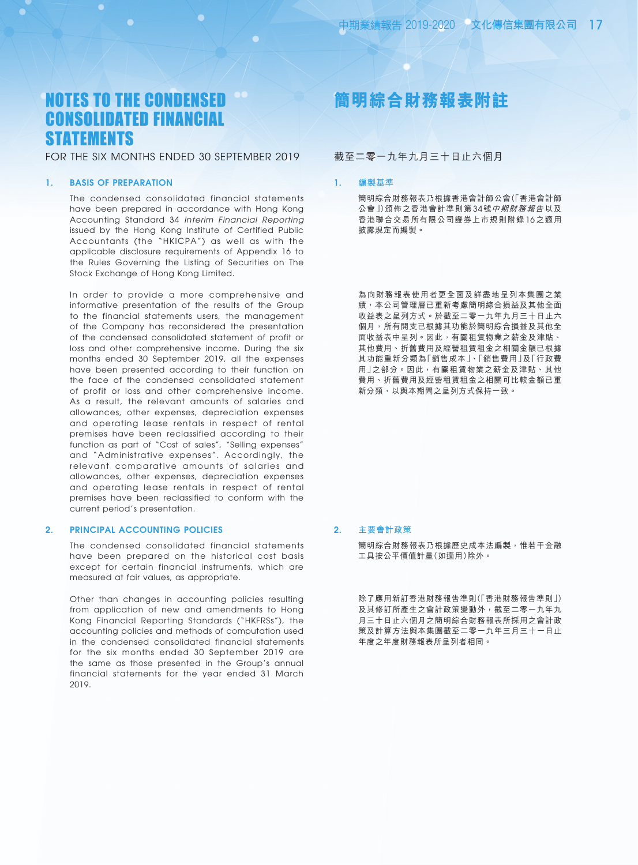### FOR THE SIX MONTHS ENDED 30 SEPTEMBER 2019

### 1. BASIS OF PREPARATION

The condensed consolidated financial statements have been prepared in accordance with Hong Kong Accounting Standard 34 *Interim Financial Reporting* issued by the Hong Kong Institute of Certified Public Accountants (the "HKICPA") as well as with the applicable disclosure requirements of Appendix 16 to the Rules Governing the Listing of Securities on The Stock Exchange of Hong Kong Limited.

In order to provide a more comprehensive and informative presentation of the results of the Group to the financial statements users, the management of the Company has reconsidered the presentation of the condensed consolidated statement of profit or loss and other comprehensive income. During the six months ended 30 September 2019, all the expenses have been presented according to their function on the face of the condensed consolidated statement of profit or loss and other comprehensive income. As a result, the relevant amounts of salaries and allowances, other expenses, depreciation expenses and operating lease rentals in respect of rental premises have been reclassified according to their function as part of "Cost of sales", "Selling expenses" and "Administrative expenses". Accordingly, the relevant comparative amounts of salaries and allowances, other expenses, depreciation expenses and operating lease rentals in respect of rental premises have been reclassified to conform with the current period's presentation.

#### 2. PRINCIPAL ACCOUNTING POLICIES

The condensed consolidated financial statements have been prepared on the historical cost basis except for certain financial instruments, which are measured at fair values, as appropriate.

Other than changes in accounting policies resulting from application of new and amendments to Hong Kong Financial Reporting Standards ("HKFRSs"), the accounting policies and methods of computation used in the condensed consolidated financial statements for the six months ended 30 September 2019 are the same as those presented in the Group's annual financial statements for the year ended 31 March 2019.

# **簡明綜合財務報表附註**

### 截至二零一九年九月三十日止六個月

### 1. **編製基準**

簡明綜合財務報表乃根據香港會計師公會(「香港會計師 公會」)頒佈之香港會計準則第34號中期財務報告以及 香港聯合交易所有限公司證券上市規則附錄 16 之適用 披露規定而編製。

為向財務報表使用者更全面及詳盡地呈列本集團之業 績,本公司管理層已重新考慮簡明綜合損益及其他全面 收益表之呈列方式。於截至二零一九年九月三十日止六 個月,所有開支已根據其功能於簡明綜合損益及其他全 面收益表中呈列。因此,有關租賃物業之薪金及津貼、 其他費用、折舊費用及經營租賃租金之相關金額已根據 其功能重新分類為「銷售成本」、「銷售費用」及「行政費 用」之部分。因此,有關租賃物業之薪金及津貼、其他 費用、折舊費用及經營租賃租金之相關可比較金額已重 新分類,以與本期間之呈列方式保持一致。

### 2. **主要會計政策**

簡明綜合財務報表乃根據歷史成本法編製,惟若干金融 工具按公平價值計量(如適用)除外。

除了應用新訂香港財務報告準則(「香港財務報告準則」) 及其修訂所產生之會計政策變動外,截至二零一九年九 月三十日止六個月之簡明綜合財務報表所採用之會計政 策及計算方法與本集團截至二零一九年三月三十一日止 年度之年度財務報表所呈列者相同。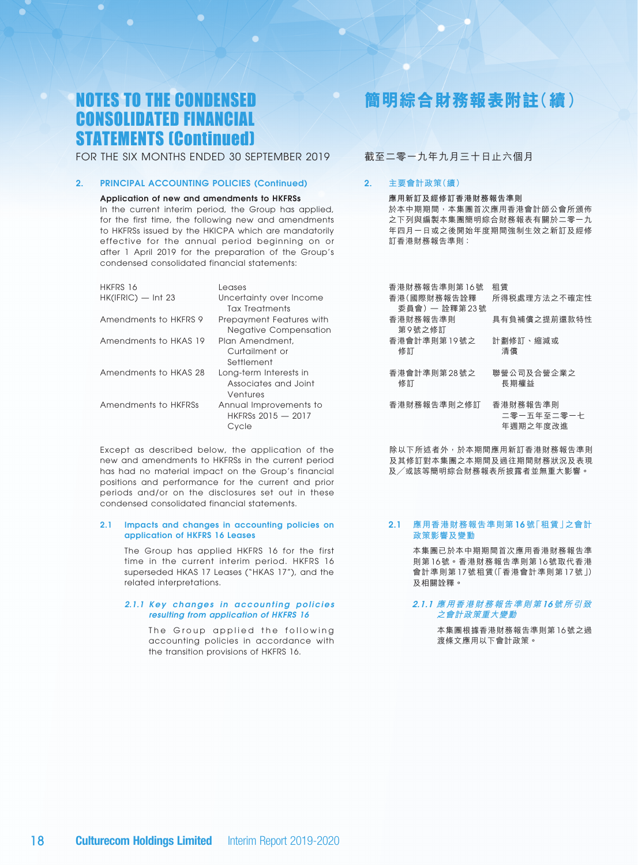FOR THE SIX MONTHS ENDED 30 SEPTEMBER 2019

### 2. PRINCIPAL ACCOUNTING POLICIES (Continued)

#### Application of new and amendments to HKFRSs

In the current interim period, the Group has applied, for the first time, the following new and amendments to HKFRSs issued by the HKICPA which are mandatorily effective for the annual period beginning on or after 1 April 2019 for the preparation of the Group's condensed consolidated financial statements:

| HKFRS 16              | Leases                       |
|-----------------------|------------------------------|
| HK(IFRIC) — Int 23    | Uncertainty over Income      |
|                       | <b>Tax Treatments</b>        |
| Amendments to HKFRS 9 | Prepayment Features with     |
|                       | <b>Negative Compensation</b> |
| Amendments to HKAS 19 | Plan Amendment,              |
|                       | Curtailment or               |
|                       | Settlement                   |
| Amendments to HKAS 28 | Long-term Interests in       |
|                       | Associates and Joint         |
|                       | Ventures                     |
| Amendments to HKFRSs  | Annual Improvements to       |
|                       | HKFRSs 2015 - 2017           |
|                       | Cvcle                        |
|                       |                              |

Except as described below, the application of the new and amendments to HKFRSs in the current period has had no material impact on the Group's financial positions and performance for the current and prior periods and/or on the disclosures set out in these condensed consolidated financial statements.

#### 2.1 Impacts and changes in accounting policies on application of HKFRS 16 Leases

The Group has applied HKFRS 16 for the first time in the current interim period. HKFRS 16 superseded HKAS 17 Leases ("HKAS 17"), and the related interpretations.

#### *2.1.1 Key changes in accounting policies resulting from application of HKFRS 16*

The Group applied the following accounting policies in accordance with the transition provisions of HKFRS 16.

# **簡明綜合財務報表附註(續)**

### 截至二零一九年九月三十日止六個月

### 2. **主要會計政策(續)**

**應用新訂及經修訂香港財務報告準則**

於本中期期間,本集團首次應用香港會計師公會所頒佈 之下列與編製本集團簡明綜合財務報表有關於二零一九 年四月一日或之後開始年度期間強制生效之新訂及經修 訂香港財務報告準則 ﹕

| 香港財務報告準則第16號  | 和賃           |
|---------------|--------------|
| 香港(國際財務報告詮釋   | 所得税處理方法之不確定性 |
| 委員會) - 詮釋第23號 |              |
| 香港財務報告準則      | 具有負補償之提前還款特性 |
| 第9號之修訂        |              |
| 香港會計準則第19號之   | 計劃修訂、縮減或     |
| 修訂            | 清償           |
|               |              |
| 香港會計準則第28號之   | 聯營公司及合營企業之   |
| 修訂            | 長期權益         |
|               |              |
| 香港財務報告準則之修訂   | 香港財務報告準則     |
|               | 二零一五年至二零一十   |

除以下所述者外,於本期間應用新訂香港財務報告準則 及其修訂對本集團之本期間及過往期間財務狀況及表現 及╱或該等簡明綜合財務報表所披露者並無重大影響。

年週期之年度改進

#### 2.1 **應用香港財務報告準則第** 16 **號「租賃」之會計 政策影響及變動**

本集團已於本中期期間首次應用香港財務報告準 則第 16 號。香港財務報告準則第 16 號取代香港 會計準則第 17 號租賃(「香港會計準則第 17 號」) 及相關詮釋。

#### 2.1.1 **應用香港財務報告準則第** 16**號所引致 之會計政策重大變動**

本集團根據香港財務報告準則第 16 號之過 渡條文應用以下會計政策。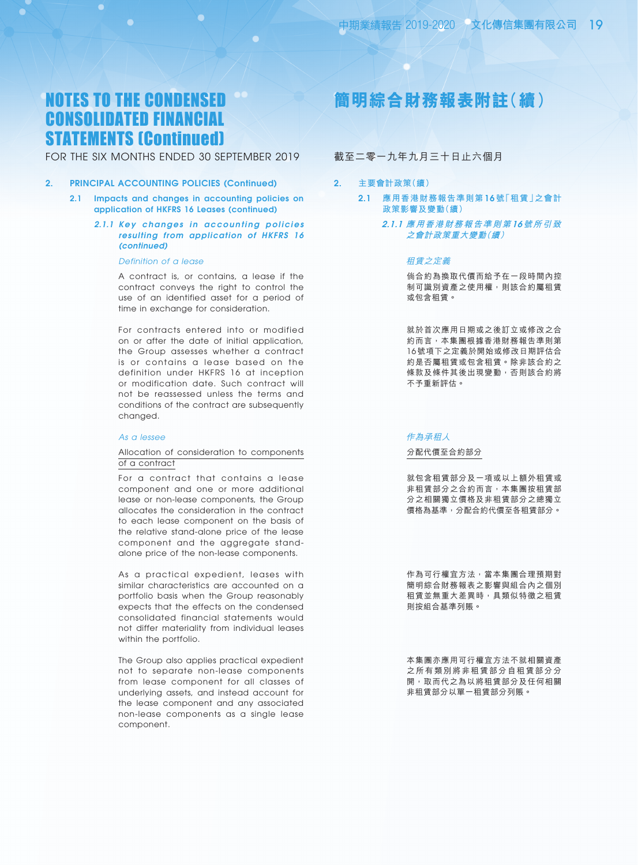### FOR THE SIX MONTHS ENDED 30 SEPTEMBER 2019

#### 2. PRINCIPAL ACCOUNTING POLICIES (Continued)

- 2.1 Impacts and changes in accounting policies on application of HKFRS 16 Leases (continued)
	- *2.1.1 Key changes in accounting policies resulting from application of HKFRS 16 (continued)*

#### *Definition of a lease*

A contract is, or contains, a lease if the contract conveys the right to control the use of an identified asset for a period of time in exchange for consideration.

For contracts entered into or modified on or after the date of initial application, the Group assesses whether a contract is or contains a lease based on the definition under HKFRS 16 at inception or modification date. Such contract will not be reassessed unless the terms and conditions of the contract are subsequently changed.

#### *As a lessee*

#### Allocation of consideration to components of a contract

For a contract that contains a lease component and one or more additional lease or non-lease components, the Group allocates the consideration in the contract to each lease component on the basis of the relative stand-alone price of the lease component and the aggregate standalone price of the non-lease components.

As a practical expedient, leases with similar characteristics are accounted on a portfolio basis when the Group reasonably expects that the effects on the condensed consolidated financial statements would not differ materiality from individual leases within the portfolio.

The Group also applies practical expedient not to separate non-lease components from lease component for all classes of underlying assets, and instead account for the lease component and any associated non-lease components as a single lease component.

# **簡明綜合財務報表附註(續)**

### 截至二零一九年九月三十日止六個月

- 2. **主要會計政策(續)**
	- 2.1 **應用香港財務報告準則第** 16 **號「租賃」之會計 政策影響及變動(續)**
		- 2.1.1 **應用香港財務報告準則第** 16**號所引致 之會計政策重大變動(續)**

#### 租賃之定義

倘合約為換取代價而給予在一段時間內控 制可識別資產之使用權,則該合約屬租賃 或包含租賃。

就於首次應用日期或之後訂立或修改之合 約而言,本集團根據香港財務報告準則第 16 號項下之定義於開始或修改日期評估合 約是否屬租賃或包含租賃。除非該合約之 條款及條件其後出現變動,否則該合約將 不予重新評估。

#### 作為承租人

#### 分配代價至合約部分

就包含租賃部分及一項或以上額外租賃或 非租賃部分之合約而言,本集團按租賃部 分之相關獨立價格及非租賃部分之總獨立 價格為基準,分配合約代價至各租賃部分。

作為可行權宜方法,當本集團合理預期對 簡明綜合財務報表之影響與組合內之個別 租賃並無重大差異時,具類似特徵之租賃 則按組合基準列賬。

本集團亦應用可行權宜方法不就相關資產 之所有類別將非租賃部分自租賃部分分 開,取而代之為以將租賃部分及任何相關 非租賃部分以單一租賃部分列賬。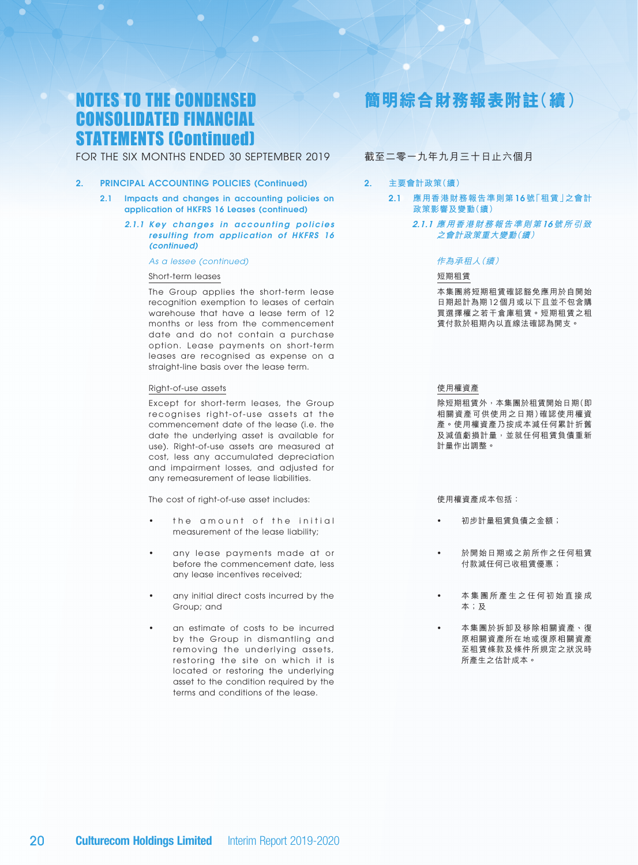### FOR THE SIX MONTHS ENDED 30 SEPTEMBER 2019

#### 2. PRINCIPAL ACCOUNTING POLICIES (Continued)

- 2.1 Impacts and changes in accounting policies on application of HKFRS 16 Leases (continued)
	- *2.1.1 Key changes in accounting policies resulting from application of HKFRS 16 (continued)*

#### *As a lessee (continued)*

#### Short-term leases

The Group applies the short-term lease recognition exemption to leases of certain warehouse that have a lease term of 12 months or less from the commencement date and do not contain a purchase option. Lease payments on short-term leases are recognised as expense on a straight-line basis over the lease term.

#### Right-of-use assets

Except for short-term leases, the Group recognises right-of-use assets at the commencement date of the lease (i.e. the date the underlying asset is available for use). Right-of-use assets are measured at cost, less any accumulated depreciation and impairment losses, and adjusted for any remeasurement of lease liabilities.

The cost of right-of-use asset includes:

- the amount of the initial measurement of the lease liability;
- any lease payments made at or before the commencement date, less any lease incentives received;
- any initial direct costs incurred by the Group; and
- an estimate of costs to be incurred by the Group in dismantling and removing the underlying assets, restoring the site on which it is located or restoring the underlying asset to the condition required by the terms and conditions of the lease.

# **簡明綜合財務報表附註(續)**

### 截至二零一九年九月三十日止六個月

### 2. **主要會計政策(續)**

- 2.1 **應用香港財務報告準則第** 16 **號「租賃」之會計 政策影響及變動(續)**
	- 2.1.1 **應用香港財務報告準則第** 16**號所引致 之會計政策重大變動(續)**

#### 作為承租人(續)

#### 短期租賃

本集團將短期租賃確認豁免應用於自開始 日期起計為期 12 個月或以下且並不包含購 買選擇權之若干倉庫租賃。短期租賃之租 賃付款於租期內以直線法確認為開支。

#### 使用權資產

除短期租賃外,本集團於租賃開始日期(即 相關資產可供使用之日期)確認使用權資 產。使用權資產乃按成本減任何累計折舊 及減值虧損計量,並就任何租賃負債重新 計量作出調整。

使用權資產成本包括:

- 初步計量租賃負債之金額;
- 於開始日期或之前所作之任何租賃 付款減任何已收租賃優惠;
- 本 集 團 所 產 生 之 任 何 初 始 直 接 成 本;及
- 本集團於拆卸及移除相關資產、復 原相關資產所在地或復原相關資產 至租賃條款及條件所規定之狀況時 所產生之估計成本。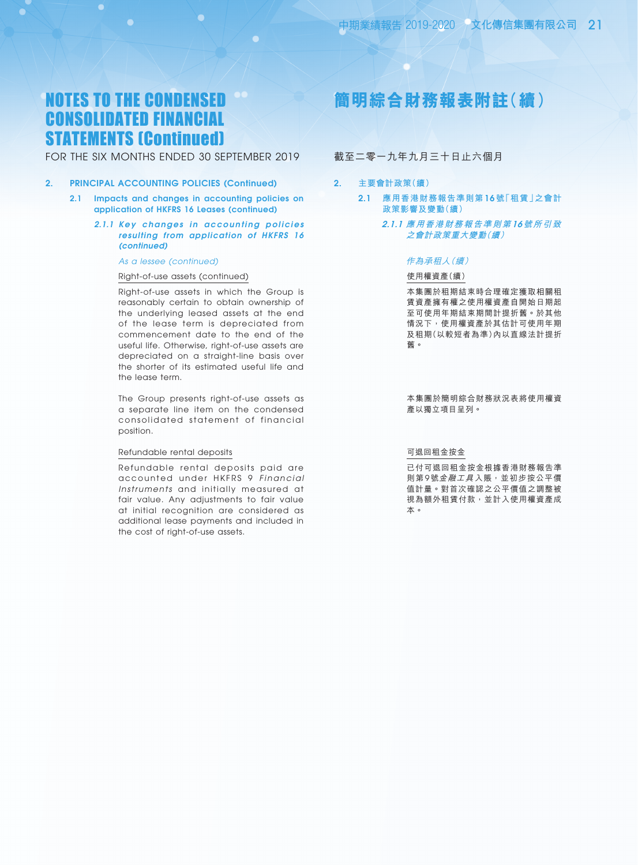### FOR THE SIX MONTHS ENDED 30 SEPTEMBER 2019

#### 2. PRINCIPAL ACCOUNTING POLICIES (Continued)

- 2.1 Impacts and changes in accounting policies on application of HKFRS 16 Leases (continued)
	- *2.1.1 Key changes in accounting policies resulting from application of HKFRS 16 (continued)*

#### *As a lessee (continued)*

#### Right-of-use assets (continued)

Right-of-use assets in which the Group is reasonably certain to obtain ownership of the underlying leased assets at the end of the lease term is depreciated from commencement date to the end of the useful life. Otherwise, right-of-use assets are depreciated on a straight-line basis over the shorter of its estimated useful life and the lease term.

The Group presents right-of-use assets as a separate line item on the condensed consolidated statement of financial position.

#### Refundable rental deposits

Refundable rental deposits paid are accounted under HKFRS 9 *Financial Instruments* and initially measured at fair value. Any adjustments to fair value at initial recognition are considered as additional lease payments and included in the cost of right-of-use assets.

# **簡明綜合財務報表附註(續)**

### 截至二零一九年九月三十日止六個月

- 2. **主要會計政策(續)**
	- 2.1 **應用香港財務報告準則第** 16 **號「租賃」之會計 政策影響及變動(續)**
		- 2.1.1 **應用香港財務報告準則第** 16**號所引致 之會計政策重大變動(續)**

#### 作為承租人(續)

#### 使用權資產(續)

本集團於租期結束時合理確定獲取相關租 賃資產擁有權之使用權資產自開始日期起 至可使用年期結束期間計提折舊。於其他 情況下,使用權資產於其估計可使用年期 及租期(以較短者為準)內以直線法計提折 舊。

本集團於簡明綜合財務狀況表將使用權資 產以獨立項目呈列。

#### 可退回租金按金

已付可退回租金按金根據香港財務報告準 則第9號金融工具入賬,並初步按公平價 值計量。對首次確認之公平價值之調整被 視為額外租賃付款,並計入使用權資產成 本。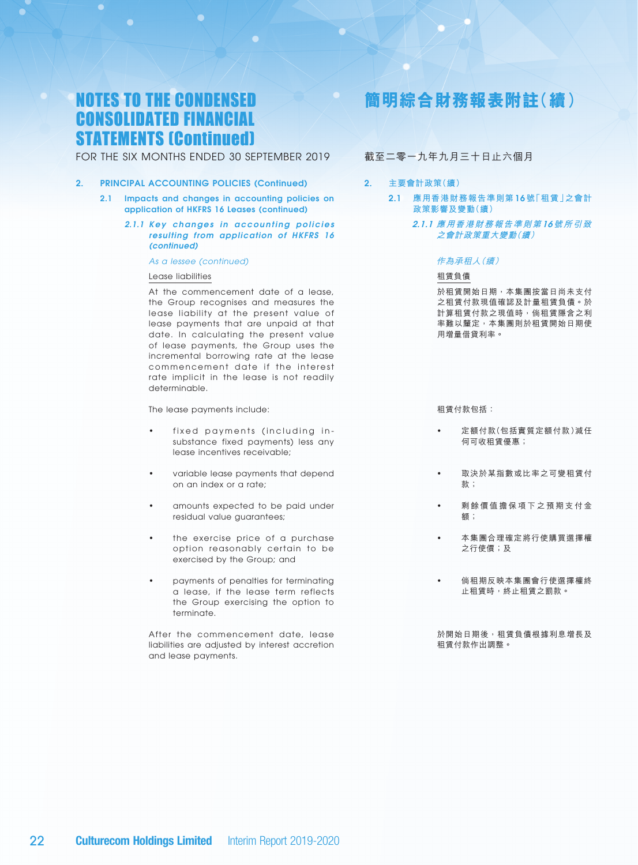### FOR THE SIX MONTHS ENDED 30 SEPTEMBER 2019

- 2. PRINCIPAL ACCOUNTING POLICIES (Continued)
	- 2.1 Impacts and changes in accounting policies on application of HKFRS 16 Leases (continued)
		- *2.1.1 Key changes in accounting policies resulting from application of HKFRS 16 (continued)*

#### *As a lessee (continued)*

#### Lease liabilities

At the commencement date of a lease, the Group recognises and measures the lease liability at the present value of lease payments that are unpaid at that date. In calculating the present value of lease payments, the Group uses the incremental borrowing rate at the lease commencement date if the interest rate implicit in the lease is not readily determinable.

The lease payments include:

- fixed payments (including insubstance fixed payments) less any lease incentives receivable;
- variable lease payments that depend on an index or a rate;
- amounts expected to be paid under residual value guarantees;
- the exercise price of a purchase option reasonably certain to be exercised by the Group; and
- payments of penalties for terminating a lease, if the lease term reflects the Group exercising the option to terminate.

After the commencement date, lease liabilities are adjusted by interest accretion and lease payments.

# **簡明綜合財務報表附註(續)**

### 截至二零一九年九月三十日止六個月

- 2. **主要會計政策(續)**
	- 2.1 **應用香港財務報告準則第** 16 **號「租賃」之會計 政策影響及變動(續)**
		- 2.1.1 **應用香港財務報告準則第** 16**號所引致 之會計政策重大變動(續)**

#### 作為承租人(續)

#### 租賃負債

於租賃開始日期,本集團按當日尚未支付 之租賃付款現值確認及計量租賃負債。於 計算租賃付款之現值時,倘租賃隱含之利 率難以釐定,本集團則於租賃開始日期使 用增量借貸利率。

租賃付款包括:

- 定額付款(包括實質定額付款)減任 何可收租賃優惠;
- 取決於某指數或比率之可變租賃付 款;
- 剩餘價值擔保項下之預期支付金 額;
- 本集團合理確定將行使購買選擇權 之行使價;及
	- 倘租期反映本集團會行使選擇權終 止租賃時,終止租賃之罰款。
- 於開始日期後,租賃負債根據利息增長及 租賃付款作出調整。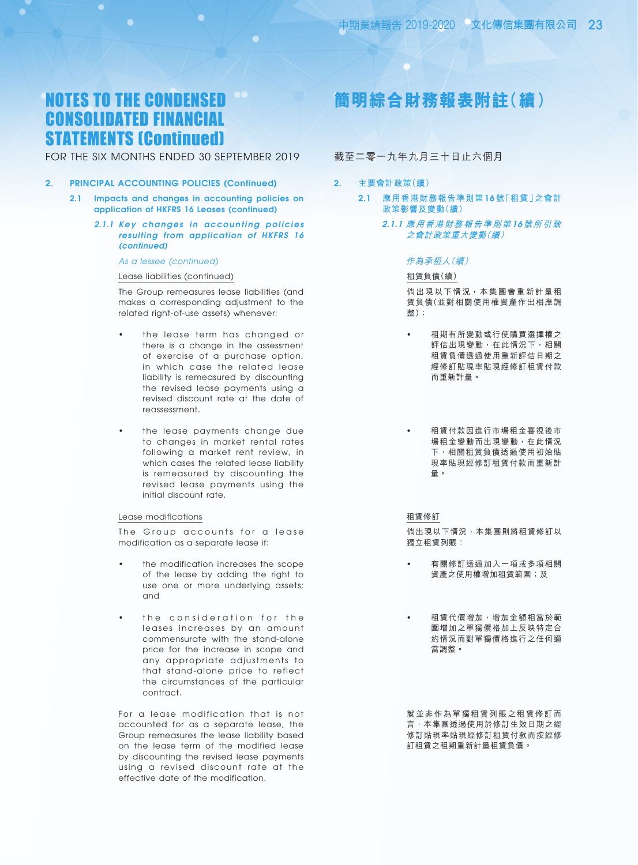### FOR THE SIX MONTHS ENDED 30 SEPTEMBER 2019

#### 2. PRINCIPAL ACCOUNTING POLICIES (Continued)

- 2.1 Impacts and changes in accounting policies on application of HKFRS 16 Leases (continued)
	- *2.1.1 Key changes in accounting policies resulting from application of HKFRS 16 (continued)*

#### *As a lessee (continued)*

#### Lease liabilities (continued)

The Group remeasures lease liabilities (and makes a corresponding adjustment to the related right-of-use assets) whenever:

- the lease term has changed or there is a change in the assessment of exercise of a purchase option, in which case the related lease liability is remeasured by discounting the revised lease payments using a revised discount rate at the date of reassessment.
- the lease payments change due to changes in market rental rates following a market rent review, in which cases the related lease liability is remeasured by discounting the revised lease payments using the initial discount rate.

#### Lease modifications

The Group accounts for a lease modification as a separate lease if:

- the modification increases the scope of the lease by adding the right to use one or more underlying assets; and
- the consideration for the leases increases by an amount commensurate with the stand-alone price for the increase in scope and any appropriate adjustments to that stand-alone price to reflect the circumstances of the particular contract.

For a lease modification that is not accounted for as a separate lease, the Group remeasures the lease liability based on the lease term of the modified lease by discounting the revised lease payments using a revised discount rate at the effective date of the modification.

# **簡明綜合財務報表附註(續)**

### 截至二零一九年九月三十日止六個月

- 2. **主要會計政策(續)**
	- 2.1 **應用香港財務報告準則第** 16 **號「租賃」之會計 政策影響及變動(續)**
		- 2.1.1 **應用香港財務報告準則第** 16**號所引致 之會計政策重大變動(續)**

#### 作為承租人(續)

#### 租賃負債(續)

倘出現以下情況,本集團會重新計量租 賃負債(並對相關使用權資產作出相應調 整):

- 租期有所變動或行使購買選擇權之 評估出現變動,在此情況下,相關 租賃負債透過使用重新評估日期之 經修訂貼現率貼現經修訂租賃付款 而重新計量。
	- 租賃付款因進行市場租金審視後市 場租金變動而出現變動,在此情況 下,相關租賃負債透過使用初始貼 現率貼現經修訂租賃付款而重新計 量。

租賃修訂

倘出現以下情況,本集團則將租賃修訂以 獨立租賃列賬:

- 有關修訂透過加入一項或多項相關 資產之使用權增加租賃範圍;及
- 租賃代價增加,增加金額相當於範 圍增加之單獨價格加上反映特定合 約情況而對單獨價格進行之任何適 當調整。

就並非作為單獨租賃列賬之租賃修訂而 言,本集團透過使用於修訂生效日期之經 修訂貼現率貼現經修訂租賃付款而按經修 訂租賃之租期重新計量租賃負債。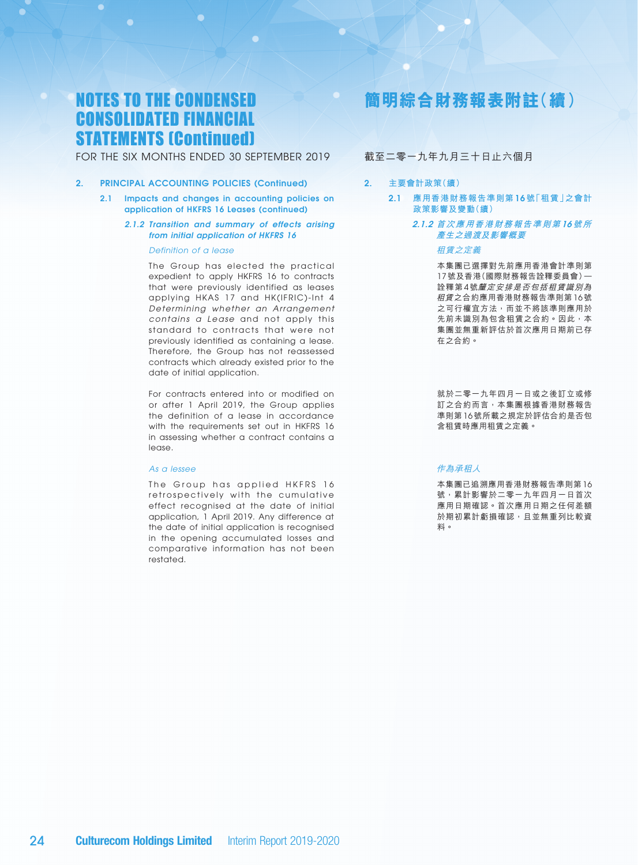FOR THE SIX MONTHS ENDED 30 SEPTEMBER 2019

- 2. PRINCIPAL ACCOUNTING POLICIES (Continued)
	- 2.1 Impacts and changes in accounting policies on application of HKFRS 16 Leases (continued)
		- *2.1.2 Transition and summary of effects arising from initial application of HKFRS 16*

*Definition of a lease*

The Group has elected the practical expedient to apply HKFRS 16 to contracts that were previously identified as leases applying HKAS 17 and HK(IFRIC)-Int 4 *Determining whether an Arrangement contains a Lease* and not apply this standard to contracts that were not previously identified as containing a lease. Therefore, the Group has not reassessed contracts which already existed prior to the date of initial application.

For contracts entered into or modified on or after 1 April 2019, the Group applies the definition of a lease in accordance with the requirements set out in HKFRS 16 in assessing whether a contract contains a lease.

#### *As a lessee*

The Group has applied HKFRS 16 retrospectively with the cumulative effect recognised at the date of initial application, 1 April 2019. Any difference at the date of initial application is recognised in the opening accumulated losses and comparative information has not been restated.

# **簡明綜合財務報表附註(續)**

### 截至二零一九年九月三十日止六個月

### 2. **主要會計政策(續)**

- 2.1 **應用香港財務報告準則第** 16 **號「租賃」之會計 政策影響及變動(續)**
	- 2.1.2 **首次應用香港財務報告準則第** 16**號所 產生之過渡及影響概要**

#### 租賃之定義

本集團已選擇對先前應用香港會計準則第 17 號及香港(國際財務報告詮釋委員會)— 詮釋第 4 號釐定安排是否包括租賃識別為 租賃之合約應用香港財務報告準則第 16 號 之可行權宜方法,而並不將該準則應用於 先前未識別為包含租賃之合約。因此,本 集團並無重新評估於首次應用日期前已存 在之合約。

就於二零一九年四月一日或之後訂立或修 訂之合約而言,本集團根據香港財務報告 準則第 16 號所載之規定於評估合約是否包 含租賃時應用租賃之定義。

#### 作為承租人

本集團已追溯應用香港財務報告準則第 16 號,累計影響於二零一九年四月一日首次 應用日期確認。首次應用日期之任何差額 於期初累計虧損確認,且並無重列比較資 料。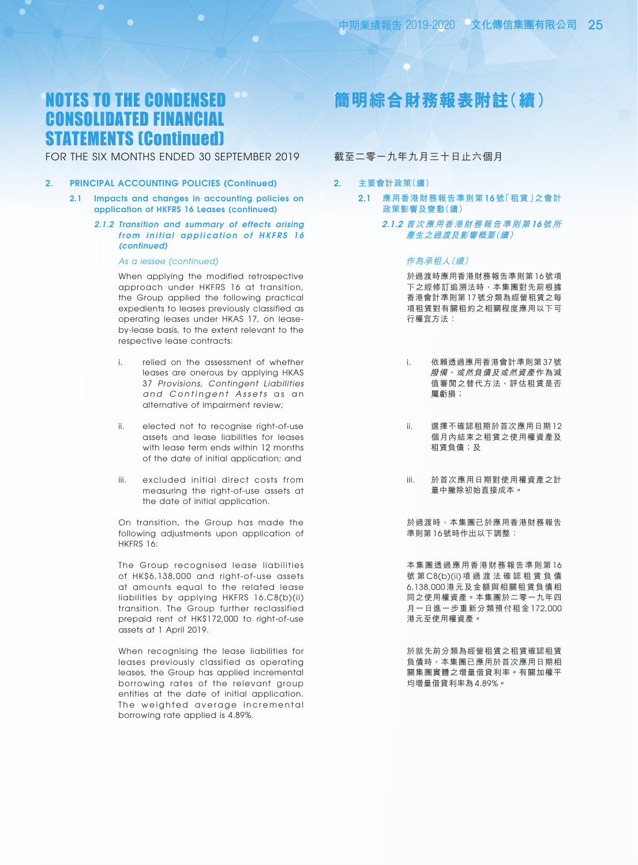### FOR THE SIX MONTHS ENDED 30 SEPTEMBER 2019

#### 2. PRINCIPAL ACCOUNTING POLICIES (Continued)

- 2.1 Impacts and changes in accounting policies on application of HKFRS 16 Leases (continued)
	- *2.1.2 Transition and summary of effects arising from initial application of HKFRS 16 (continued)*

#### *As a lessee (continued)*

When applying the modified retrospective approach under HKFRS 16 at transition, the Group applied the following practical expedients to leases previously classified as operating leases under HKAS 17, on leaseby-lease basis, to the extent relevant to the respective lease contracts:

- i. relied on the assessment of whether leases are onerous by applying HKAS 37 *Provisions, Contingent Liabilities*  and Contingent Assets as an alternative of impairment review;
- ii. elected not to recognise right-of-use assets and lease liabilities for leases with lease term ends within 12 months of the date of initial application; and
- iii. excluded initial direct costs from measuring the right-of-use assets at the date of initial application.

On transition, the Group has made the following adjustments upon application of HKFRS 16:

The Group recognised lease liabilities of HK\$6,138,000 and right-of-use assets at amounts equal to the related lease liabilities by applying HKFRS 16.C8(b)(ii) transition. The Group further reclassified prepaid rent of HK\$172,000 to right-of-use assets at 1 April 2019.

When recognising the lease liabilities for leases previously classified as operating leases, the Group has applied incremental borrowing rates of the relevant group entities at the date of initial application. The weighted average incremental borrowing rate applied is 4.89%.

# **簡明綜合財務報表附註(續)**

### 截至二零一九年九月三十日止六個月

- 2. **主要會計政策(續)**
	- 2.1 **應用香港財務報告準則第** 16 **號「租賃」之會計 政策影響及變動(續)**
		- 2.1.2 **首次應用香港財務報告準則第** 16**號所 產生之過渡及影響概要(續)**

### 作為承租人(續)

於過渡時應用香港財務報告準則第 16 號項 下之經修訂追溯法時,本集團對先前根據 香港會計準則第 17 號分類為經營租賃之每 項租賃對有關租約之相關程度應用以下可 行權宜方法:

- i. 依賴透過應用香港會計準則第 37 號 撥備、或然負債及或然資產 作為減 值審閲之替代方法,評估租賃是否 屬虧損;
- ii. 選擇不確認租期於首次應用日期 12 個月內結束之租賃之使用權資產及 租賃負債;及
- iii. 於首次應用日期對使用權資產之計 量中撇除初始直接成本。

於過渡時,本集團已於應用香港財務報告 準則第 16 號時作出以下調整:

本集團透過應用香港財務報告準則第 16 號 第 C8(b)(ii) 項 過 渡 法 確 認 租 賃 負 債 6,138,000 港元及金額與相關租賃負債相 同之使用權資產。本集團於二零一九年四 月一日進一步重新分類預付租金 172,000 港元至使用權資產。

於就先前分類為經營租賃之租賃確認租賃 負債時,本集團已應用於首次應用日期相 關集團實體之增量借貸利率。有關加權平 均增量借貸利率為 4.89%。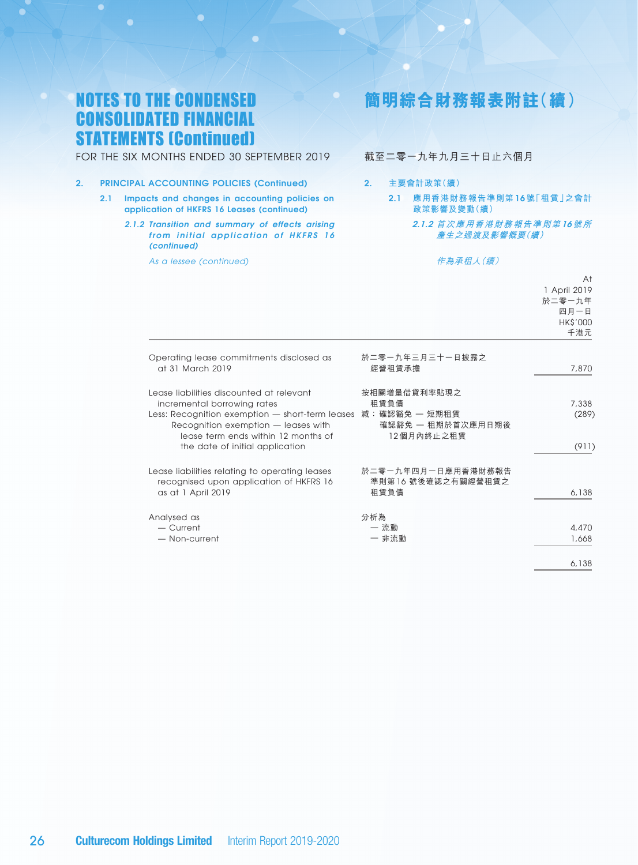FOR THE SIX MONTHS ENDED 30 SEPTEMBER 2019

- 2. PRINCIPAL ACCOUNTING POLICIES (Continued)
	- 2.1 Impacts and changes in accounting policies on application of HKFRS 16 Leases (continued)
		- *2.1.2 Transition and summary of effects arising from initial application of HKFRS 16 (continued)*

*As a lessee (continued)*

# **簡明綜合財務報表附註(續)**

### 截至二零一九年九月三十日止六個月

#### 2. **主要會計政策(續)**

- 2.1 **應用香港財務報告準則第** 16 **號「租賃」之會計 政策影響及變動(續)**
	- 2.1.2 **首次應用香港財務報告準則第** 16**號所 產生之過渡及影響概要(續)**

#### 作為承租人(續)

|                                                                                                                                                                                                                                             |                                                                          | At<br>1 April 2019<br>於二零一九年<br>四月一日<br>HK\$'000<br>千港元 |
|---------------------------------------------------------------------------------------------------------------------------------------------------------------------------------------------------------------------------------------------|--------------------------------------------------------------------------|---------------------------------------------------------|
| Operating lease commitments disclosed as<br>at 31 March 2019                                                                                                                                                                                | 於二零一九年三月三十一日披露之<br>經營租賃承擔                                                | 7,870                                                   |
| Lease liabilities discounted at relevant<br>incremental borrowing rates<br>Less: Recognition exemption - short-term leases<br>Recognition exemption - leases with<br>lease term ends within 12 months of<br>the date of initial application | 按相關增量借貸利率貼現之<br>租賃負債<br>減:確認豁免 — 短期租賃<br>確認豁免 一 租期於首次應用日期後<br>12個月內終止之租賃 | 7,338<br>(289)<br>(911)                                 |
| Lease liabilities relating to operating leases<br>recognised upon application of HKFRS 16<br>as at 1 April 2019                                                                                                                             | 於二零一九年四月一日應用香港財務報告<br>準則第16號後確認之有關經營租賃之<br>和賃負債                          | 6,138                                                   |
| Analysed as<br>- Current<br>- Non-current                                                                                                                                                                                                   | 分析為<br>一 流動<br>一 非流動                                                     | 4,470<br>1,668                                          |
|                                                                                                                                                                                                                                             |                                                                          | 6,138                                                   |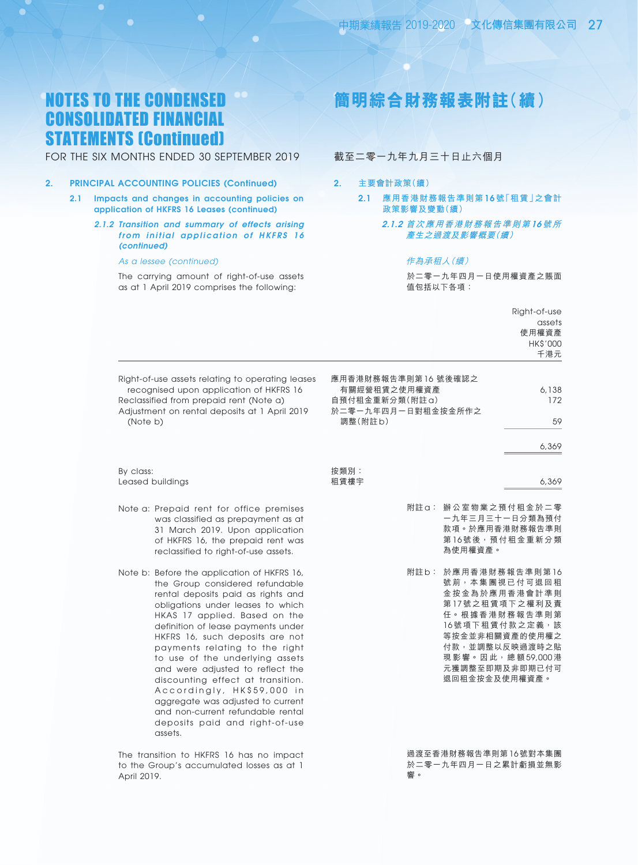FOR THE SIX MONTHS ENDED 30 SEPTEMBER 2019

### 2. PRINCIPAL ACCOUNTING POLICIES (Continued)

- 2.1 Impacts and changes in accounting policies on application of HKFRS 16 Leases (continued)
	- *2.1.2 Transition and summary of effects arising from initial application of HKFRS 16 (continued)*

#### *As a lessee (continued)*

The carrying amount of right-of-use assets as at 1 April 2019 comprises the following:

# **簡明綜合財務報表附註(續)**

### 截至二零一九年九月三十日止六個月

- 2. **主要會計政策(續)**
	- 2.1 **應用香港財務報告準則第** 16 **號「租賃」之會計 政策影響及變動(續)**
		- 2.1.2 **首次應用香港財務報告準則第** 16**號所 產生之過渡及影響概要(續)**

#### 作為承租人(續)

於二零一九年四月一日使用權資產之賬面 值包括以下各項:

|                                                                                                                                                                                                                                                                                                                                                                                                                                                                                                                                                                        |                                                                                                                                                                                                          | Right-of-use                              |
|------------------------------------------------------------------------------------------------------------------------------------------------------------------------------------------------------------------------------------------------------------------------------------------------------------------------------------------------------------------------------------------------------------------------------------------------------------------------------------------------------------------------------------------------------------------------|----------------------------------------------------------------------------------------------------------------------------------------------------------------------------------------------------------|-------------------------------------------|
|                                                                                                                                                                                                                                                                                                                                                                                                                                                                                                                                                                        |                                                                                                                                                                                                          | assets<br>使用權資產<br><b>HK\$'000</b><br>千港元 |
| Right-of-use assets relating to operating leases<br>recognised upon application of HKFRS 16<br>Reclassified from prepaid rent (Note a)<br>Adjustment on rental deposits at 1 April 2019<br>(Note b)                                                                                                                                                                                                                                                                                                                                                                    | 應用香港財務報告準則第16號後確認之<br>有關經營租賃之使用權資產<br>自預付租金重新分類(附註a)<br>於二零一九年四月一日對租金按金所作之<br>調整(附註b)                                                                                                                    | 6,138<br>172<br>59<br>6,369               |
| By class:<br>Leased buildings                                                                                                                                                                                                                                                                                                                                                                                                                                                                                                                                          | 按類別:<br>租賃樓宇                                                                                                                                                                                             | 6,369                                     |
| Note a: Prepaid rent for office premises<br>was classified as prepayment as at<br>31 March 2019. Upon application<br>of HKFRS 16, the prepaid rent was<br>reclassified to right-of-use assets.                                                                                                                                                                                                                                                                                                                                                                         | 辦公室物業之預付租金於二零<br>附註a:<br>一九年三月三十一日分類為預付<br>款項。於應用香港財務報告準則<br>第16號後,預付租金重新分類<br>為使用權資產。                                                                                                                   |                                           |
| Note b: Before the application of HKFRS 16,<br>the Group considered refundable<br>rental deposits paid as rights and<br>obligations under leases to which<br>HKAS 17 applied. Based on the<br>definition of lease payments under<br>HKFRS 16, such deposits are not<br>payments relating to the right<br>to use of the underlying assets<br>and were adjusted to reflect the<br>discounting effect at transition.<br>Accordingly, HK\$59,000 in<br>aggregate was adjusted to current<br>and non-current refundable rental<br>deposits paid and right-of-use<br>assets. | 附註b:<br>於應用香港財務報告準則第16<br>號前,本集團視已付可退回租<br>金按金為於應用香港會計準則<br>第17號之租賃項下之權利及責<br>任。根據香港財務報告準則第<br>16號項下租賃付款之定義,該<br>等按金並非相關資產的使用權之<br>付款,並調整以反映過渡時之貼<br>現影響。因此,總額59,000港<br>元獲調整至即期及非即期已付可<br>退回租金按金及使用權資產。 |                                           |
| The transition to HKFRS 16 has no impact<br>السامي ويسترد والمستقل المستنقل والمستنقل والمستنقص والمستنقل والمستنقل                                                                                                                                                                                                                                                                                                                                                                                                                                                    | 過渡至香港財務報告準則第16號對本集團<br>认一重二五年而且二口为男斗艇捐杀無影                                                                                                                                                                |                                           |

to the Group's accumulated losses as at 1 April 2019.

於二零一九年四月一日之累計虧損並無影 響。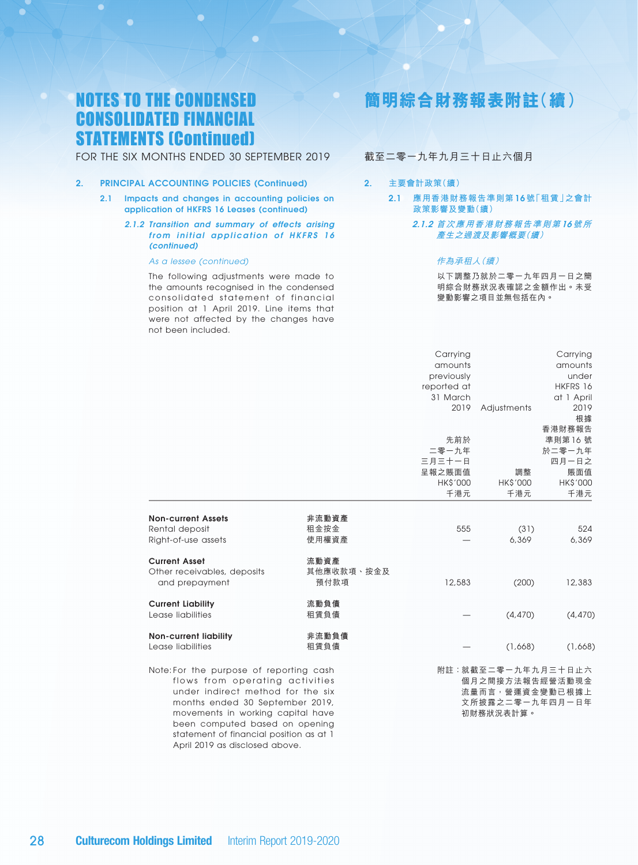FOR THE SIX MONTHS ENDED 30 SEPTEMBER 2019

### 2. PRINCIPAL ACCOUNTING POLICIES (Continued)

- 2.1 Impacts and changes in accounting policies on application of HKFRS 16 Leases (continued)
	- *2.1.2 Transition and summary of effects arising from initial application of HKFRS 16 (continued)*

#### *As a lessee (continued)*

The following adjustments were made to the amounts recognised in the condensed consolidated statement of financial position at 1 April 2019. Line items that were not affected by the changes have not been included.

# **簡明綜合財務報表附註(續)**

### 截至二零一九年九月三十日止六個月

### 2. **主要會計政策(續)**

2.1 **應用香港財務報告準則第** 16 **號「租賃」之會計 政策影響及變動(續)**

#### 2.1.2 **首次應用香港財務報告準則第** 16**號所 產生之過渡及影響概要(續)**

### 作為承租人(續)

以下調整乃就於二零一九年四月一日之簡 明綜合財務狀況表確認之金額作出。未受 變動影響之項目並無包括在內。

|                                                                                                                                                                                                                           |                            | Carrying<br>amounts<br>previously<br>reported at<br>31 March<br>2019 | Adjustments                                                                               | Carrying<br>amounts<br>under<br>HKFRS 16<br>at 1 April<br>2019<br>根據<br>香港財務報告 |
|---------------------------------------------------------------------------------------------------------------------------------------------------------------------------------------------------------------------------|----------------------------|----------------------------------------------------------------------|-------------------------------------------------------------------------------------------|--------------------------------------------------------------------------------|
|                                                                                                                                                                                                                           |                            | 先前於<br>二零一九年<br>三月三十一日<br>呈報之賬面值<br><b>HK\$'000</b><br>千港元           | 調整<br>HK\$'000<br>千港元                                                                     | 準則第16號<br>於二零一九年<br>四月一日之<br>賬面值<br>HK\$'000<br>千港元                            |
| <b>Non-current Assets</b><br>Rental deposit<br>Right-of-use assets                                                                                                                                                        | 非流動資產<br>租金按金<br>使用權資產     | 555                                                                  | (31)<br>6,369                                                                             | 524<br>6,369                                                                   |
| <b>Current Asset</b><br>Other receivables, deposits<br>and prepayment                                                                                                                                                     | 流動資產<br>其他應收款項、按金及<br>預付款項 | 12,583                                                               | (200)                                                                                     | 12,383                                                                         |
| <b>Current Liability</b><br>Lease liabilities                                                                                                                                                                             | 流動負債<br>租賃負債               |                                                                      | (4, 470)                                                                                  | (4, 470)                                                                       |
| <b>Non-current liability</b><br>Lease liabilities                                                                                                                                                                         | 非流動負債<br>租賃負債              |                                                                      | (1,668)                                                                                   | (1,668)                                                                        |
| Note: For the purpose of reporting cash<br>flows from operating activities<br>under indirect method for the six<br>months ended 30 September 2019,<br>movements in working capital have<br>been computed based on opening |                            |                                                                      | 附註: 就截至二零一九年九月三十日止六<br>個月之間接方法報告經營活動現金<br>流量而言,營運資金變動已根據上<br>文所披露之二零一九年四月一日年<br>初財務狀況表計算。 |                                                                                |

statement of financial position as at 1 April 2019 as disclosed above.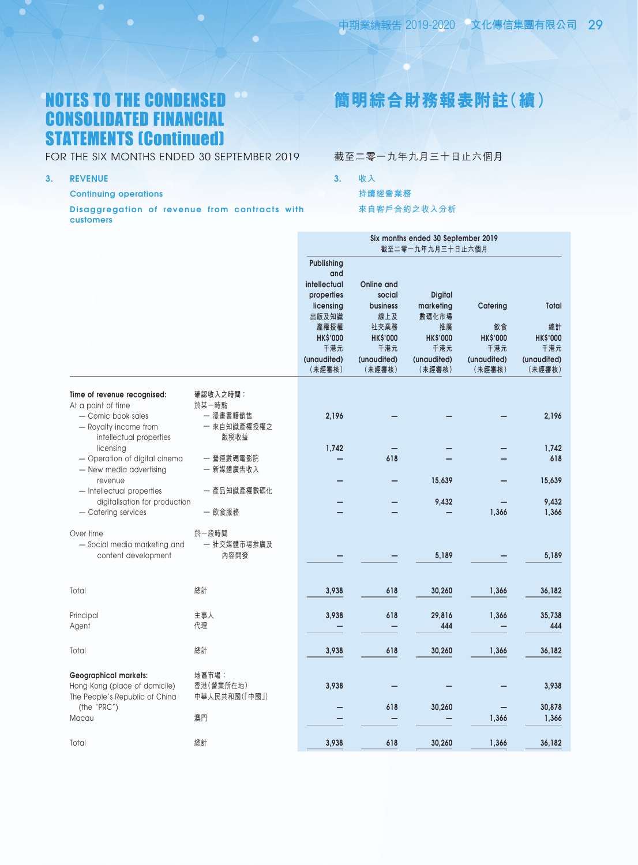FOR THE SIX MONTHS ENDED 30 SEPTEMBER 2019

3. REVENUE

Continuing operations

Disaggregation of revenue from contracts with customers

# **簡明綜合財務報表附註(續)**

截至二零一九年九月三十日止六個月

- 3. **收入**
	- **持續經營業務**

**來自客戶合約之收入分析**

|                                                                                                                             |                                                      | Six months ended 30 September 2019<br>截至二零一九年九月三十日止六個月                                                                    |                                                                                                    |                                                                                               |                                                                   |                                                                |
|-----------------------------------------------------------------------------------------------------------------------------|------------------------------------------------------|---------------------------------------------------------------------------------------------------------------------------|----------------------------------------------------------------------------------------------------|-----------------------------------------------------------------------------------------------|-------------------------------------------------------------------|----------------------------------------------------------------|
|                                                                                                                             |                                                      | Publishing<br>and<br>intellectual<br>properties<br>licensing<br>出版及知識<br>產權授權<br>HK\$'000<br>千港元<br>(unaudited)<br>(未經審核) | Online and<br>social<br><b>business</b><br>線上及<br>社交業務<br>HK\$'000<br>千港元<br>(unaudited)<br>(未經審核) | <b>Digital</b><br>marketing<br>數碼化市場<br>推廣<br><b>HK\$'000</b><br>千港元<br>(unaudited)<br>(未經審核) | Catering<br>飲食<br><b>HK\$'000</b><br>千港元<br>(unaudited)<br>(未經審核) | Total<br>總計<br><b>HK\$'000</b><br>千港元<br>(unaudited)<br>(未經審核) |
| Time of revenue recognised:<br>At a point of time<br>- Comic book sales<br>- Royalty income from<br>intellectual properties | 確認收入之時間:<br>於某一時點<br>一 漫畫書籍銷售<br>一 來自知識產權授權之<br>版税收益 | 2,196                                                                                                                     |                                                                                                    |                                                                                               |                                                                   | 2,196                                                          |
| licensing<br>- Operation of digital cinema<br>- New media advertising                                                       | 一 營運數碼電影院<br>一 新媒體廣告收入                               | 1,742                                                                                                                     | 618                                                                                                |                                                                                               |                                                                   | 1,742<br>618                                                   |
| revenue<br>- Intellectual properties<br>digitalisation for production<br>- Catering services                                | 一 產品知識產權數碼化<br>一 飲食服務                                |                                                                                                                           |                                                                                                    | 15,639<br>9,432                                                                               | 1,366                                                             | 15,639<br>9,432<br>1,366                                       |
| Over time<br>- Social media marketing and<br>content development                                                            | 於一段時間<br>一 社交媒體市場推廣及<br>內容開發                         |                                                                                                                           |                                                                                                    | 5,189                                                                                         |                                                                   | 5,189                                                          |
| Total                                                                                                                       | 總計                                                   | 3,938                                                                                                                     | 618                                                                                                | 30,260                                                                                        | 1,366                                                             | 36,182                                                         |
| Principal<br>Agent                                                                                                          | 主事人<br>代理                                            | 3,938                                                                                                                     | 618                                                                                                | 29,816<br>444                                                                                 | 1,366                                                             | 35,738<br>444                                                  |
| Total                                                                                                                       | 總計                                                   | 3,938                                                                                                                     | 618                                                                                                | 30,260                                                                                        | 1,366                                                             | 36,182                                                         |
| <b>Geographical markets:</b><br>Hong Kong (place of domicile)<br>The People's Republic of China                             | 地區市場:<br>香港(營業所在地)<br>中華人民共和國(「中國」)                  | 3,938                                                                                                                     |                                                                                                    |                                                                                               |                                                                   | 3,938                                                          |
| (the "PRC")<br>Macau                                                                                                        | 澳門                                                   |                                                                                                                           | 618                                                                                                | 30,260                                                                                        | 1,366                                                             | 30,878<br>1,366                                                |
| Total                                                                                                                       | 總計                                                   | 3,938                                                                                                                     | 618                                                                                                | 30,260                                                                                        | 1,366                                                             | 36,182                                                         |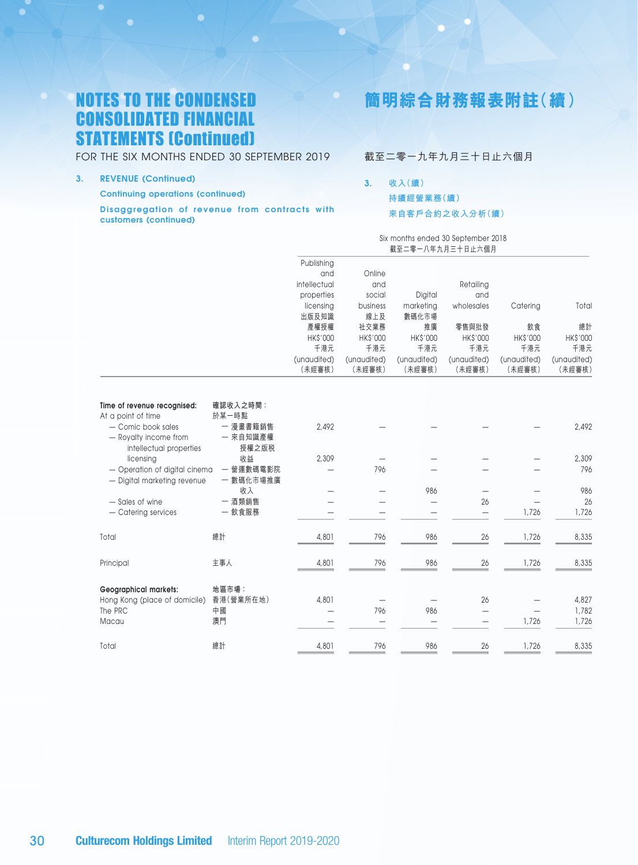FOR THE SIX MONTHS ENDED 30 SEPTEMBER 2019

3. REVENUE (continued)

O

Continuing operations (continued)

Disaggregation of revenue from contracts with customers (continued)

# **簡明綜合財務報表附註(續)**

### 截至二零一九年九月三十日止六個月

3. **收入(續) 持續經營業務(續) 來自客戶合約之收入分析(續)**

> Six months ended 30 September 2018 截至二零一八年九月三十日止六個月

|                                                                                                                                                                                                          |                                                                                          | Publishing<br>and<br>intellectual<br>properties<br>licensing<br>出版及知識<br>產權授權<br>HK\$'000<br>千港元<br>(unaudited)<br>(未經審核) | Online<br>and<br>social<br>business<br>線上及<br>社交業務<br>HK\$'000<br>千港元<br>(unaudited)<br>(未經審核) | Digital<br>marketing<br>數碼化市場<br>推廣<br>HK\$'000<br>千港元<br>(unaudited)<br>(未經審核) | Retailing<br>and<br>wholesales<br>零售與批發<br>HK\$'000<br>千港元<br>(unaudited)<br>(未經審核) | Catering<br>飲食<br>HK\$'000<br>千港元<br>(unaudited)<br>(未經審核) | Total<br>總計<br>HK\$'000<br>千港元<br>(unaudited)<br>(未經審核) |
|----------------------------------------------------------------------------------------------------------------------------------------------------------------------------------------------------------|------------------------------------------------------------------------------------------|---------------------------------------------------------------------------------------------------------------------------|------------------------------------------------------------------------------------------------|---------------------------------------------------------------------------------|-------------------------------------------------------------------------------------|------------------------------------------------------------|---------------------------------------------------------|
| Time of revenue recognised:<br>At a point of time<br>- Comic book sales<br>- Royalty income from<br>intellectual properties<br>licensing<br>- Operation of digital cinema<br>- Digital marketing revenue | 確認收入之時間:<br>於某一時點<br>一 漫畫書籍銷售<br>一 來自知識產權<br>授權之版税<br>收益<br>一 營運數碼電影院<br>一 數碼化市場推廣<br>收入 | 2,492<br>2,309                                                                                                            | 796                                                                                            | 986                                                                             |                                                                                     |                                                            | 2,492<br>2,309<br>796<br>986                            |
| - Sales of wine<br>- Catering services                                                                                                                                                                   | 一 酒類銷售<br>一 飲食服務                                                                         |                                                                                                                           |                                                                                                |                                                                                 | 26                                                                                  | 1,726                                                      | 26<br>1,726                                             |
| Total                                                                                                                                                                                                    | 總計                                                                                       | 4,801                                                                                                                     | 796                                                                                            | 986                                                                             | 26                                                                                  | 1,726                                                      | 8,335                                                   |
| Principal                                                                                                                                                                                                | 主事人                                                                                      | 4,801                                                                                                                     | 796                                                                                            | 986                                                                             | 26                                                                                  | 1,726                                                      | 8,335                                                   |
| <b>Geographical markets:</b><br>Hong Kong (place of domicile)<br>The PRC<br>Macau                                                                                                                        | 地區市場:<br>香港(營業所在地)<br>中國<br>澳門                                                           | 4,801<br>$\overline{\phantom{0}}$                                                                                         | 796                                                                                            | 986                                                                             | 26                                                                                  | 1,726                                                      | 4,827<br>1,782<br>1,726                                 |
| Total                                                                                                                                                                                                    | 總計                                                                                       | 4,801                                                                                                                     | 796                                                                                            | 986                                                                             | 26                                                                                  | 1,726                                                      | 8,335                                                   |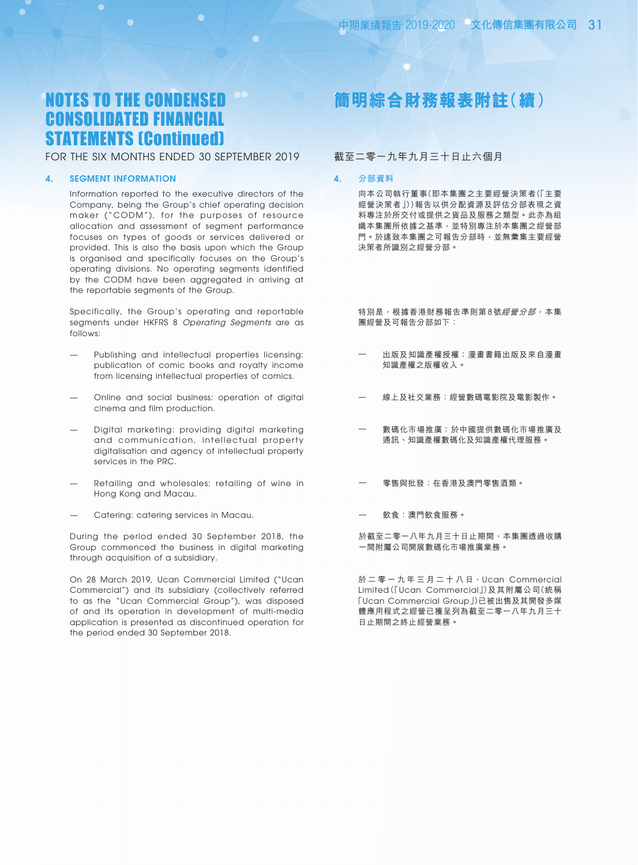### FOR THE SIX MONTHS ENDED 30 SEPTEMBER 2019

#### 4. SEGMENT INFORMATION

Information reported to the executive directors of the Company, being the Group's chief operating decision maker ("CODM"), for the purposes of resource allocation and assessment of segment performance focuses on types of goods or services delivered or provided. This is also the basis upon which the Group is organised and specifically focuses on the Group's operating divisions. No operating segments identified by the CODM have been aggregated in arriving at the reportable segments of the Group.

Specifically, the Group's operating and reportable segments under HKFRS 8 *Operating Segments* are as follows:

- Publishing and intellectual properties licensing: publication of comic books and royalty income from licensing intellectual properties of comics.
- Online and social business: operation of digital cinema and film production.
- Digital marketing: providing digital marketing and communication, intellectual property digitalisation and agency of intellectual property services in the PRC.
- Retailing and wholesales: retailing of wine in Hong Kong and Macau.
- Catering: catering services in Macau.

During the period ended 30 September 2018, the Group commenced the business in digital marketing through acquisition of a subsidiary.

On 28 March 2019, Ucan Commercial Limited ("Ucan Commercial") and its subsidiary (collectively referred to as the "Ucan Commercial Group"), was disposed of and its operation in development of multi-media application is presented as discontinued operation for the period ended 30 September 2018.

# **簡明綜合財務報表附註(續)**

### 截至二零一九年九月三十日止六個月

#### 4. **分部資料**

向本公司執行董事(即本集團之主要經營決策者(「主要 經營決策者」))報告以供分配資源及評估分部表現之資 料專注於所交付或提供之貨品及服務之類型。此亦為組 織本集團所依據之基準,並特別專注於本集團之經營部 門。於達致本集團之可報告分部時,並無彙集主要經營 決策者所識別之經營分部。

特別是,根據香港財務報告準則第8號經營分部,本集 團經營及可報告分部如下:

- 出版及知識產權授權:漫畫書籍出版及來自漫畫 知識產權之版權收入。
- 線上及社交業務:經營數碼電影院及電影製作。
- 數碼化市場推廣 ﹕於中國提供數碼化市場推廣及 通訊、知識產權數碼化及知識產權代理服務。
- 零售與批發:在香港及澳門零售酒類。
- 飲食:澳門飲食服務。

於截至二零一八年九月三十日止期間,本集團透過收購 一間附屬公司開展數碼化市場推廣業務。

於二零一九年三月二十八日, Ucan Commercial Limited(「Ucan Commercial」)及其附屬公司(統稱 「Ucan Commercial Group」)已被出售及其開發多媒 體應用程式之經營已獲呈列為截至二零一八年九月三十 日止期間之終止經營業務。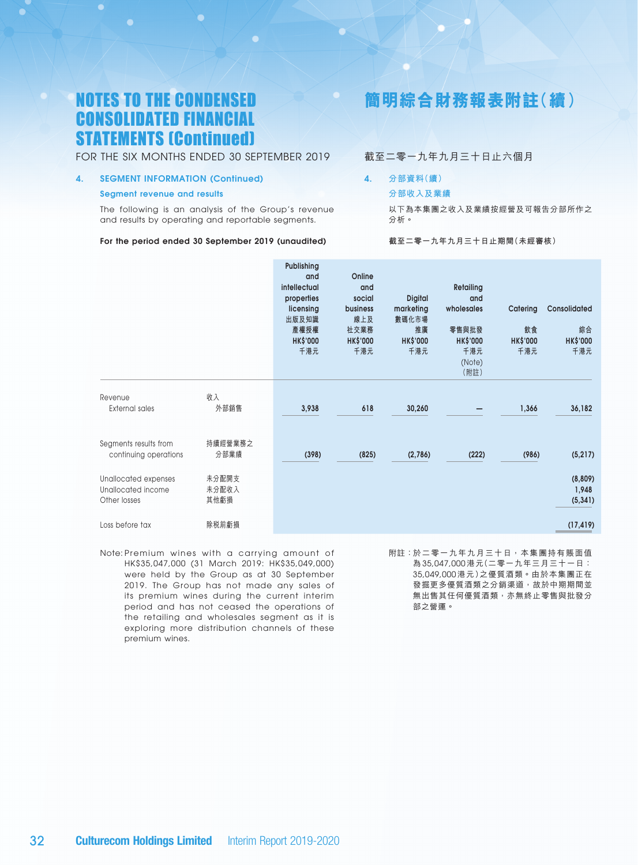### FOR THE SIX MONTHS ENDED 30 SEPTEMBER 2019

### 4. SEGMENT INFORMATION (Continued)

#### Segment revenue and results

The following is an analysis of the Group's revenue and results by operating and reportable segments.

#### For the period ended 30 September 2019 (unaudited)

## **簡明綜合財務報表附註(續)**

### 截至二零一九年九月三十日止六個月

### 4. **分部資料(續)**

#### **分部收入及業績**

以下為本集團之收入及業績按經營及可報告分部所作之 分析。

#### **截至二零一九年九月三十日止期間(未經審核)**

|                                                            |                        | Publishing<br>and<br>intellectual<br>properties<br>licensing<br>出版及知識<br>產權授權<br><b>HK\$'000</b><br>千港元 | Online<br>and<br>social<br>business<br>線上及<br>社交業務<br><b>HK\$'000</b><br>千港元 | <b>Digital</b><br>marketing<br>數碼化市場<br>推廣<br><b>HK\$'000</b><br>千港元 | <b>Retailing</b><br>and<br>wholesales<br>零售與批發<br><b>HK\$'000</b><br>千港元<br>(Note)<br>(附註) | Catering<br>飲食<br><b>HK\$'000</b><br>千港元 | Consolidated<br>綜合<br><b>HK\$'000</b><br>千港元 |
|------------------------------------------------------------|------------------------|---------------------------------------------------------------------------------------------------------|------------------------------------------------------------------------------|----------------------------------------------------------------------|--------------------------------------------------------------------------------------------|------------------------------------------|----------------------------------------------|
| Revenue<br><b>External sales</b>                           | 收入<br>外部銷售             | 3,938                                                                                                   | 618                                                                          | 30,260                                                               |                                                                                            | 1,366                                    | 36,182                                       |
| Segments results from<br>continuing operations             | 持續經營業務之<br>分部業績        | (398)                                                                                                   | (825)                                                                        | (2,786)                                                              | (222)                                                                                      | (986)                                    | (5, 217)                                     |
| Unallocated expenses<br>Unallocated income<br>Other losses | 未分配開支<br>未分配收入<br>其他虧損 |                                                                                                         |                                                                              |                                                                      |                                                                                            |                                          | (8,809)<br>1,948<br>(5, 341)                 |
| Loss before tax                                            | 除税前虧損                  |                                                                                                         |                                                                              |                                                                      |                                                                                            |                                          | (17, 419)                                    |

Note: Premium wines with a carrying amount of HK\$35,047,000 (31 March 2019: HK\$35,049,000) were held by the Group as at 30 September 2019. The Group has not made any sales of its premium wines during the current interim period and has not ceased the operations of the retailing and wholesales segment as it is exploring more distribution channels of these premium wines.

附註:於二零一九年九月三十日,本集團持有賬面值 為 35,047,000 港元(二零一九年三月三十一日: 35,049,000 港元)之優質酒類。由於本集團正在 發掘更多優質酒類之分銷渠道,故於中期期間並 無出售其任何優質酒類,亦無終止零售與批發分 部之營運。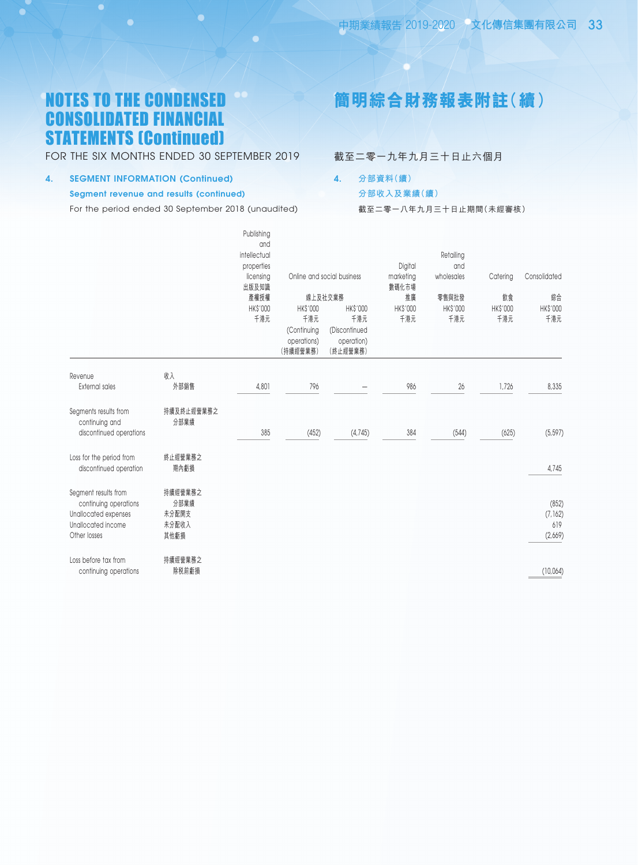FOR THE SIX MONTHS ENDED 30 SEPTEMBER 2019

### 4. SEGMENT INFORMATION (Continued)

### Segment revenue and results (continued)

For the period ended 30 September 2018 (unaudited)

# **簡明綜合財務報表附註(續)**

截至二零一九年九月三十日止六個月

4. **分部資料(續)**

### **分部收入及業績(續)**

截至二零一八年九月三十日止期間(未經審核)

|                                                                                                             |                                           | Publishing<br>and<br>intellectual<br>properties<br>licensing<br>出版及知識<br>產權授權<br>HK\$'000<br>千港元 | HK\$'000<br>千港元<br>(Continuing<br>operations)<br>(持續經營業務) | Online and social business<br>線上及社交業務<br><b>HK\$'000</b><br>千港元<br>(Discontinued<br>operation)<br>(終止經營業務) | Digital<br>marketing<br>數碼化市場<br>推廣<br>HK\$'000<br>千港元 | Retailing<br>and<br>wholesales<br>零售與批發<br>HK\$'000<br>千港元 | Catering<br>飲食<br>HK\$'000<br>千港元 | Consolidated<br>綜合<br>HK\$'000<br>千港元 |
|-------------------------------------------------------------------------------------------------------------|-------------------------------------------|--------------------------------------------------------------------------------------------------|-----------------------------------------------------------|------------------------------------------------------------------------------------------------------------|--------------------------------------------------------|------------------------------------------------------------|-----------------------------------|---------------------------------------|
| Revenue                                                                                                     | 收入                                        |                                                                                                  |                                                           |                                                                                                            |                                                        |                                                            |                                   |                                       |
| <b>External sales</b>                                                                                       | 外部銷售                                      | 4,801                                                                                            | 796                                                       |                                                                                                            | 986                                                    | 26                                                         | 1,726                             | 8,335                                 |
| Segments results from<br>continuing and<br>discontinued operations                                          | 持續及終止經營業務之<br>分部業績                        | 385                                                                                              | (452)                                                     | (4,745)                                                                                                    | 384                                                    | (544)                                                      | (625)                             | (5, 597)                              |
| Loss for the period from<br>discontinued operation                                                          | 終止經營業務之<br>期內虧損                           |                                                                                                  |                                                           |                                                                                                            |                                                        |                                                            |                                   | 4,745                                 |
| Segment results from<br>continuing operations<br>Unallocated expenses<br>Unallocated income<br>Other losses | 持續經營業務之<br>分部業績<br>未分配開支<br>未分配收入<br>其他虧損 |                                                                                                  |                                                           |                                                                                                            |                                                        |                                                            |                                   | (852)<br>(7, 162)<br>619<br>(2,669)   |
| Loss before tax from<br>continuing operations                                                               | 持續經營業務之<br>除税前虧損                          |                                                                                                  |                                                           |                                                                                                            |                                                        |                                                            |                                   | (10,064)                              |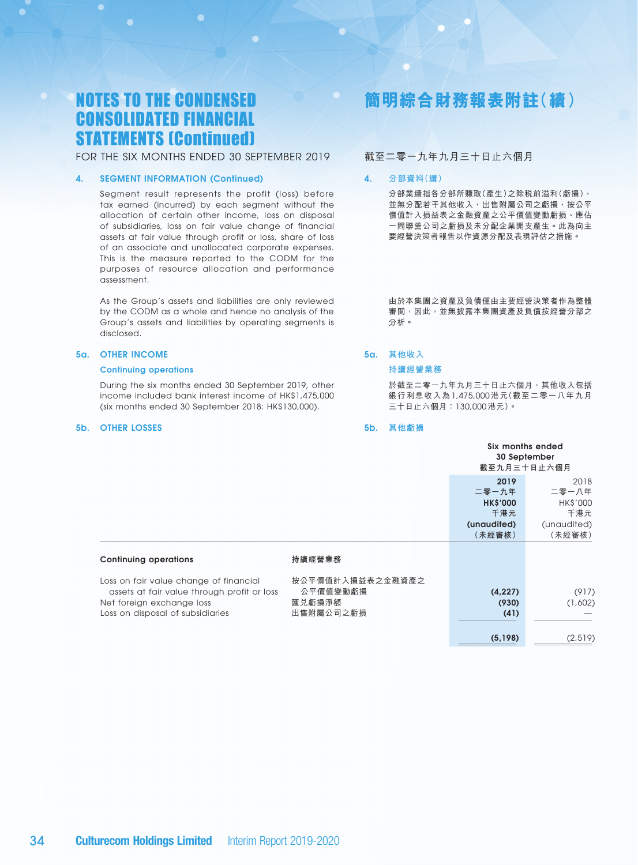FOR THE SIX MONTHS ENDED 30 SEPTEMBER 2019

#### 4. SEGMENT INFORMATION (Continued)

Segment result represents the profit (loss) before tax earned (incurred) by each segment without the allocation of certain other income, loss on disposal of subsidiaries, loss on fair value change of financial assets at fair value through profit or loss, share of loss of an associate and unallocated corporate expenses. This is the measure reported to the CODM for the purposes of resource allocation and performance assessment.

As the Group's assets and liabilities are only reviewed by the CODM as a whole and hence no analysis of the Group's assets and liabilities by operating segments is disclosed.

#### 5a. OTHER INCOME

#### Continuing operations

During the six months ended 30 September 2019, other income included bank interest income of HK\$1,475,000 (six months ended 30 September 2018: HK\$130,000).

#### 5b. OTHER LOSSES

# **簡明綜合財務報表附註(續)**

### 截至二零一九年九月三十日止六個月

#### 4. **分部資料(續)**

分部業績指各分部所賺取(產生)之除稅前溢利(虧損), 並無分配若干其他收入、出售附屬公司之虧損、按公平 價值計入損益表之金融資產之公平價值變動虧損、應佔 一間聯營公司之虧損及未分配企業開支產生。此為向主 要經營決策者報告以作資源分配及表現評估之措施。

由於本集團之資產及負債僅由主要經營決策者作為整體 審閲,因此,並無披露本集團資產及負債按經營分部之 分析。

### 5a. **其他收入**

### **持續經營業務**

於截至二零一九年九月三十日止六個月,其他收入包括 銀行利息收入為 1,475,000 港元(截至二零一八年九月 三十日止六個月:130,000 港元)。

#### 5b. **其他虧損**

|                                                                                                                                                        |                                                     | 截至九月三十日止六個月                                                      | Six months ended<br>30 September                                 |
|--------------------------------------------------------------------------------------------------------------------------------------------------------|-----------------------------------------------------|------------------------------------------------------------------|------------------------------------------------------------------|
|                                                                                                                                                        |                                                     | 2019<br>二零一九年<br><b>HK\$'000</b><br>千港元<br>(unaudited)<br>(未經審核) | 2018<br>二零一八年<br><b>HK\$'000</b><br>千港元<br>(unaudited)<br>(未經審核) |
| <b>Continuing operations</b>                                                                                                                           | 持續經營業務                                              |                                                                  |                                                                  |
| Loss on fair value change of financial<br>assets at fair value through profit or loss<br>Net foreign exchange loss<br>Loss on disposal of subsidiaries | 按公平價值計入損益表之金融資產之<br>公平價值變動虧損<br>匯兑虧損淨額<br>出售附屬公司之虧損 | (4, 227)<br>(930)<br>(41)                                        | (917)<br>(1,602)                                                 |
|                                                                                                                                                        |                                                     | (5, 198)                                                         | (2,519)                                                          |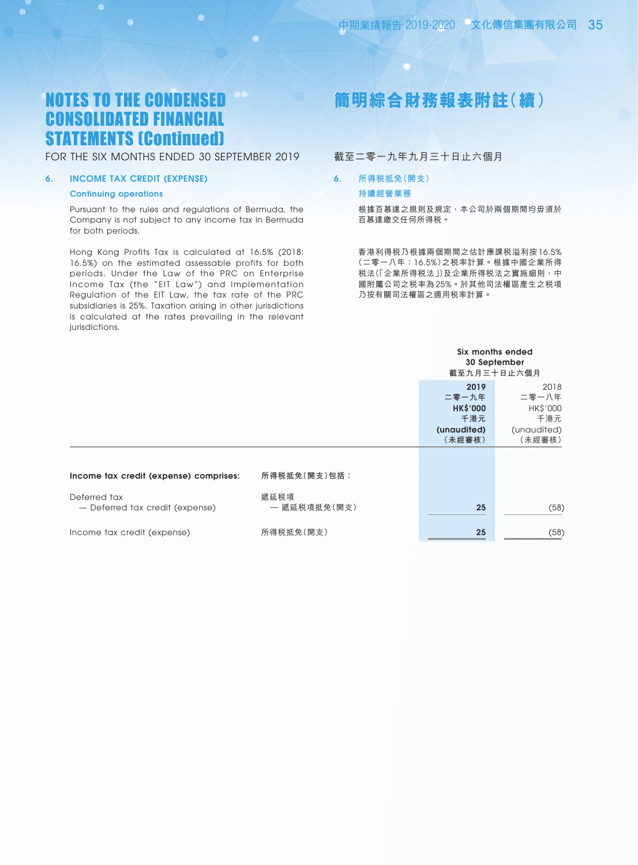### FOR THE SIX MONTHS ENDED 30 SEPTEMBER 2019

### 6. INCOME TAX CREDIT (EXPENSE)

#### Continuing operations

O

Pursuant to the rules and regulations of Bermuda, the Company is not subject to any income tax in Bermuda for both periods.

Hong Kong Profits Tax is calculated at 16.5% (2018: 16.5%) on the estimated assessable profits for both periods. Under the Law of the PRC on Enterprise Income Tax (the "EIT Law") and Implementation Regulation of the EIT Law, the tax rate of the PRC subsidiaries is 25%. Taxation arising in other jurisdictions is calculated at the rates prevailing in the relevant jurisdictions.

# **簡明綜合財務報表附註(續)**

### 截至二零一九年九月三十日止六個月

#### 6. **所得稅抵免(開支)**

#### **持續經營業務**

根據百慕達之規則及規定,本公司於兩個期間均毋須於 百慕達繳交任何所得稅。

香港利得稅乃根據兩個期間之估計應課稅溢利按 16.5% (二零一八年:16.5%)之稅率計算。根據中國企業所得 税法(「企業所得税法」)及企業所得税法之實施細則,中 國附屬公司之稅率為 25%。於其他司法權區產生之稅項 乃按有關司法權區之適用稅率計算。

|                                                 |                      |                                                                  | Six months ended<br>30 September<br>截至九月三十日止六個月           |
|-------------------------------------------------|----------------------|------------------------------------------------------------------|-----------------------------------------------------------|
|                                                 |                      | 2019<br>二零一九年<br><b>HK\$'000</b><br>千港元<br>(unaudited)<br>(未經審核) | 2018<br>二零一八年<br>HK\$'000<br>千港元<br>(unaudited)<br>(未經審核) |
| Income tax credit (expense) comprises:          | 所得税抵免(開支)包括:         |                                                                  |                                                           |
| Deferred tax<br>- Deferred tax credit (expense) | 遞延税項<br>一 遞延税項抵免(開支) | 25                                                               | (58)                                                      |
| Income tax credit (expense)                     | 所得税抵免(開支)            | 25                                                               | (58)                                                      |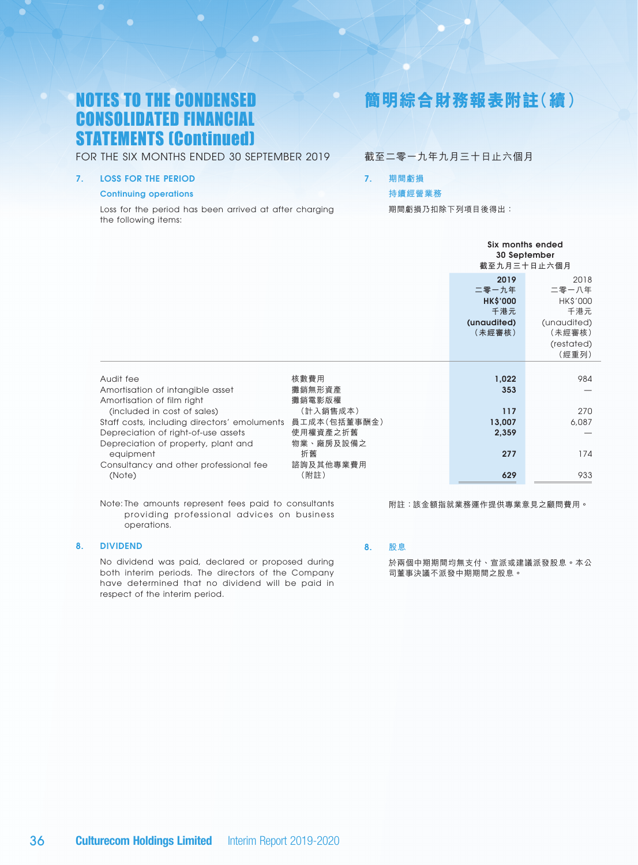FOR THE SIX MONTHS ENDED 30 SEPTEMBER 2019

### 7. LOSS FOR THE PERIOD

#### Continuing operations

Loss for the period has been arrived at after charging the following items:

# **簡明綜合財務報表附註(續)**

### 截至二零一九年九月三十日止六個月

#### 7. **期間虧損**

### **持續經營業務**

期間虧損乃扣除下列項目後得出:

|                                                                                          |                             | Six months ended                 | 30 September<br>截至九月三十日止六個月                         |
|------------------------------------------------------------------------------------------|-----------------------------|----------------------------------|-----------------------------------------------------|
|                                                                                          |                             | 2019<br>二零一九年<br><b>HK\$'000</b> | 2018<br>二零一八年<br>HK\$'000                           |
|                                                                                          |                             | 千港元<br>(unaudited)<br>(未經審核)     | 千港元<br>(unaudited)<br>(未經審核)<br>(restated)<br>(經重列) |
|                                                                                          |                             |                                  |                                                     |
| Audit fee<br>Amortisation of intangible asset<br>Amortisation of film right              | 核數費用<br>攤銷無形資產<br>攤銷電影版權    | 1,022<br>353                     | 984                                                 |
| (included in cost of sales)<br>Staff costs, including directors' emoluments 員工成本(包括董事酬金) | (計入銷售成本)                    | 117<br>13,007                    | 270<br>6,087                                        |
| Depreciation of right-of-use assets<br>Depreciation of property, plant and<br>equipment  | 使用權資產之折舊<br>物業、廠房及設備之<br>折舊 | 2,359<br>277                     | 174                                                 |
| Consultancy and other professional fee<br>(Note)                                         | 諮詢及其他專業費用<br>(附註)           | 629                              | 933                                                 |

Note: The amounts represent fees paid to consultants providing professional advices on business operations.

### 8. DIVIDEND

No dividend was paid, declared or proposed during both interim periods. The directors of the Company have determined that no dividend will be paid in respect of the interim period.

## 8. **股息**

於兩個中期期間均無支付、宣派或建議派發股息。本公 司董事決議不派發中期期間之股息。

附註:該金額指就業務運作提供專業意見之顧問費用。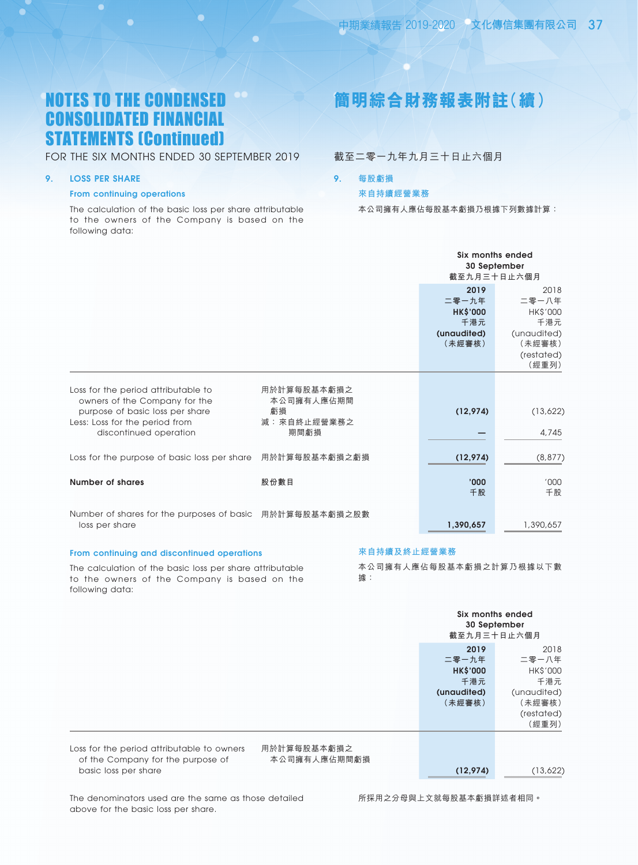### FOR THE SIX MONTHS ENDED 30 SEPTEMBER 2019

### 9. LOSS PER SHARE

### From continuing operations

The calculation of the basic loss per share attributable to the owners of the Company is based on the following data:

# **簡明綜合財務報表附註(續)**

截至二零一九年九月三十日止六個月

9. **每股虧損**

#### **來自持續經營業務**

本公司擁有人應佔每股基本虧損乃根據下列數據計算:

|                                                                                                                                                                     |                                                        | Six months ended<br>截至九月三十日止六個月                                  | 30 September                                                                     |
|---------------------------------------------------------------------------------------------------------------------------------------------------------------------|--------------------------------------------------------|------------------------------------------------------------------|----------------------------------------------------------------------------------|
|                                                                                                                                                                     |                                                        | 2019<br>二零一九年<br><b>HK\$'000</b><br>千港元<br>(unaudited)<br>(未經審核) | 2018<br>二零一八年<br>HK\$'000<br>千港元<br>(unaudited)<br>(未經審核)<br>(restated)<br>(經重列) |
| Loss for the period attributable to<br>owners of the Company for the<br>purpose of basic loss per share<br>Less: Loss for the period from<br>discontinued operation | 用於計算每股基本虧損之<br>本公司擁有人應佔期間<br>虧損<br>減:來自終止經營業務之<br>期間虧損 | (12,974)                                                         | (13,622)<br>4,745                                                                |
| Loss for the purpose of basic loss per share                                                                                                                        | 用於計算每股基本虧損之虧損                                          | (12, 974)                                                        | (8, 877)                                                                         |
| Number of shares                                                                                                                                                    | 股份數目                                                   | '000<br>千股                                                       | '000<br>千股                                                                       |
| Number of shares for the purposes of basic 用於計算每股基本虧損之股數<br>loss per share                                                                                          |                                                        | 1,390,657                                                        | 1,390,657                                                                        |

#### From continuing and discontinued operations

following data:

The calculation of the basic loss per share attributable to the owners of the Company is based on the

### **來自持續及終止經營業務**

本公司擁有人應佔每股基本虧損之計算乃根據以下數 據:

**二零一九年** 二零一八年

Six months ended 30 September **截至九月三十日止六個月**

| Loss for the period attributable to owners |
|--------------------------------------------|
| of the Company for the purpose of          |
| basic loss per share                       |

用於計算每股基本虧損之 本公司擁有人應佔期間虧損

(12,974) (13,622)

(restated) (經重列)

**2019** 2018<br>- 九年 二零一八年

HK\$'000 HK\$'000 **千港元** 千港元 (unaudited) (unaudited) **(未經審核)** (未經審核)

The denominators used are the same as those detailed above for the basic loss per share.

所採用之分母與上文就每股基本虧損詳述者相同。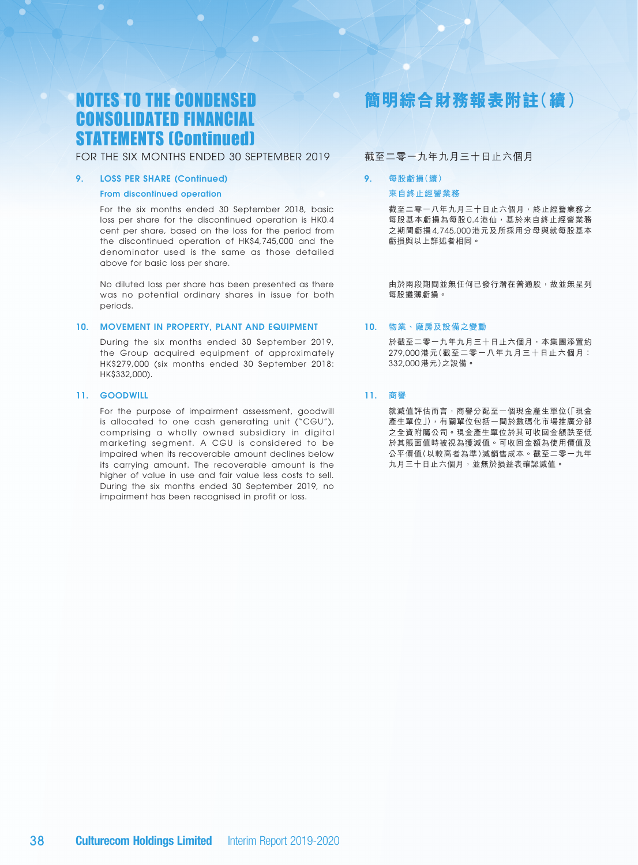### FOR THE SIX MONTHS ENDED 30 SEPTEMBER 2019

#### 9. LOSS PER SHARE (Continued)

#### From discontinued operation

For the six months ended 30 September 2018, basic loss per share for the discontinued operation is HK0.4 cent per share, based on the loss for the period from the discontinued operation of HK\$4,745,000 and the denominator used is the same as those detailed above for basic loss per share.

No diluted loss per share has been presented as there was no potential ordinary shares in issue for both periods.

#### 10. MOVEMENT IN PROPERTY, PLANT AND EQUIPMENT

During the six months ended 30 September 2019, the Group acquired equipment of approximately HK\$279,000 (six months ended 30 September 2018: HK\$332,000).

#### 11. GOODWILL

For the purpose of impairment assessment, goodwill is allocated to one cash generating unit ("CGU"), comprising a wholly owned subsidiary in digital marketing segment. A CGU is considered to be impaired when its recoverable amount declines below its carrying amount. The recoverable amount is the higher of value in use and fair value less costs to sell. During the six months ended 30 September 2019, no impairment has been recognised in profit or loss.

# **簡明綜合財務報表附註(續)**

### 截至二零一九年九月三十日止六個月

### 9. **每股虧損(續) 來自終止經營業務**

截至二零一八年九月三十日止六個月,終止經營業務之 每股基本虧損為每股 0.4 港仙,基於來自終止經營業務 之期間虧損 4,745,000 港元及所採用分母與就每股基本 虧損與以上詳述者相同。

由於兩段期間並無任何已發行潛在普通股,故並無呈列 每股攤薄虧損。

### 10. **物業、廠房及設備之變動**

於截至二零一九年九月三十日止六個月,本集團添置約 279,000 港元(截至二零一八年九月三十日止六個月: 332,000 港元)之設備。

### 11. **商譽**

就減值評估而言,商譽分配至一個現金產生單位(「現金 產生單位」),有關單位包括一間於數碼化市場推廣分部 之全資附屬公司。現金產生單位於其可收回金額跌至低 於其賬面值時被視為獲減值。可收回金額為使用價值及 公平價值(以較高者為準)減銷售成本。截至二零一九年 九月三十日止六個月,並無於損益表確認減值。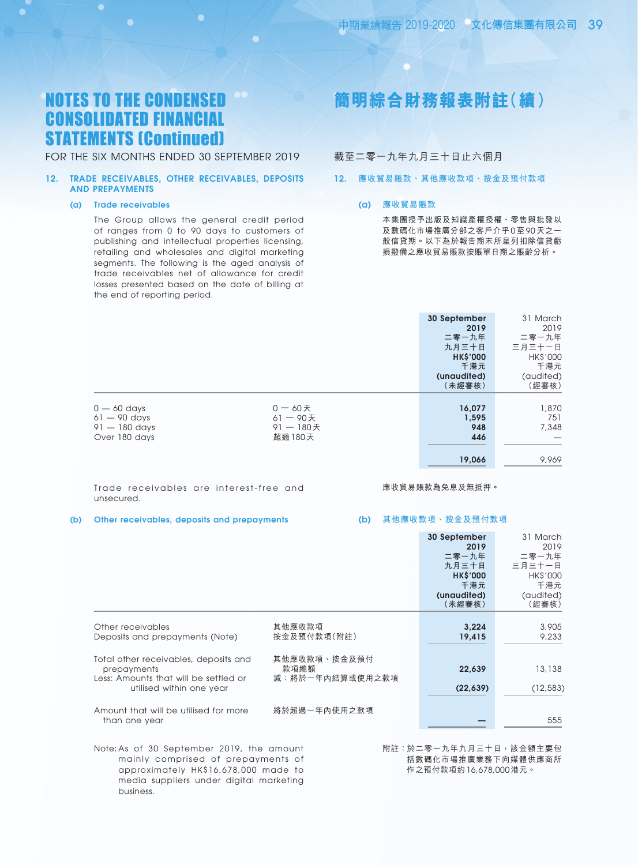FOR THE SIX MONTHS ENDED 30 SEPTEMBER 2019

#### 12. TRADE RECEIVABLES, OTHER RECEIVABLES, DEPOSITS AND PREPAYMENTS

#### (a) Trade receivables

The Group allows the general credit period of ranges from 0 to 90 days to customers of publishing and intellectual properties licensing, retailing and wholesales and digital marketing segments. The following is the aged analysis of trade receivables net of allowance for credit losses presented based on the date of billing at the end of reporting period.

# **簡明綜合財務報表附註(續)**

### 截至二零一九年九月三十日止六個月

#### 12. **應收貿易賬款、其他應收款項、按金及預付款項**

#### (a) **應收貿易賬款**

本集團授予出版及知識產權授權、零售與批發以 及數碼化市場推廣分部之客戶介乎 0 至 90 天之-般信貸期。以下為於報告期末所呈列扣除信貸虧 損撥備之應收貿易賬款按賬單日期之賬齡分析。

|                                                                     |                                                    | 30 September<br>2019<br>二零一九年<br>九月三十日<br><b>HK\$'000</b><br>千港元<br>(unaudited)<br>(未經審核) | 31 March<br>2019<br>二零一九年<br>三月三十一日<br><b>HK\$'000</b><br>千港元<br>(audited)<br>(經審核) |
|---------------------------------------------------------------------|----------------------------------------------------|-------------------------------------------------------------------------------------------|-------------------------------------------------------------------------------------|
| $0 - 60$ days<br>$61 - 90$ days<br>$91 - 180$ days<br>Over 180 days | $0 - 60$ 天<br>$61 - 90E$<br>$91 - 180$ 天<br>超過180天 | 16,077<br>1,595<br>948<br>446<br>19,066                                                   | 1,870<br>751<br>7,348<br>9,969                                                      |

Trade receivables are interest-free and unsecured.

#### 應收貿易賬款為免息及無抵押。

#### (b) Other receivables, deposits and prepayments

#### (b) **其他應收款項、按金及預付款項**

|                                                                                                                           |                                         | 30 September<br>2019<br>二零一九年<br>九月三十日<br><b>HK\$'000</b><br>千港元<br>(unaudited)<br>(未經審核) | 31 March<br>2019<br>二零一九年<br>三月三十一日<br><b>HK\$'000</b><br>千港元<br>(audited)<br>(經審核) |
|---------------------------------------------------------------------------------------------------------------------------|-----------------------------------------|-------------------------------------------------------------------------------------------|-------------------------------------------------------------------------------------|
| Other receivables<br>Deposits and prepayments (Note)                                                                      | 其他應收款項<br>按金及預付款項(附註)                   | 3,224<br>19,415                                                                           | 3,905<br>9,233                                                                      |
| Total other receivables, deposits and<br>prepayments<br>Less: Amounts that will be settled or<br>utilised within one year | 其他應收款項、按金及預付<br>款項總額<br>減:將於一年內結算或使用之款項 | 22,639<br>(22, 639)                                                                       | 13,138<br>(12, 583)                                                                 |
| Amount that will be utilised for more<br>than one year                                                                    | 將於超過一年內使用之款項                            |                                                                                           | 555                                                                                 |

Note: As of 30 September 2019, the amount mainly comprised of prepayments of approximately HK\$16,678,000 made to media suppliers under digital marketing business.

附註:於二零一九年九月三十日,該金額主要包 括數碼化市場推廣業務下向媒體供應商所 作之預付款項約 16,678,000 港元。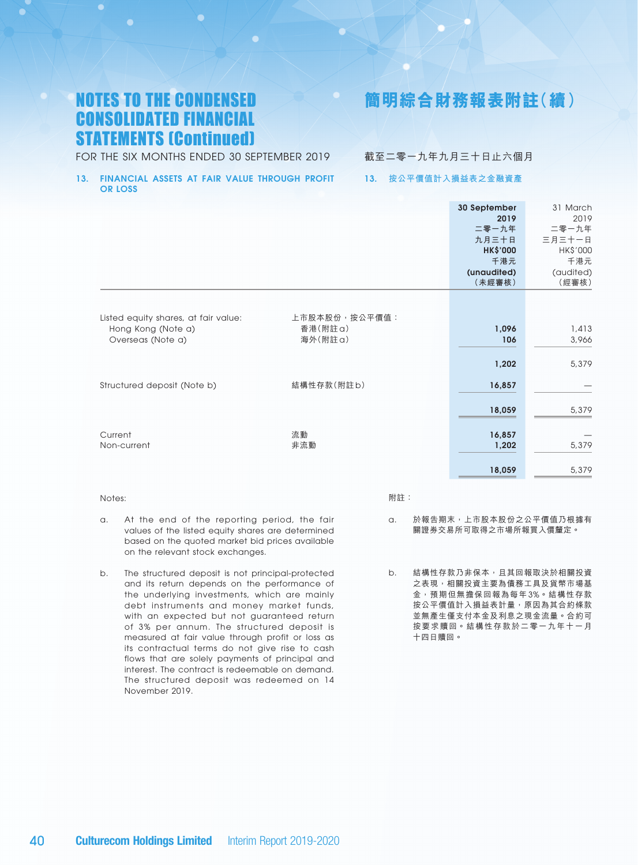# **簡明綜合財務報表附註(續)**

FOR THE SIX MONTHS ENDED 30 SEPTEMBER 2019

### 截至二零一九年九月三十日止六個月

#### 13. FINANCIAL ASSETS AT FAIR VALUE THROUGH PROFIT OR LOSS

### 13. **按公平價值計入損益表之金融資產**

|                                                                                 |                                      | 30 September<br>2019<br>二零一九年<br>九月三十日<br><b>HK\$'000</b><br>千港元<br>(unaudited)<br>(未經審核) | 31 March<br>2019<br>二零一九年<br>三月三十一日<br>HK\$'000<br>千港元<br>(audited)<br>(經審核) |
|---------------------------------------------------------------------------------|--------------------------------------|-------------------------------------------------------------------------------------------|------------------------------------------------------------------------------|
| Listed equity shares, at fair value:<br>Hong Kong (Note a)<br>Overseas (Note a) | 上市股本股份, 按公平價值:<br>香港(附註a)<br>海外(附註a) | 1,096<br>106                                                                              | 1,413<br>3,966                                                               |
| Structured deposit (Note b)                                                     | 結構性存款(附註b)                           | 1,202<br>16,857                                                                           | 5,379                                                                        |
| Current                                                                         | 流動                                   | 18,059<br>16,857                                                                          | 5,379                                                                        |
| Non-current                                                                     | 非流動                                  | 1,202<br>18,059                                                                           | 5,379<br>5,379                                                               |

#### Notes:

#### 附註:

- a. At the end of the reporting period, the fair values of the listed equity shares are determined based on the quoted market bid prices available on the relevant stock exchanges.
- b. The structured deposit is not principal-protected and its return depends on the performance of the underlying investments, which are mainly debt instruments and money market funds, with an expected but not guaranteed return of 3% per annum. The structured deposit is measured at fair value through profit or loss as its contractual terms do not give rise to cash flows that are solely payments of principal and interest. The contract is redeemable on demand. The structured deposit was redeemed on 14 November 2019.
- a. 於報告期末,上市股本股份之公平價值乃根據有 關證劵交易所可取得之市場所報買入價釐定。
- b. 結構性存款乃非保本,且其回報取決於相關投資 之表現,相關投資主要為債務工具及貨幣市場基 金,預期但無擔保回報為每年 3%。結構性存款 按公平價值計入損益表計量,原因為其合約條款 並無產生僅支付本金及利息之現金流量。合約可 按要求贖回。結構性存款於二零一九年十一月 十四日贖回。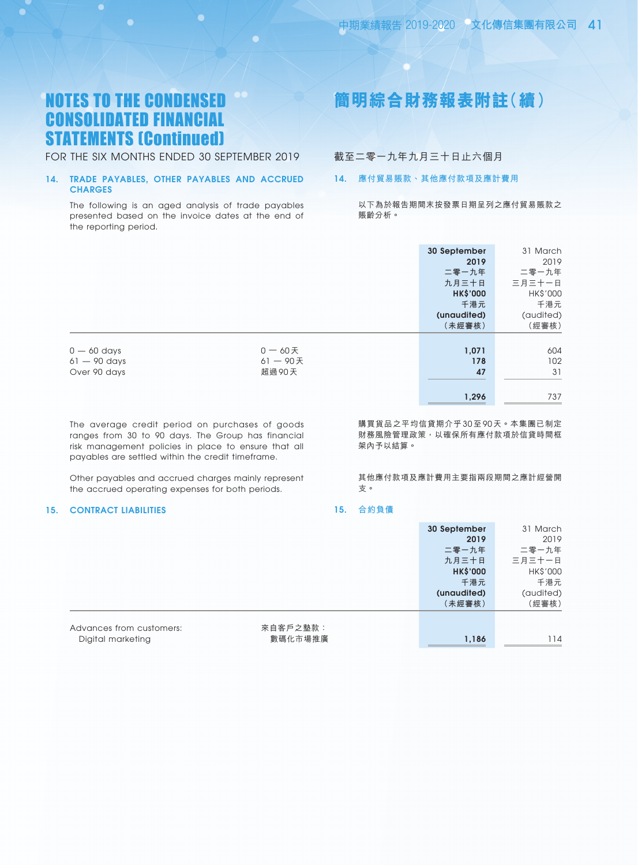FOR THE SIX MONTHS ENDED 30 SEPTEMBER 2019

### 14. TRADE PAYABLES, OTHER PAYABLES AND ACCRUED **CHARGES**

The following is an aged analysis of trade payables presented based on the invoice dates at the end of the reporting period.

# **簡明綜合財務報表附註(續)**

### 截至二零一九年九月三十日止六個月

### 14. **應付貿易賬款、其他應付款項及應計費用**

以下為於報告期間末按發票日期呈列之應付貿易賬款之 賬齡分析。

|                                                 |                                    | 30 September<br>2019<br>二零一九年<br>九月三十日<br><b>HK\$'000</b><br>千港元<br>(unaudited)<br>(未經審核) | 31 March<br>2019<br>二零一九年<br>三月三十一日<br>HK\$'000<br>千港元<br>(audited)<br>(經審核) |
|-------------------------------------------------|------------------------------------|-------------------------------------------------------------------------------------------|------------------------------------------------------------------------------|
| $0 - 60$ days<br>$61 - 90$ days<br>Over 90 days | $0 - 60$ 天<br>$61 - 90$ 天<br>超過90天 | 1,071<br>178<br>47<br>1,296                                                               | 604<br>102<br>31<br>737                                                      |

The average credit period on purchases of goods ranges from 30 to 90 days. The Group has financial risk management policies in place to ensure that all payables are settled within the credit timeframe.

Other payables and accrued charges mainly represent the accrued operating expenses for both periods.

#### 15. CONTRACT LIABILITIES

購買貨品之平均信貸期介乎 30 至 90 天。本集團已制定 財務風險管理政策,以確保所有應付款項於信貸時間框 架內予以結算。

其他應付款項及應計費用主要指兩段期間之應計經營開 支。

#### 15. **合約負債**

|                          |          | 30 September    | 31 March  |
|--------------------------|----------|-----------------|-----------|
|                          |          | 2019            | 2019      |
|                          |          | 二零一九年           | 二零一九年     |
|                          |          | 九月三十日           | 三月三十一日    |
|                          |          | <b>HK\$'000</b> | HK\$'000  |
|                          |          | 千港元             | 千港元       |
|                          |          | (unaudited)     | (audited) |
|                          |          | (未經審核)          | (經審核)     |
|                          |          |                 |           |
| Advances from customers: | 來自客戶之墊款: |                 |           |
| Digital marketing        | 數碼化市場推廣  | 1,186           | 114       |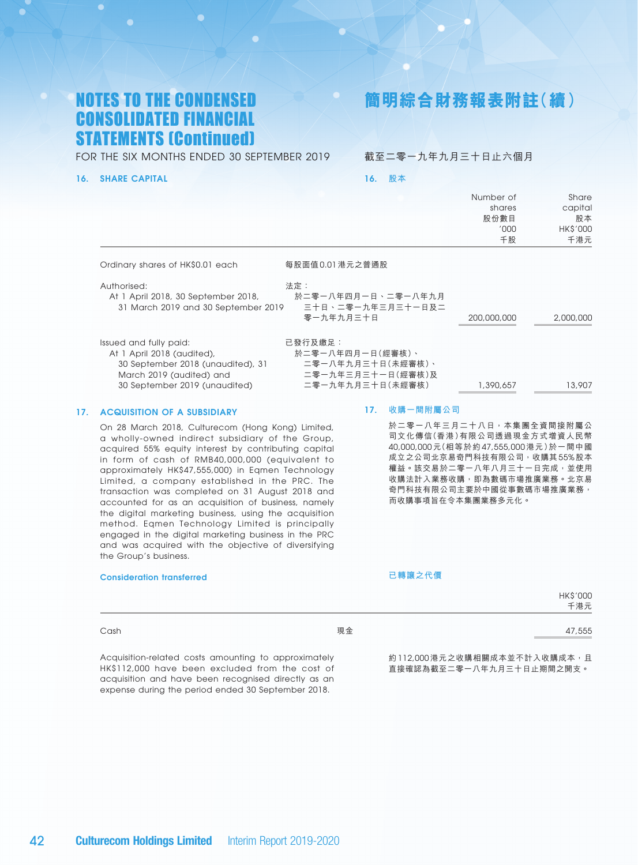**簡明綜合財務報表附註(續)**

Number of

 $S<sub>1</sub>$ 

FOR THE SIX MONTHS ENDED 30 SEPTEMBER 2019

#### 16. SHARE CAPITAL

截至二零一九年九月三十日止六個月

16. **股本**

|                                                                                                                       |                                                                       | inumber of<br>shares<br>股份數目<br>'000' | pridie<br>capital<br>股本<br><b>HK\$'000</b> |
|-----------------------------------------------------------------------------------------------------------------------|-----------------------------------------------------------------------|---------------------------------------|--------------------------------------------|
|                                                                                                                       |                                                                       | 千股                                    | 千港元                                        |
| Ordinary shares of HK\$0.01 each                                                                                      | 每股面值0.01 港元之普通股                                                       |                                       |                                            |
| Authorised:<br>At 1 April 2018, 30 September 2018,<br>31 March 2019 and 30 September 2019                             | 法定:<br>於二零一八年四月一日、二零一八年九月<br>三十日、二零一九年三月三十一日及二<br>零一九年九月三十日           | 200,000,000                           | 2,000,000                                  |
| Issued and fully paid:<br>At 1 April 2018 (audited),<br>30 September 2018 (unaudited), 31<br>March 2019 (audited) and | 已發行及繳足:<br>於二零一八年四月一日(經審核)、<br>二零一八年九月三十日(未經審核)、<br>二零一九年三月三十一日(經審核)及 |                                       |                                            |
| 30 September 2019 (unaudited)                                                                                         | 二零一九年九月三十日(未經審核)                                                      | 1,390,657                             | 13,907                                     |

### 17. ACQUISITION OF A SUBSIDIARY

On 28 March 2018, Culturecom (Hong Kong) Limited, a wholly-owned indirect subsidiary of the Group, acquired 55% equity interest by contributing capital in form of cash of RMB40,000,000 (equivalent to approximately HK\$47,555,000) in Eqmen Technology Limited, a company established in the PRC. The transaction was completed on 31 August 2018 and accounted for as an acquisition of business, namely the digital marketing business, using the acquisition method. Eqmen Technology Limited is principally engaged in the digital marketing business in the PRC and was acquired with the objective of diversifying the Group's business.

#### Consideration transferred

#### 17. **收購一間附屬公司**

於二零一八年三月二十八日,本集團全資間接附屬公 司文化傳信(香港)有限公司透過現金方式增資人民幣 40,000,000 元(相等於約 47,555,000 港元)於一間中國 成立之公司北京易奇門科技有限公司,收購其 55% 股本 權益。該交易於二零一八年八月三十一日完成,並使用 收購法計入業務收購,即為數碼市場推廣業務。北京易 奇門科技有限公司主要於中國從事數碼市場推廣業務, 而收購事項旨在令本集團業務多元化。

**已轉讓之代價**

|      |    | HK\$'000<br>千港元                                        |
|------|----|--------------------------------------------------------|
| Cash | 現金 | 47,555<br>the control of the control of the control of |

Acquisition-related costs amounting to approximately HK\$112,000 have been excluded from the cost of acquisition and have been recognised directly as an expense during the period ended 30 September 2018.

約112,000 港元之收購相關成本並不計入收購成本,且 直接確認為截至二零一八年九月三十日止期間之開支。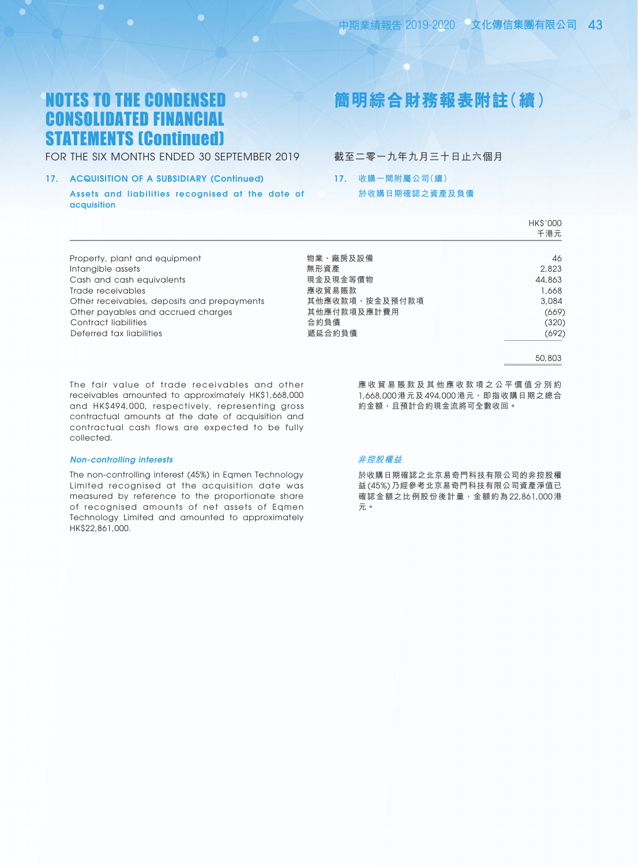FOR THE SIX MONTHS ENDED 30 SEPTEMBER 2019

#### 17. ACQUISITION OF A SUBSIDIARY (Continued)

Assets and liabilities recognised at the date of acquisition

# **簡明綜合財務報表附註(續)**

截至二零一九年九月三十日止六個月

17. **收購一間附屬公司(續) 於收購日期確認之資產及負債**

|                | HK\$'000<br>千港元 |
|----------------|-----------------|
| 物業、廠房及設備       | 46              |
| 無形資產           | 2,823           |
| 現金及現金等價物       | 44,863          |
| 應收貿易賬款         | 1,668           |
| 其他應收款項、按金及預付款項 | 3,084           |
| 其他應付款項及應計費用    | (669)           |
| 合約負債           | (320)           |
| 遞延合約負債         | (692)           |
|                |                 |

50,803

The fair value of trade receivables and other receivables amounted to approximately HK\$1,668,000 and HK\$494,000, respectively, representing gross contractual amounts at the date of acquisition and contractual cash flows are expected to be fully collected.

#### *Non-controlling interests*

The non-controlling interest (45%) in Eqmen Technology Limited recognised at the acquisition date was measured by reference to the proportionate share of recognised amounts of net assets of Eqmen Technology Limited and amounted to approximately HK\$22,861,000.

應 收 貿 易 賬 款 及 其 他 應 收 款 項 之 公 平 價 值 分 別 約 1,668,000 港元及 494,000 港元,即指收購日期之總合 約金額,且預計合約現金流將可全數收回。

#### **非控股權益**

於收購日期確認之北京易奇門科技有限公司的非控股權 益 (45%) 乃經參考北京易奇門科技有限公司資產淨值已 確認金額之比例股份後計量,金額約為 22,861,000 港 元。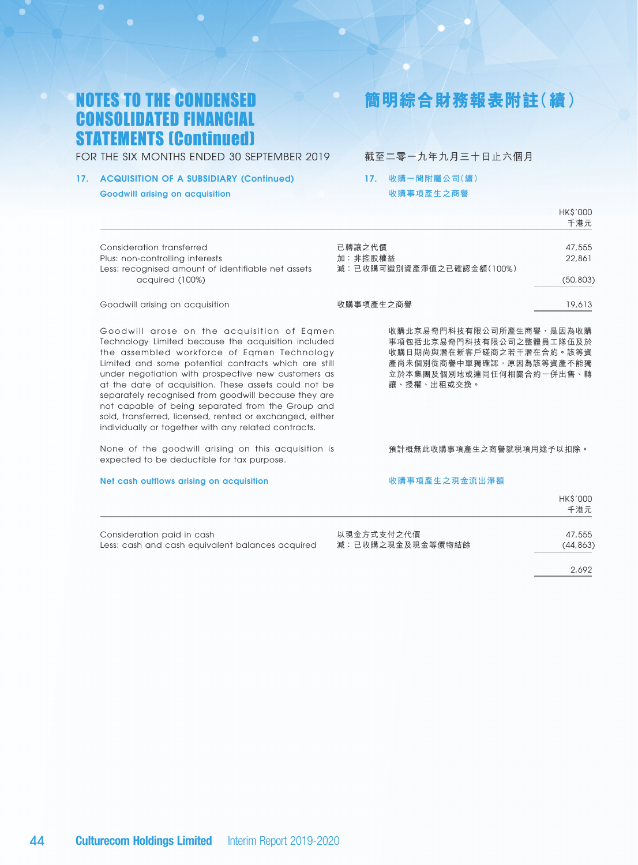**簡明綜合財務報表附註(續)**

FOR THE SIX MONTHS ENDED 30 SEPTEMBER 2019

### 截至二零一九年九月三十日止六個月

### 17. ACQUISITION OF A SUBSIDIARY (Continued) Goodwill arising on acquisition

## 17. **收購一間附屬公司(續)**

**收購事項產生之商譽**

|                                                                                                                                                                                                                                                                                                                                                                                                                                                                                                                                                           | HK\$'000<br>千港元                                                                                                                                         |
|-----------------------------------------------------------------------------------------------------------------------------------------------------------------------------------------------------------------------------------------------------------------------------------------------------------------------------------------------------------------------------------------------------------------------------------------------------------------------------------------------------------------------------------------------------------|---------------------------------------------------------------------------------------------------------------------------------------------------------|
| Consideration transferred<br>Plus: non-controlling interests<br>Less: recognised amount of identifiable net assets<br>acquired (100%)                                                                                                                                                                                                                                                                                                                                                                                                                     | 已轉讓之代價<br>47,555<br>加:非控股權益<br>22,861<br>減:已收購可識別資產淨值之已確認金額(100%)<br>(50, 803)                                                                          |
| Goodwill arising on acquisition                                                                                                                                                                                                                                                                                                                                                                                                                                                                                                                           | 收購事項產生之商譽<br>19,613                                                                                                                                     |
| Goodwill arose on the acquisition of Eqmen<br>Technology Limited because the acquisition included<br>the assembled workforce of Eqmen Technology<br>Limited and some potential contracts which are still<br>under negotiation with prospective new customers as<br>at the date of acquisition. These assets could not be<br>separately recognised from goodwill because they are<br>not capable of being separated from the Group and<br>sold, transferred, licensed, rented or exchanged, either<br>individually or together with any related contracts. | 收購北京易奇門科技有限公司所產生商譽,是因為收購<br>事項包括北京易奇門科技有限公司之整體員工隊伍及於<br>收購日期尚與潛在新客戶磋商之若干潛在合約。該等資<br>產尚未個別從商譽中單獨確認,原因為該等資產不能獨<br>立於本集團及個別地或連同任何相關合約一併出售、轉<br>讓、授權、出租或交換。 |
| None of the goodwill arising on this acquisition is<br>expected to be deductible for tax purpose.                                                                                                                                                                                                                                                                                                                                                                                                                                                         | 預計概無此收購事項產生之商譽就税項用途予以扣除。                                                                                                                                |
| Net cash outflows arising on acquisition                                                                                                                                                                                                                                                                                                                                                                                                                                                                                                                  | 收購事項產生之現金流出淨額                                                                                                                                           |
|                                                                                                                                                                                                                                                                                                                                                                                                                                                                                                                                                           | <b>HK\$'000</b><br>千港元                                                                                                                                  |

Consideration paid in cash 以現金方式支付之代價 47,555 Less: cash and cash equivalent balances acquired 减: 已收購之現金及現金等價物結餘 (44,863)

2,692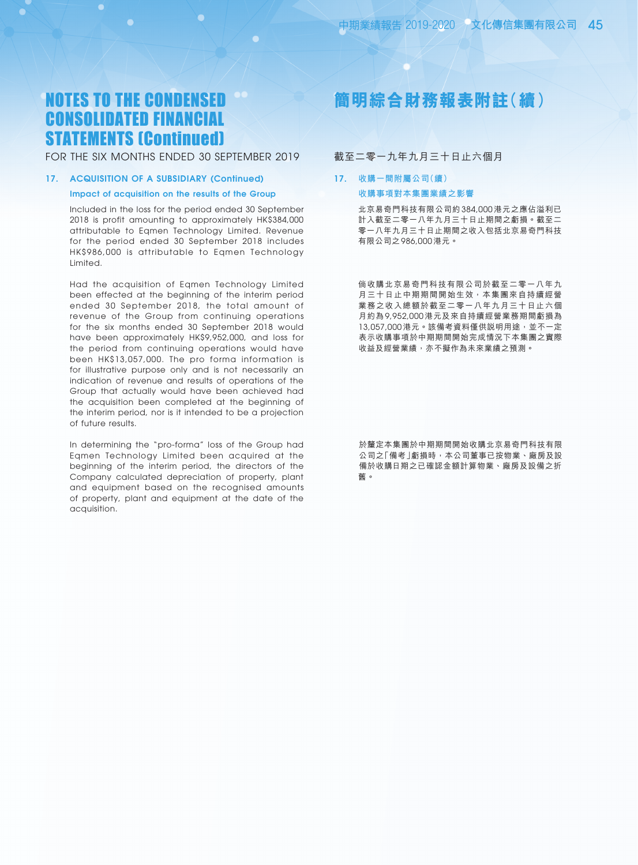### FOR THE SIX MONTHS ENDED 30 SEPTEMBER 2019

#### 17. ACQUISITION OF A SUBSIDIARY (Continued)

#### Impact of acquisition on the results of the Group

Included in the loss for the period ended 30 September 2018 is profit amounting to approximately HK\$384,000 attributable to Eqmen Technology Limited. Revenue for the period ended 30 September 2018 includes HK\$986,000 is attributable to Eqmen Technology Limited.

Had the acquisition of Eqmen Technology Limited been effected at the beginning of the interim period ended 30 September 2018, the total amount of revenue of the Group from continuing operations for the six months ended 30 September 2018 would have been approximately HK\$9,952,000, and loss for the period from continuing operations would have been HK\$13,057,000. The pro forma information is for illustrative purpose only and is not necessarily an indication of revenue and results of operations of the Group that actually would have been achieved had the acquisition been completed at the beginning of the interim period, nor is it intended to be a projection of future results.

In determining the "pro-forma" loss of the Group had Eqmen Technology Limited been acquired at the beginning of the interim period, the directors of the Company calculated depreciation of property, plant and equipment based on the recognised amounts of property, plant and equipment at the date of the acquisition.

# **簡明綜合財務報表附註(續)**

### 截至二零一九年九月三十日止六個月

### 17. **收購一間附屬公司(續) 收購事項對本集團業績之影響**

北京易奇門科技有限公司約 384,000 港元之應佔溢利已 計入截至二零一八年九月三十日止期間之虧損。截至二 零一八年九月三十日止期間之收入包括北京易奇門科技 有限公司之 986,000 港元。

倘收購北京易奇門科技有限公司於截至二零一八年九 月三十日止中期期間開始生效,本集團來自持續經營 業務之收入總額於截至二零一八年九月三十日止六個 月約為 9,952,000 港元及來自持續經營業務期間虧損為 13,057,000 港元。該備考資料僅供説明用途,並不一定 表示收購事項於中期期間開始完成情況下本集團之實際 收益及經營業績,亦不擬作為未來業績之預測。

於釐定本集團於中期期間開始收購北京易奇門科技有限 公司之「備考」虧損時,本公司董事已按物業、廠房及設 備於收購日期之已確認金額計算物業、廠房及設備之折 舊。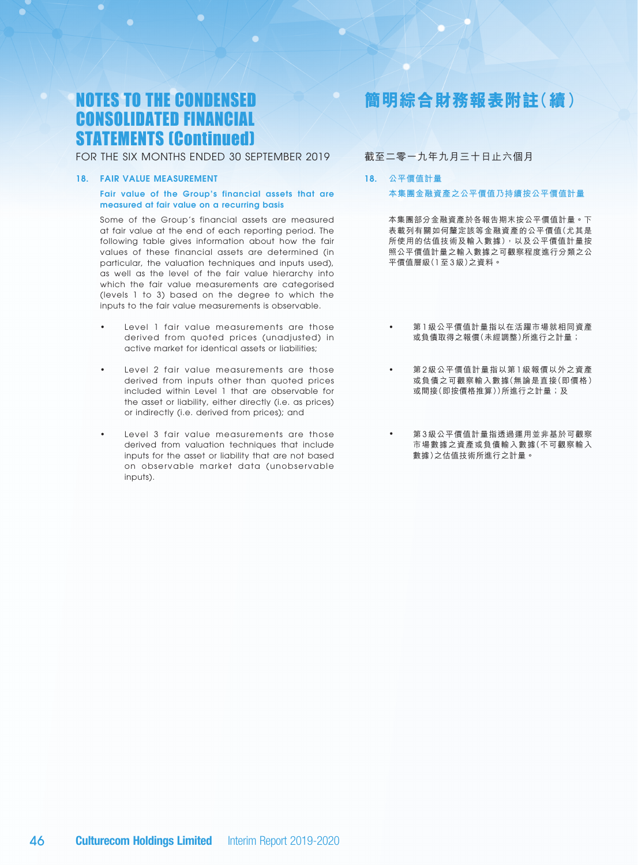FOR THE SIX MONTHS ENDED 30 SEPTEMBER 2019

#### 18. Fair Value Measurement

#### Fair value of the Group's financial assets that are measured at fair value on a recurring basis

Some of the Group's financial assets are measured at fair value at the end of each reporting period. The following table gives information about how the fair values of these financial assets are determined (in particular, the valuation techniques and inputs used), as well as the level of the fair value hierarchy into which the fair value measurements are categorised (levels 1 to 3) based on the degree to which the inputs to the fair value measurements is observable.

- Level 1 fair value measurements are those derived from quoted prices (unadjusted) in active market for identical assets or liabilities;
- Level 2 fair value measurements are those derived from inputs other than quoted prices included within Level 1 that are observable for the asset or liability, either directly (i.e. as prices) or indirectly (i.e. derived from prices); and
- Level 3 fair value measurements are those derived from valuation techniques that include inputs for the asset or liability that are not based on observable market data (unobservable inputs).

# **簡明綜合財務報表附註(續)**

### 截至二零一九年九月三十日止六個月

### 18. **公平價值計量 本集團金融資產之公平價值乃持續按公平價值計量**

本集團部分金融資產於各報告期末按公平價值計量。下 表載列有關如何釐定該等金融資產的公平價值(尤其是 所使用的估值技術及輸入數據),以及公平價值計量按 照公平價值計量之輸入數據之可觀察程度進行分類之公 平價值層級(1 至 3 級)之資料。

- 第 1 級公平價值計量指以在活躍市場就相同資產 或負債取得之報價(未經調整)所進行之計量;
- 第 2 級公平價值計量指以第 1 級報價以外之資產 或負債之可觀察輸入數據(無論是直接(即價格) 或間接(即按價格推算))所進行之計量;及
- 第3級公平價值計量指透過運用並非基於可觀察 市場數據之資產或負債輸入數據(不可觀察輸入 數據)之估值技術所進行之計量。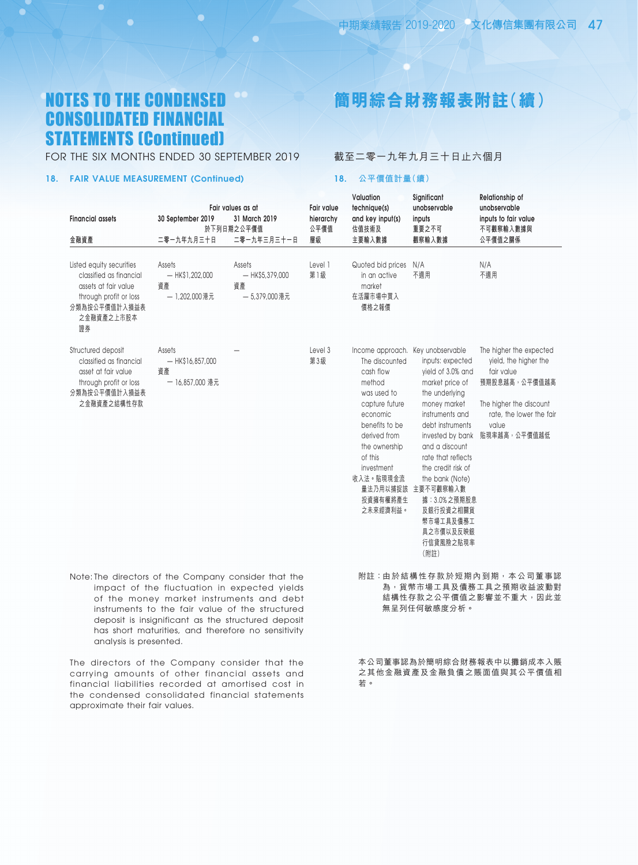O

# **簡明綜合財務報表附註(續)**

FOR THE SIX MONTHS ENDED 30 SEPTEMBER 2019

### 18. Fair Value Measurement (continued)

截至二零一九年九月三十日止六個月

#### 18. **公平價值計量(續)**

| <b>Financial assets</b>                                                                                                                    | 30 September 2019                                     | Fair values as at<br>31 March 2019<br>於下列日期之公平價值                                                                                                                                                  | <b>Fair value</b><br>hierarchy<br>公平價值 | Valuation<br>technique(s)<br>and key input(s)<br>估值技術及                                                                                                                                              | Significant<br>unobservable<br>inputs<br>重要之不可                                                                                                                                                                                                                                                                                                                                | Relationship of<br>unobservable<br>inputs to fair value<br>不可觀察輸入數據與                                                                                            |
|--------------------------------------------------------------------------------------------------------------------------------------------|-------------------------------------------------------|---------------------------------------------------------------------------------------------------------------------------------------------------------------------------------------------------|----------------------------------------|-----------------------------------------------------------------------------------------------------------------------------------------------------------------------------------------------------|-------------------------------------------------------------------------------------------------------------------------------------------------------------------------------------------------------------------------------------------------------------------------------------------------------------------------------------------------------------------------------|-----------------------------------------------------------------------------------------------------------------------------------------------------------------|
| 金融資產                                                                                                                                       | 二零一九年九月三十日                                            | 二零一九年三月三十一日                                                                                                                                                                                       | 層級                                     | 主要輸入數據                                                                                                                                                                                              | 觀察輸入數據                                                                                                                                                                                                                                                                                                                                                                        | 公平價值之關係                                                                                                                                                         |
| Listed equity securities<br>classified as financial<br>assets at fair value<br>through profit or loss<br>分類為按公平價值計入損益表<br>之金融資產之上市股本<br>證券 | Assets<br>$-$ HK\$1,202,000<br>資產<br>- 1,202,000 港元   | Assets<br>$-$ HK\$5,379,000<br>資產<br>- 5,379,000 港元                                                                                                                                               | Level 1<br>第1級                         | Quoted bid prices<br>in an active<br>market<br>在活躍市場中買入<br>價格之報價                                                                                                                                    | N/A<br>不適用                                                                                                                                                                                                                                                                                                                                                                    | N/A<br>不適用                                                                                                                                                      |
| Structured deposit<br>classified as financial<br>asset at fair value<br>through profit or loss<br>分類為按公平價值計入損益表<br>之金融資產之結構性存款             | Assets<br>$-$ HK\$16,857,000<br>資產<br>一 16,857,000 港元 |                                                                                                                                                                                                   | Level 3<br>第3級                         | The discounted<br>cash flow<br>method<br>was used to<br>capture future<br>economic<br>benefits to be<br>derived from<br>the ownership<br>of this<br>investment<br>收入法。貼現現金流<br>投資擁有權將產生<br>之未來經濟利益。 | Income approach. Key unobservable<br>inputs: expected<br>yield of 3.0% and<br>market price of<br>the underlying<br>money market<br>instruments and<br>debt instruments<br>invested by bank<br>and a discount<br>rate that reflects<br>the credit risk of<br>the bank (Note)<br>量法乃用以捕捉該 主要不可觀察輸入數<br>據: 3.0%之預期股息<br>及銀行投資之相關貨<br>幣市場工具及債務工<br>具之市價以及反映銀<br>行信貸風險之貼現率<br>(附註) | The higher the expected<br>yield, the higher the<br>fair value<br>預期股息越高,公平價值越高<br>The higher the discount<br>rate, the lower the fair<br>value<br>貼現率越高,公平價值越低 |
| Note: The directors of the Company consider that the                                                                                       |                                                       | impact of the fluctuation in expected yields<br>of the money market instruments and debt<br>instruments to the fair value of the structured<br>denosit is insignificant as the structured denosit |                                        |                                                                                                                                                                                                     | 無呈列任何敏感度分析。                                                                                                                                                                                                                                                                                                                                                                   | 附註:由於結構性存款於短期內到期,本公司董事認<br>為,貨幣市場工具及債務工具之預期收益波動對<br>結構性存款之公平價值之影響並不重大,因此並                                                                                       |

本公司董事認為於簡明綜合財務報表中以攤銷成本入賬 之其他金融資產及金融負債之賬面值與其公平價值相 若。

deposit is insignificant as the structured deposit has short maturities, and therefore no sensitivity analysis is presented.

The directors of the Company consider that the carrying amounts of other financial assets and financial liabilities recorded at amortised cost in the condensed consolidated financial statements approximate their fair values.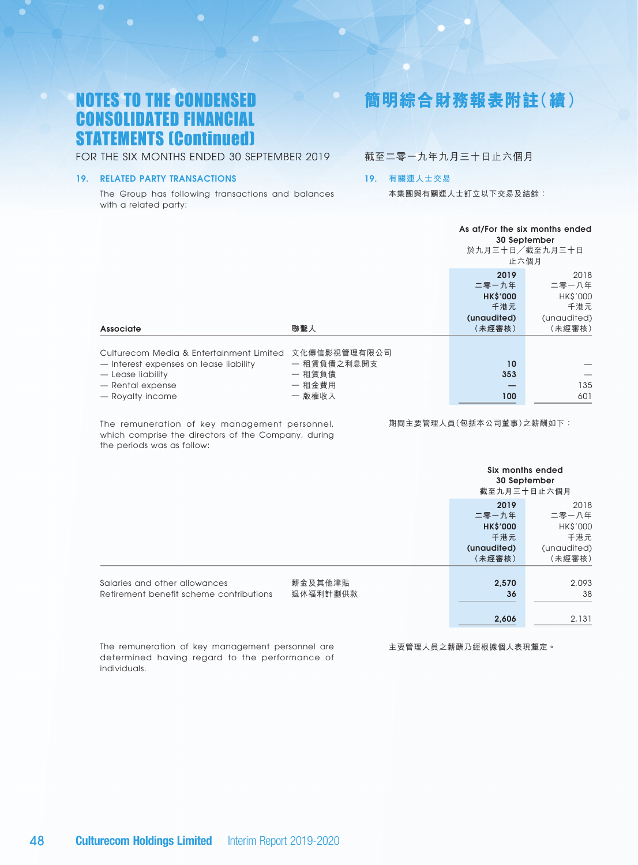FOR THE SIX MONTHS ENDED 30 SEPTEMBER 2019

#### 19. RELATED PARTY TRANSACTIONS

The Group has following transactions and balances with a related party:

# **簡明綜合財務報表附註(續)**

### 截至二零一九年九月三十日止六個月

#### 19. **有關連人士交易**

本集團與有關連人士訂立以下交易及結餘:

|                                                                                    |                             |                 | As at/For the six months ended<br>30 September<br>於九月三十日/截至九月三十日<br>止六個月 |  |  |
|------------------------------------------------------------------------------------|-----------------------------|-----------------|--------------------------------------------------------------------------|--|--|
|                                                                                    |                             | 2019<br>二零一九年   | 2018<br>二零一八年                                                            |  |  |
|                                                                                    |                             | <b>HK\$'000</b> | <b>HK\$'000</b>                                                          |  |  |
|                                                                                    |                             | 千港元             | 千港元                                                                      |  |  |
|                                                                                    |                             | (unaudited)     | (unaudited)                                                              |  |  |
| <b>Associate</b>                                                                   | 聯繫人                         | (未經審核)          | (未經審核)                                                                   |  |  |
| Culturecom Media & Entertainment Limited<br>- Interest expenses on lease liability | 文化傳信影視管理有限公司<br>一 租賃負債之利息開支 | 10              |                                                                          |  |  |
| — Lease liability                                                                  | 一 租賃負債                      | 353             |                                                                          |  |  |
| - Rental expense                                                                   | 一 租金費用                      | –               | 135                                                                      |  |  |
| - Royalty income                                                                   | 一 版權收入                      | 100             | 601                                                                      |  |  |
|                                                                                    |                             |                 |                                                                          |  |  |

The remuneration of key management personnel, which comprise the directors of the Company, during the periods was as follow:

期間主要管理人員(包括本公司董事)之薪酬如下:

|                                                                          |                     | Six months ended<br>30 September<br>截至九月三十日止六個月                  |                                                                  |
|--------------------------------------------------------------------------|---------------------|------------------------------------------------------------------|------------------------------------------------------------------|
|                                                                          |                     | 2019<br>二零一九年<br><b>HK\$'000</b><br>千港元<br>(unaudited)<br>(未經審核) | 2018<br>二零一八年<br><b>HK\$'000</b><br>千港元<br>(unaudited)<br>(未經審核) |
| Salaries and other allowances<br>Retirement benefit scheme contributions | 薪金及其他津貼<br>退休福利計劃供款 | 2,570<br>36<br>2,606                                             | 2,093<br>38<br>2,131                                             |

The remuneration of key management personnel are determined having regard to the performance of individuals.

主要管理人員之薪酬乃經根據個人表現釐定。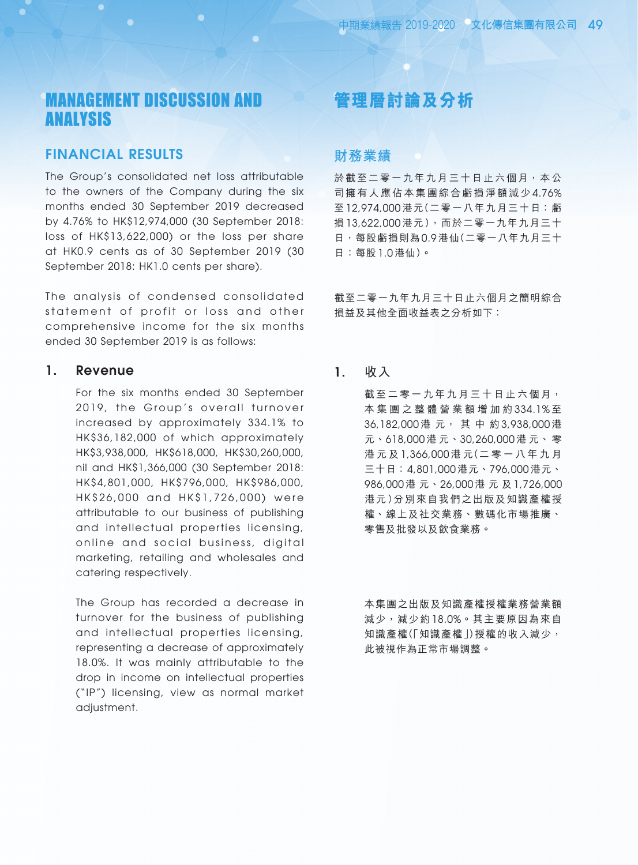# MANAGEMENT DISCUSSION AND ANALYSIS

### FINANCIAL RESULTS

The Group's consolidated net loss attributable to the owners of the Company during the six months ended 30 September 2019 decreased by 4.76% to HK\$12,974,000 (30 September 2018: loss of HK\$13,622,000) or the loss per share at HK0.9 cents as of 30 September 2019 (30 September 2018: HK1.0 cents per share).

The analysis of condensed consolidated statement of profit or loss and other comprehensive income for the six months ended 30 September 2019 is as follows:

### 1. Revenue

For the six months ended 30 September 2019, the Group's overall turnover increased by approximately 334.1% to HK\$36,182,000 of which approximately HK\$3,938,000, HK\$618,000, HK\$30,260,000, nil and HK\$1,366,000 (30 September 2018: HK\$4,801,000, HK\$796,000, HK\$986,000, HK\$26,000 and HK\$1,726,000) were attributable to our business of publishing and intellectual properties licensing, online and social business, digital marketing, retailing and wholesales and catering respectively.

The Group has recorded a decrease in turnover for the business of publishing and intellectual properties licensing, representing a decrease of approximately 18.0%. It was mainly attributable to the drop in income on intellectual properties ("IP") licensing, view as normal market adjustment.

# **管理層討論及分析**

### **財務業績**

於截至二零一九年九月三十日止六個月,本公 司擁有人應佔本集團綜合虧損淨額減少 4.76% 至 12,974,000 港元(二零一八年九月三十日 ﹕虧 損 13,622,000 港元),而於二零一九年九月三十 日,每股虧損則為 0.9 港仙(二零一八年九月三十 日:每股 1.0 港仙)。

截至二零一九年九月三十日止六個月之簡明綜合 損益及其他全面收益表之分析如下:

1. **收入**

截至二零一九年九月三十日止六個月, 本 集 團 之 整 體 營 業 額 增 加 約 334.1% 至 36,182,000 港 元, 其 中 約 3,938,000 港 元、618,000 港 元、30,260,000 港 元、 零 港 元 及 1,366,000 港 元(二 零 一 八 年 九 月 三十日 ﹕4,801,000 港元、796,000 港元、 986,000 港 元、26,000 港 元 及 1,726,000 港元)分別來自我們之出版及知識產權授 權、線上及社交業務、數碼化市場推廣、 零售及批發以及飲食業務。

本集團之出版及知識產權授權業務營業額 減少,減少約 18.0%。其主要原因為來自 知識產權(「知識產權」)授權的收入減少, 此被視作為正常市場調整。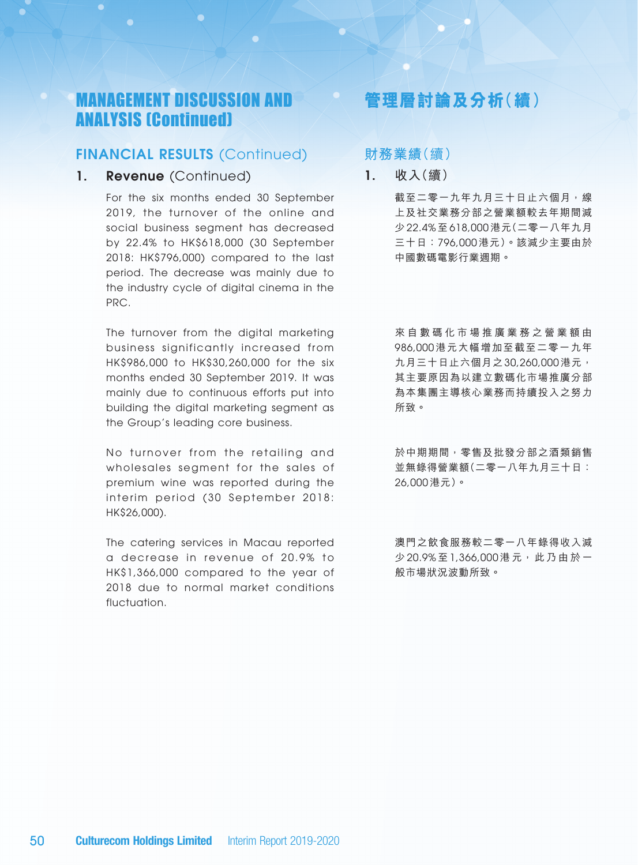## FINANCIAL RESULTS (Continued)

1. Revenue (Continued)

For the six months ended 30 September 2019, the turnover of the online and social business segment has decreased by 22.4% to HK\$618,000 (30 September 2018: HK\$796,000) compared to the last period. The decrease was mainly due to the industry cycle of digital cinema in the PRC.

The turnover from the digital marketing business significantly increased from HK\$986,000 to HK\$30,260,000 for the six months ended 30 September 2019. It was mainly due to continuous efforts put into building the digital marketing segment as the Group's leading core business.

No turnover from the retailing and wholesales segment for the sales of premium wine was reported during the interim period (30 September 2018: HK\$26,000).

The catering services in Macau reported a decrease in revenue of 20.9% to HK\$1,366,000 compared to the year of 2018 due to normal market conditions fluctuation.

# **管理層討論及分析(續)**

### **財務業績**(續)

1. **收入**(續)

截至二零一九年九月三十日止六個月,線 上及社交業務分部之營業額較去年期間減 少 22.4% 至 618,000 港元(二零一八年九月 三十日:796,000 港元)。該減少主要由於 中國數碼電影行業週期。

來 自 數 碼 化 市 場 推 廣 業 務 之 營 業 額 由 986,000 港元大幅增加至截至二零一九年 九月三十日止六個月之 30,260,000 港元, 其主要原因為以建立數碼化市場推廣分部 為本集團主導核心業務而持續投入之努力 所致。

於中期期間,零售及批發分部之酒類銷售 並無錄得營業額(二零一八年九月三十日: 26,000 港元)。

澳門之飲食服務較二零一八年錄得收入減 少 20.9%至 1,366,000 港元,此乃由於一 般市場狀況波動所致。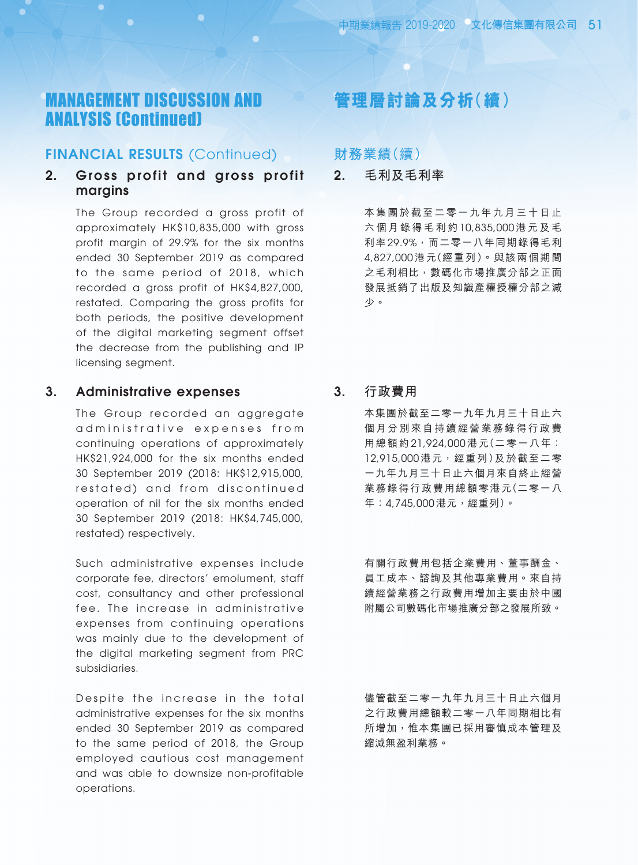### FINANCIAL RESULTS (Continued)

### 2. Gross profit and gross profit margins

The Group recorded a gross profit of approximately HK\$10,835,000 with gross profit margin of 29.9% for the six months ended 30 September 2019 as compared to the same period of 2018, which recorded a gross profit of HK\$4,827,000, restated. Comparing the gross profits for both periods, the positive development of the digital marketing segment offset the decrease from the publishing and IP licensing segment.

### 3. Administrative expenses

The Group recorded an aggregate ad ministrative expenses from continuing operations of approximately HK\$21,924,000 for the six months ended 30 September 2019 (2018: HK\$12,915,000, restated) and from discontinued operation of nil for the six months ended 30 September 2019 (2018: HK\$4,745,000, restated) respectively.

Such administrative expenses include corporate fee, directors' emolument, staff cost, consultancy and other professional fee. The increase in administrative expenses from continuing operations was mainly due to the development of the digital marketing segment from PRC subsidiaries.

Despite the increase in the total administrative expenses for the six months ended 30 September 2019 as compared to the same period of 2018, the Group employed cautious cost management and was able to downsize non-profitable operations.

# **管理層討論及分析(續)**

**財務業績**(續)

2. **毛利及毛利率**

本集團於截至二零一九年九月三十日止 六 個 月 錄 得 毛 利 約 10,835,000 港 元 及 毛 利率 29.9%,而二零一八年同期錄得毛利 4,827,000 港元(經重列)。與該兩個期間 之毛利相比,數碼化市場推廣分部之正面 發展抵銷了出版及知識產權授權分部之減 少。

3. **行政費用**

本集團於截至二零一九年九月三十日止六 個月分別來自持續經營業務錄得行政費 用總額約 21,924,000 港元(二零一八年: 12,915,000 港元,經重列)及於截至二零 一九年九月三十日止六個月來自終止經營 業務錄得行政費用總額零港元(二零一八 年:4,745,000 港元,經重列)。

有關行政費用包括企業費用、董事酬金、 員工成本、諮詢及其他專業費用。來自持 續經營業務之行政費用增加主要由於中國 附屬公司數碼化市場推廣分部之發展所致。

儘管截至二零一九年九月三十日止六個月 之行政費用總額較二零一八年同期相比有 所增加,惟本集團已採用審慎成本管理及 縮減無盈利業務。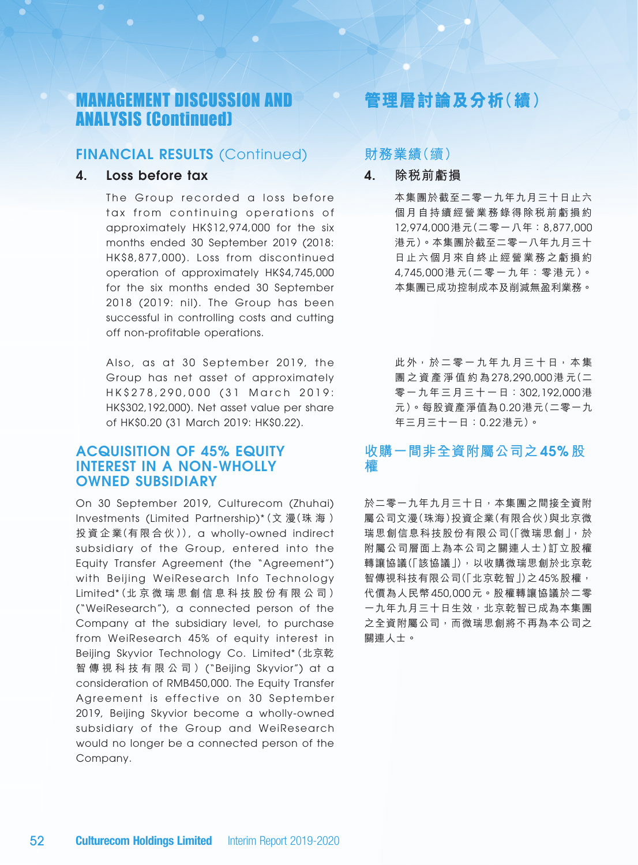### FINANCIAL RESULTS (Continued)

### 4. Loss before tax

The Group recorded a loss before tax from continuing operations of approximately HK\$12,974,000 for the six months ended 30 September 2019 (2018: HK\$8,877,000). Loss from discontinued operation of approximately HK\$4,745,000 for the six months ended 30 September 2018 (2019: nil). The Group has been successful in controlling costs and cutting off non-profitable operations.

Also, as at 30 September 2019, the Group has net asset of approximately HK\$ 278, 290, 000 (31 March 2019: HK\$302,192,000). Net asset value per share of HK\$0.20 (31 March 2019: HK\$0.22).

### ACQUISITION OF 45% EQUITY INTEREST IN A NON-WHOLLY OWNED SUBSIDIARY

On 30 September 2019, Culturecom (Zhuhai) Investments (Limited Partnership)\*(文 漫(珠 海 ) 投 資 企 業(有 限 合 伙 )), a wholly-owned indirect subsidiary of the Group, entered into the Equity Transfer Agreement (the "Agreement") with Beijing WeiResearch Info Technology Limited\*(北 京 微 瑞 思 創 信 息 科 技 股 份 有 限 公 司 ) ("WeiResearch"), a connected person of the Company at the subsidiary level, to purchase from WeiResearch 45% of equity interest in Beijing Skyvior Technology Co. Limited\*(北京乾 智 傳 視 科 技 有 限 公 司 ) ("Beijing Skyvior") at a consideration of RMB450,000. The Equity Transfer Agreement is effective on 30 September 2019, Beijing Skyvior become a wholly-owned subsidiary of the Group and WeiResearch would no longer be a connected person of the Company.

# **管理層討論及分析(續)**

### **財務業績**(續)

- 4. **除稅前虧損**
	- 本集團於截至二零一九年九月三十日止六 個月自持續經營業務錄得除稅前虧損約 12,974,000 港元(二零一八年 ﹕8,877,000 港元)。本集團於截至二零一八年九月三十 日止六個月來自終止經營業務之虧損約 4,745,000 港元(二零一九年:零港元)。 本集團已成功控制成本及削減無盈利業務。

此外,於二零一九年九月三十日,本集 團 之 資 產 淨 值 約 為 278,290,000 港 元(二 零一九年三月三十一日:302,192,000 港 元)。每股資產淨值為 0.20 港元(二零一九 年三月三十一日:0.22 港元)。

## **收購一間非全資附屬公司之** 45% **股 權**

於二零一九年九月三十日,本集團之間接全資附 屬公司文漫(珠海)投資企業(有限合伙)與北京微 瑞思創信息科技股份有限公司(「微瑞思創」,於 附屬公司層面上為本公司之關連人士)訂立股權 轉讓協議(「該協議」),以收購微瑞思創於北京乾 智傳視科技有限公司(「北京乾智」)之45% 股權, 代價為人民幣 450,000 元。股權轉讓協議於二零 一九年九月三十日生效,北京乾智已成為本集團 之全資附屬公司,而微瑞思創將不再為本公司之 關連人士。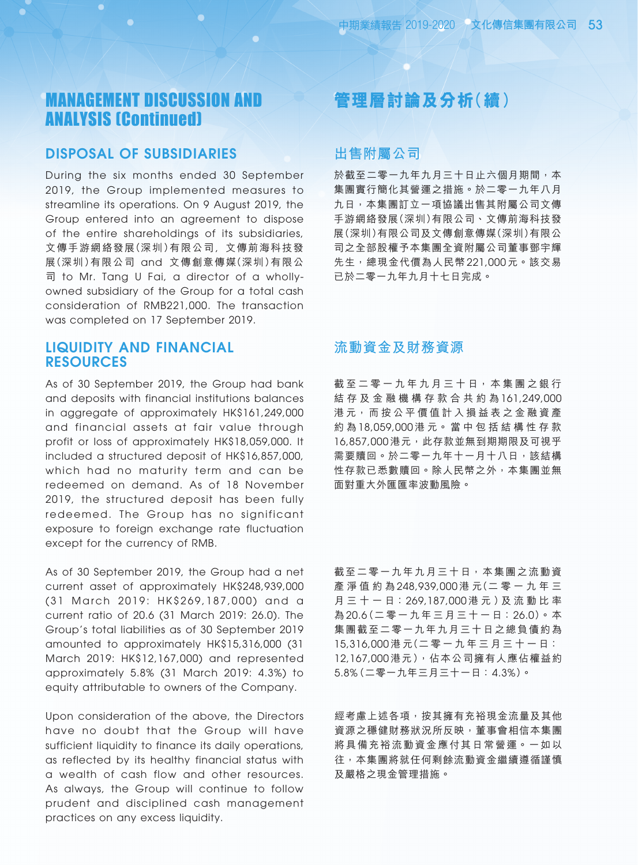### DISPOSAL OF SUBSIDIARIES

During the six months ended 30 September 2019, the Group implemented measures to streamline its operations. On 9 August 2019, the Group entered into an agreement to dispose of the entire shareholdings of its subsidiaries, 文傳手游網絡發展(深圳)有限公司, 文傳前海科技發 展(深圳)有限公司 and 文傳創意傳媒(深圳)有限公 司 to Mr. Tang U Fai, a director of a whollyowned subsidiary of the Group for a total cash consideration of RMB221,000. The transaction was completed on 17 September 2019.

## LIQUIDITY AND FINANCIAL RESOURCES

As of 30 September 2019, the Group had bank and deposits with financial institutions balances in aggregate of approximately HK\$161,249,000 and financial assets at fair value through profit or loss of approximately HK\$18,059,000. It included a structured deposit of HK\$16,857,000, which had no maturity term and can be redeemed on demand. As of 18 November 2019, the structured deposit has been fully redeemed. The Group has no significant exposure to foreign exchange rate fluctuation except for the currency of RMB.

As of 30 September 2019, the Group had a net current asset of approximately HK\$248,939,000 (31 March 2019: HK\$269,187,000) and a current ratio of 20.6 (31 March 2019: 26.0). The Group's total liabilities as of 30 September 2019 amounted to approximately HK\$15,316,000 (31 March 2019: HK\$12,167,000) and represented approximately 5.8% (31 March 2019: 4.3%) to equity attributable to owners of the Company.

Upon consideration of the above, the Directors have no doubt that the Group will have sufficient liquidity to finance its daily operations, as reflected by its healthy financial status with a wealth of cash flow and other resources. As always, the Group will continue to follow prudent and disciplined cash management practices on any excess liquidity.

# **管理層討論及分析(續)**

## **出售附屬公司**

於截至二零一九年九月三十日止六個月期間,本 集團實行簡化其營運之措施。於二零一九年八月 九日,本集團訂立一項協議出售其附屬公司文傳 手游網絡發展(深圳)有限公司、文傳前海科技發 展(深圳)有限公司及文傳創意傳媒(深圳)有限公 司之全部股權予本集團全資附屬公司董事鄧宇輝 先生,總現金代價為人民幣 221,000 元。該交易 已於二零一九年九月十七日完成。

## **流動資金及財務資源**

截 至 二 零 一 九 年 九 月 三 十 日 , 本 集 團 之 銀 行 結 存 及 金 融 機 構 存 款 合 共 約 為 161,249,000 港 元, 而 按 公 平 價 值 計 入 損 益 表 之 金 融 資 產 約 為 18,059,000 港 元。 當 中 包 括 結 構 性 存 款 16,857,000 港元,此存款並無到期期限及可視乎 需要贖回。於二零一九年十一月十八日,該結構 性存款已悉數贖回。除人民幣之外,本集團並無 面對重大外匯匯率波動風險。

截至二零一九年九月三十日,本集團之流動資 產 淨 值 約 為 248,939,000 港 元(二 零 一 九 年 三 月 三 十 一 日 ﹕269,187,000 港 元 )及 流 動 比 率 為 20.6(二零一九年三月三十一日 ﹕26.0)。本 集團截至二零一九年九月三十日之總負債約為 15,316,000 港 元(二 零 一 九 年 三 月 三 十 一 日 ﹕ 12,167,000 港元),佔本公司擁有人應佔權益約  $5.8\%$  (二零一九年三月三十一日: 4.3%)。

經考慮上述各項,按其擁有充裕現金流量及其他 資源之穩健財務狀況所反映,董事會相信本集團 將具備充裕流動資金應付其日常營運。一如以 往,本集團將就任何剩餘流動資金繼續遵循謹慎 及嚴格之現金管理措施。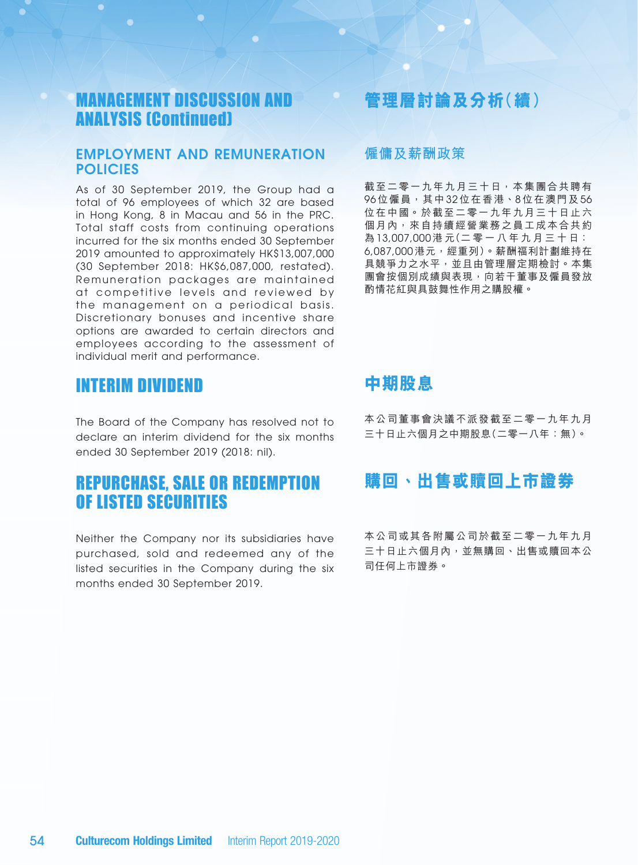### EMPLOYMENT AND REMUNERATION **POLICIES**

As of 30 September 2019, the Group had a total of 96 employees of which 32 are based in Hong Kong, 8 in Macau and 56 in the PRC. Total staff costs from continuing operations incurred for the six months ended 30 September 2019 amounted to approximately HK\$13,007,000 (30 September 2018: HK\$6,087,000, restated). Remuneration packages are maintained at competitive levels and reviewed by the management on a periodical basis. Discretionary bonuses and incentive share options are awarded to certain directors and employees according to the assessment of individual merit and performance.

## INTERIM DIVIDEND

The Board of the Company has resolved not to declare an interim dividend for the six months ended 30 September 2019 (2018: nil).

# REPURCHASE, SALE OR REDEMPTION OF LISTED SECURITIES

Neither the Company nor its subsidiaries have purchased, sold and redeemed any of the listed securities in the Company during the six months ended 30 September 2019.

# **管理層討論及分析(續)**

### **僱傭及薪酬政策**

截至二零一九年九月三十日,本集團合共聘有 96位僱員,其中 32 位在香港、8位在澳門及 56 位在中國。於截至二零一九年九月三十日止六 個月內,來自持續經營業務之員工成本合共約 為 13,007,000 港 元(二 零 一 八 年 九 月 三 十 日 ﹕ 6,087,000 港元,經重列)。薪酬福利計劃維持在 具競爭力之水平,並且由管理層定期檢討。本集 團會按個別成績與表現,向若干董事及僱員發放 酌情花紅與具鼓舞性作用之購股權。

## **中期股息**

本公司董事會決議不派發截至二零一九年九月 三十日止六個月之中期股息(二零一八年:無)。

## **購回、出售或贖回上市證券**

本公司或其各附屬公司於截至二零一九年九月 三十日止六個月內,並無購回、出售或贖回本公 司任何上市證券。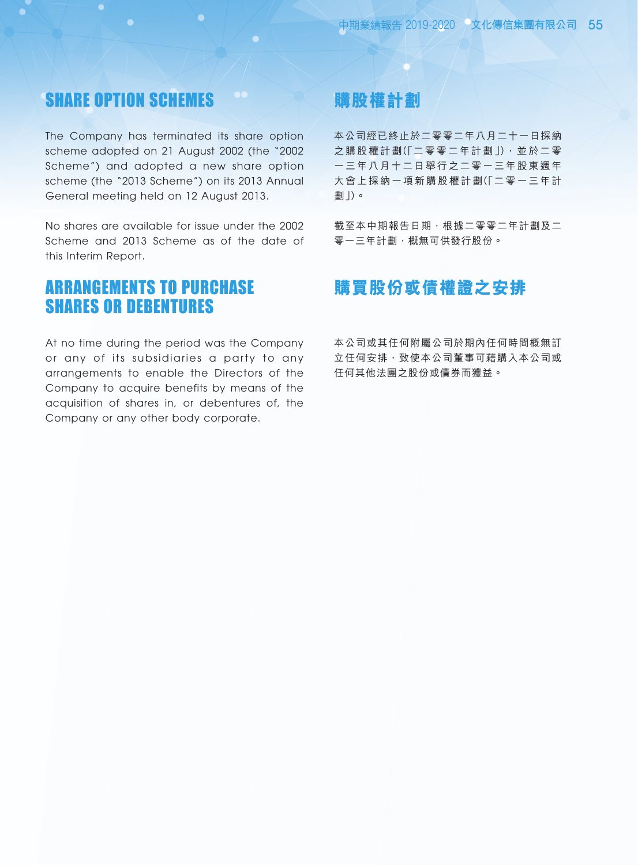## SHARE OPTION SCHEMES

The Company has terminated its share option scheme adopted on 21 August 2002 (the "2002 Scheme") and adopted a new share option scheme (the "2013 Scheme") on its 2013 Annual General meeting held on 12 August 2013.

No shares are available for issue under the 2002 Scheme and 2013 Scheme as of the date of this Interim Report.

## ARRANGEMENTS TO PURCHASE SHARES OR DEBENTURES

At no time during the period was the Company or any of its subsidiaries a party to any arrangements to enable the Directors of the Company to acquire benefits by means of the acquisition of shares in, or debentures of, the Company or any other body corporate.

# **購股權計劃**

本公司經已終止於二零零二年八月二十一日採納 之購股權計劃(「二零零二年計劃」),並於二零 一三年八月十二日舉行之二零一三年股東週年 大會上採納一項新購股權計劃(「二零一三年計 劃」)。

截至本中期報告日期,根據二零零二年計劃及二 零一三年計劃,概無可供發行股份。

# **購買股份或債權證之安排**

本公司或其任何附屬公司於期內任何時間概無訂 立任何安排,致使本公司董事可藉購入本公司或 任何其他法團之股份或債券而獲益。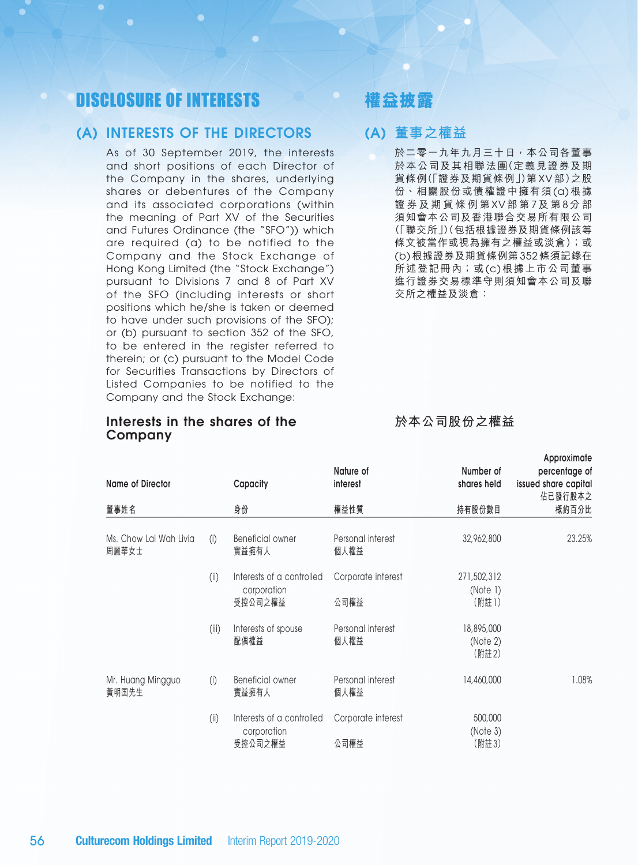# DISCLOSURE OF INTERESTS

### (A) INTERESTS OF THE DIRECTORS

As of 30 September 2019, the interests and short positions of each Director of the Company in the shares, underlying shares or debentures of the Company and its associated corporations (within the meaning of Part XV of the Securities and Futures Ordinance (the "SFO")) which are required (a) to be notified to the Company and the Stock Exchange of Hong Kong Limited (the "Stock Exchange") pursuant to Divisions 7 and 8 of Part XV of the SFO (including interests or short positions which he/she is taken or deemed to have under such provisions of the SFO); or (b) pursuant to section 352 of the SFO, to be entered in the register referred to therein; or (c) pursuant to the Model Code for Securities Transactions by Directors of Listed Companies to be notified to the Company and the Stock Exchange:

### Interests in the shares of the Company

**權益披露**

## (A) **董事之權益**

於二零一九年九月三十日,本公司各董事 於本公司及其相聯法團(定義見證券及期 貨條例(「證券及期貨條例」)第 XV 部)之股 份、相關股份或債權證中擁有須 (a) 根據 證 券 及 期 貨 條 例 第 XV 部 第 7 及 第 8 分 部 須知會本公司及香港聯合交易所有限公司 (「聯交所」)(包括根據證券及期貨條例該等 條文被當作或視為擁有之權益或淡倉);或 (b) 根據證券及期貨條例第 352 條須記錄在 所述登記冊內;或(c) 根據上市公司董事 進行證券交易標準守則須知會本公司及聯 交所之權益及淡倉:

**於本公司股份之權益**

**Approximate** 

| <b>Name of Director</b>         |       | Capacity                                            | Nature of<br>interest      | Number of<br>shares held         | <b><i>INPROVISION</i></b><br>percentage of<br>issued share capital<br>佔已發行股本之 |
|---------------------------------|-------|-----------------------------------------------------|----------------------------|----------------------------------|-------------------------------------------------------------------------------|
| 董事姓名                            |       | 身份                                                  | 權益性質                       | 持有股份數目                           | 概約百分比                                                                         |
| Ms. Chow Lai Wah Livia<br>周麗華女士 | (i)   | Beneficial owner<br>實益擁有人                           | Personal interest<br>個人權益  | 32,962,800                       | 23.25%                                                                        |
|                                 | (i)   | Interests of a controlled<br>corporation<br>受控公司之權益 | Corporate interest<br>公司權益 | 271,502,312<br>(Note 1)<br>(附註1) |                                                                               |
|                                 | (iii) | Interests of spouse<br>配偶權益                         | Personal interest<br>個人權益  | 18,895,000<br>(Note 2)<br>(附註2)  |                                                                               |
| Mr. Huang Mingguo<br>黃明国先生      | (i)   | Beneficial owner<br>實益擁有人                           | Personal interest<br>個人權益  | 14,460,000                       | 1.08%                                                                         |
|                                 | (i)   | Interests of a controlled<br>corporation<br>受控公司之權益 | Corporate interest<br>公司權益 | 500,000<br>(Note 3)<br>(附註3)     |                                                                               |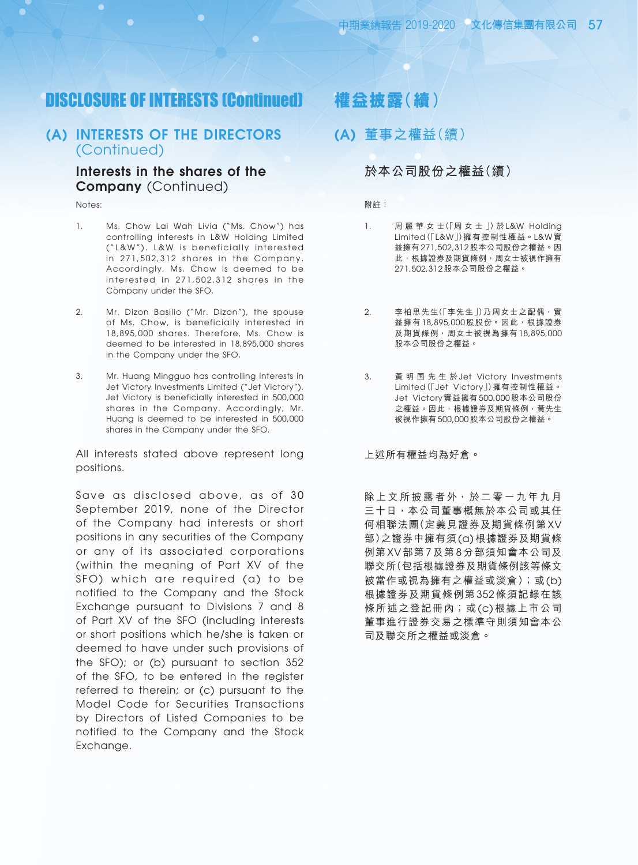## DISCLOSURE OF INTERESTS (Continued)

### (A) INTERESTS OF THE DIRECTORS (Continued)

### Interests in the shares of the Company (Continued)

Notes:

- 1. Ms. Chow Lai Wah Livia ("Ms. Chow") has controlling interests in L&W Holding Limited ("L&W"). L&W is beneficially interested in 271,502,312 shares in the Company. Accordingly, Ms. Chow is deemed to be interested in 271,502,312 shares in the Company under the SFO.
- 2. Mr. Dizon Basilio ("Mr. Dizon"), the spouse of Ms. Chow, is beneficially interested in 18,895,000 shares. Therefore, Ms. Chow is deemed to be interested in 18,895,000 shares in the Company under the SFO.
- 3. Mr. Huang Mingguo has controlling interests in Jet Victory Investments Limited ("Jet Victory"). Jet Victory is beneficially interested in 500,000 shares in the Company. Accordingly, Mr. Huang is deemed to be interested in 500,000 shares in the Company under the SFO.

All interests stated above represent long positions.

Save as disclosed above, as of 30 September 2019, none of the Director of the Company had interests or short positions in any securities of the Company or any of its associated corporations (within the meaning of Part XV of the SFO) which are required (a) to be notified to the Company and the Stock Exchange pursuant to Divisions 7 and 8 of Part XV of the SFO (including interests or short positions which he/she is taken or deemed to have under such provisions of the SFO); or (b) pursuant to section 352 of the SFO, to be entered in the register referred to therein; or (c) pursuant to the Model Code for Securities Transactions by Directors of Listed Companies to be notified to the Company and the Stock Exchange.

## **權益披露(續)**

(A) **董事之權益**(續)

### **於本公司股份之權益**(續)

附註:

- 1. 周 麗 華 女 士(「周 女 士 」) 於 L&W Holding Limited(「L&W」)擁有控制性權益。L&W 實 益擁有 271,502,312 股本公司股份之權益。因 此,根據證券及期貨條例,周女士被視作擁有 271,502,312 股本公司股份之權益。
- 2. 李柏思先生(「李先生」)乃周女士之配偶,實 益擁有 18,895,000 股股份。因此,根據證券 及期貨條例,周女士被視為擁有 18,895,000 股本公司股份之權益。
- 3. 黃 明 国 先 生 於 Jet Victory Investments Limited(「Jet Victory」)擁有控制性權益。 Jet Victory 實益擁有 500,000 股本公司股份 之權益。因此,根據證券及期貨條例,黃先生 被視作擁有 500,000 股本公司股份之權益。

上述所有權益均為好倉。

除上文所披露者外,於二零一九年九月 三十日,本公司董事概無於本公司或其任 何相聯法團(定義見證券及期貨條例第 XV 部)之證券中擁有須 (a) 根據證券及期貨條 例第 XV 部第 7 及第 8 分部須知會本公司及 聯交所(包括根據證券及期貨條例該等條文 被當作或視為擁有之權益或淡倉);或 (b) 根據證券及期貨條例第 352 條須記錄在該 條所述之登記冊內;或 (c) 根據上市公司 董事進行證券交易之標準守則須知會本公 司及聯交所之權益或淡倉。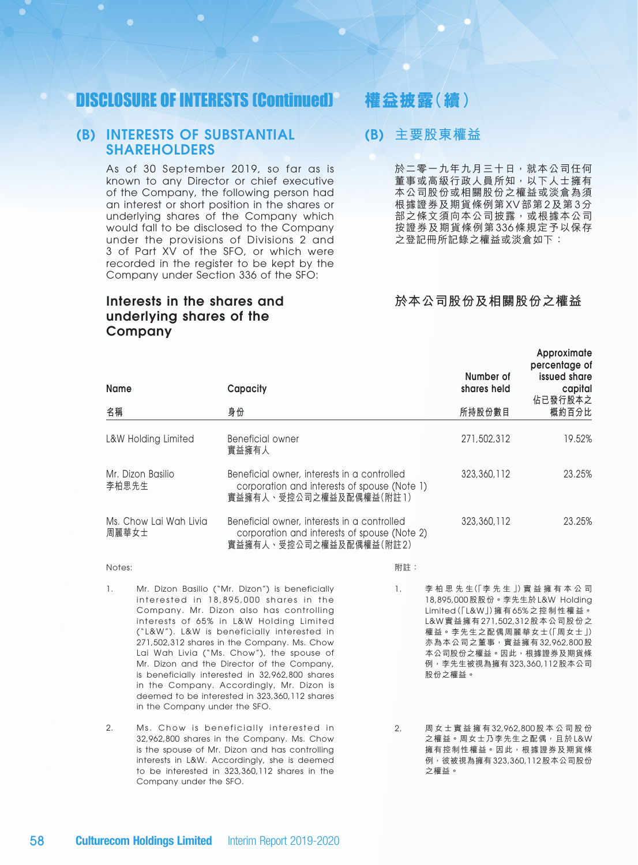# DISCLOSURE OF INTERESTS (Continued)

### (B) INTERESTS OF SUBSTANTIAL SHAREHOLDERS

As of 30 September 2019, so far as is known to any Director or chief executive of the Company, the following person had an interest or short position in the shares or underlying shares of the Company which would fall to be disclosed to the Company under the provisions of Divisions 2 and 3 of Part XV of the SFO, or which were recorded in the register to be kept by the Company under Section 336 of the SFO:

### Interests in the shares and underlying shares of the **Company**

# **權益披露(續)**

### (B) **主要股東權益**

於二零一九年九月三十日,就本公司任何 董事或高級行政人員所知,以下人士擁有 本公司股份或相關股份之權益或淡倉為須 根據證券及期貨條例第 XV 部第 2 及第 3 分 部之條文須向本公司披露,或根據本公司 按證券及期貨條例第 336 條規定予以保存 之登記冊所記錄之權益或淡倉如下:

### **於本公司股份及相關股份之權益**

| Name                            | Capacity                                                                                                               | Number of<br>shares held | Approximate<br>percentage of<br>issued share<br>capital<br>佔已發行股本之 |
|---------------------------------|------------------------------------------------------------------------------------------------------------------------|--------------------------|--------------------------------------------------------------------|
| 名稱                              | 身份                                                                                                                     | 所持股份數目                   | 概約百分比                                                              |
| L&W Holding Limited             | Beneficial owner<br>實益擁有人                                                                                              | 271,502,312              | 19.52%                                                             |
| Mr. Dizon Basilio<br>李柏思先生      | Beneficial owner, interests in a controlled<br>corporation and interests of spouse (Note 1)<br>實益擁有人、受控公司之權益及配偶權益(附註1) | 323,360,112              | 23.25%                                                             |
| Ms. Chow Lai Wah Livia<br>周麗華女士 | Beneficial owner, interests in a controlled<br>corporation and interests of spouse (Note 2)<br>實益擁有人、受控公司之權益及配偶權益(附註2) | 323,360,112              | 23.25%                                                             |

1. Mr. Dizon Basilio ("Mr. Dizon") is beneficially interested in 18,895,000 shares in the Company. Mr. Dizon also has controlling interests of 65% in L&W Holding Limited ("L&W"). L&W is beneficially interested in 271,502,312 shares in the Company. Ms. Chow Lai Wah Livia ("Ms. Chow"), the spouse of Mr. Dizon and the Director of the Company, is beneficially interested in 32,962,800 shares in the Company. Accordingly, Mr. Dizon is deemed to be interested in 323,360,112 shares in the Company under the SFO.

Notes:

2. Ms. Chow is beneficially interested in 32,962,800 shares in the Company. Ms. Chow is the spouse of Mr. Dizon and has controlling interests in L&W. Accordingly, she is deemed to be interested in 323,360,112 shares in the Company under the SFO.

1. 李 柏 思 先 生(「李 先 生 」)實 益 擁 有 本 公 司

附註:

- 18,895,000 股股份。李先生於 L&W Holding Limited(「L&W」)擁有 65% 之控制性權益。 L&W 實益擁有 271,502,312 股本公司股份之 權益。李先生之配偶周麗華女士(「周女士」) 亦為本公司之董事,實益擁有 32,962,800 股 本公司股份之權益。因此,根據證券及期貨條 例,李先生被視為擁有 323,360,112 股本公司 股份之權益。
- 2. 周 女 士 實 益 擁 有 32,962,800 股 本 公 司 股 份 之權益。周女士乃李先生之配偶,且於 L&W 擁有控制性權益。因此,根據證券及期貨條 例,彼被視為擁有 323,360,112 股本公司股份 之權益。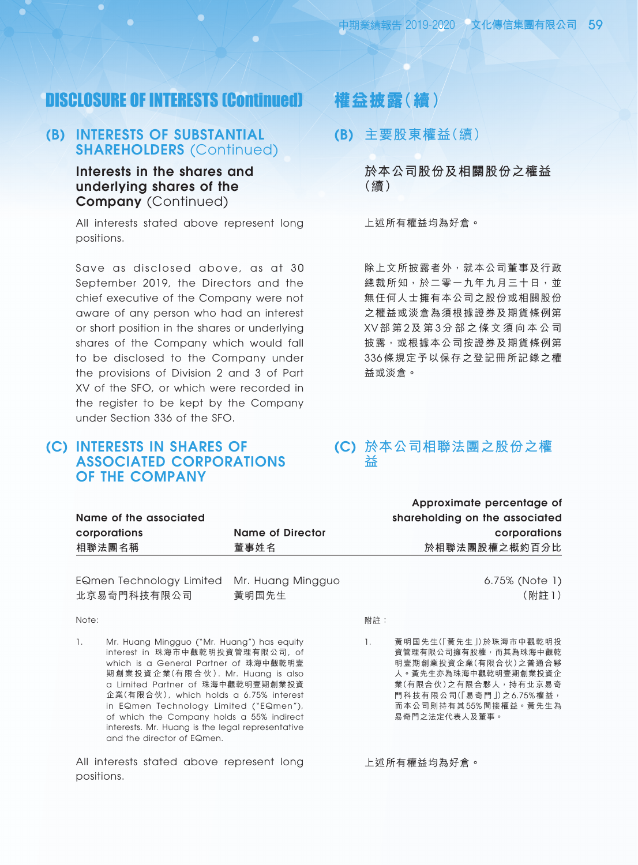## DISCLOSURE OF INTERESTS (Continued)

## (B) INTERESTS OF SUBSTANTIAL SHAREHOLDERS (Continued)

Interests in the shares and underlying shares of the Company (Continued)

All interests stated above represent long positions.

Save as disclosed above, as at 30 September 2019, the Directors and the chief executive of the Company were not aware of any person who had an interest or short position in the shares or underlying shares of the Company which would fall to be disclosed to the Company under the provisions of Division 2 and 3 of Part XV of the SFO, or which were recorded in the register to be kept by the Company under Section 336 of the SFO.

## (c) Interests in shares of associated corporations of the Company

# **權益披露(續)**

(B) **主要股東權益**(續)

**於本公司股份及相關股份之權益** (續)

上述所有權益均為好倉。

除上文所披露者外,就本公司董事及行政 總裁所知,於二零一九年九月三十日,並 無任何人士擁有本公司之股份或相關股份 之權益或淡倉為須根據證券及期貨條例第 XV 部 第 2 及 第 3 分 部 之 條 文 須 向 本 公 司 披露,或根據本公司按證券及期貨條例第 336 條規定予以保存之登記冊所記錄之權 益或淡倉。

### (C) **於本公司相聯法團之股份之權 益**

|                        |                  | Approximate percentage of      |
|------------------------|------------------|--------------------------------|
| Name of the associated |                  | shareholding on the associated |
| corporations           | Name of Director | corporations                   |
| 相聯法團名稱                 | 董事姓名             | 於相聯法團股權之概約百分比                  |
|                        |                  |                                |

EQmen Technology Limited Mr. Huang Mingguo 北京易奇門科技有限公司

黃明國先生

#### Note:

1. Mr. Huang Mingguo ("Mr. Huang") has equity interest in 珠海市中觀乾明投資管理有限公司, of which is a General Partner of 珠海中觀乾明壹 期 創 業 投 資 企 業(有 限 合 伙 ). Mr. Huang is also a Limited Partner of 珠海中觀乾明壹期創業投資 企業(有限合伙), which holds a 6.75% interest in EQmen Technology Limited ("EQmen"), of which the Company holds a 55% indirect interests. Mr. Huang is the legal representative and the director of EQmen.

All interests stated above represent long positions.

6.75% (Note 1)

(附註 1)

附註:

1. 黃明国先生(「黃先生」)於珠海市中觀乾明投 資管理有限公司擁有股權,而其為珠海中觀乾 明壹期創業投資企業(有限合伙)之普通合夥 人。黃先生亦為珠海中觀乾明壹期創業投資企 業(有限合伙)之有限合夥人,持有北京易奇 門科技有限公司(「易奇門」)之 6.75% 權益, 而本公司則持有其 55% 間接權益。黃先生為 易奇門之法定代表人及董事。

上述所有權益均為好倉。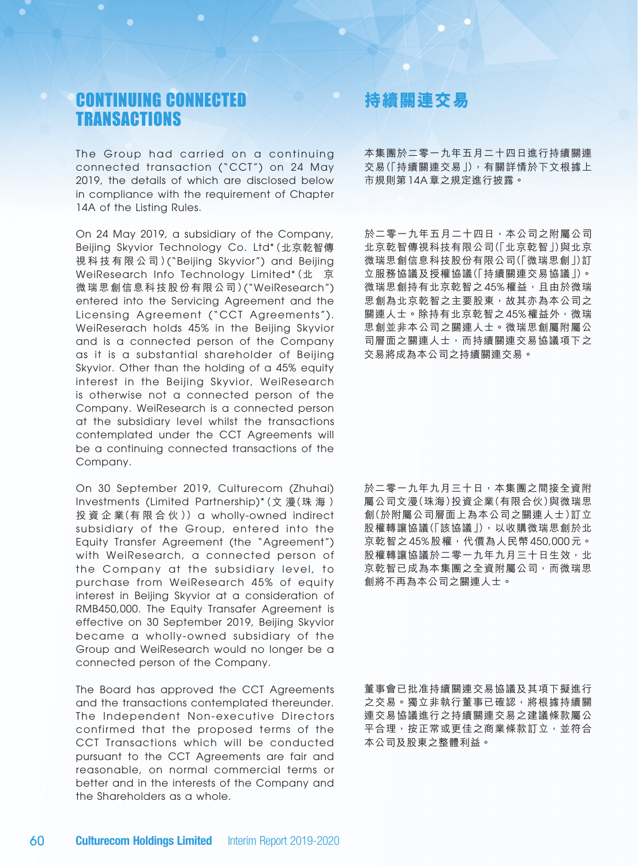# CONTINUING CONNECTED **TRANSACTIONS**

The Group had carried on a continuing connected transaction ("CCT") on 24 May 2019, the details of which are disclosed below in compliance with the requirement of Chapter 14A of the Listing Rules.

On 24 May 2019, a subsidiary of the Company, Beijing Skyvior Technology Co. Ltd\*(北京乾智傳 視 科 技 有 限 公 司 )("Beijing Skyvior") and Beijing WeiResearch Info Technology Limited\*(北京 微瑞思創信息科技股份有限公司)("WeiResearch") entered into the Servicing Agreement and the Licensing Agreement ("CCT Agreements"). WeiReserach holds 45% in the Beijing Skyvior and is a connected person of the Company as it is a substantial shareholder of Beijing Skyvior. Other than the holding of a 45% equity interest in the Beijing Skyvior, WeiResearch is otherwise not a connected person of the Company. WeiResearch is a connected person at the subsidiary level whilst the transactions contemplated under the CCT Agreements will be a continuing connected transactions of the Company.

On 30 September 2019, Culturecom (Zhuhai) Investments (Limited Partnership)\*(文 漫(珠 海 ) 投 資 企 業(有 限 合 伙 )) a wholly-owned indirect subsidiary of the Group, entered into the Equity Transfer Agreement (the "Agreement") with WeiResearch, a connected person of the Company at the subsidiary level, to purchase from WeiResearch 45% of equity interest in Beijing Skyvior at a consideration of RMB450,000. The Equity Transafer Agreement is effective on 30 September 2019, Beijing Skyvior became a wholly-owned subsidiary of the Group and WeiResearch would no longer be a connected person of the Company.

The Board has approved the CCT Agreements and the transactions contemplated thereunder. The Independent Non-executive Directors confirmed that the proposed terms of the CCT Transactions which will be conducted pursuant to the CCT Agreements are fair and reasonable, on normal commercial terms or better and in the interests of the Company and the Shareholders as a whole.

# **持續關連交易**

本集團於二零一九年五月二十四日進行持續關連 交易(「持續關連交易」),有關詳情於下文根據上 市規則第 14A 章之規定進行披露。

於二零一九年五月二十四日,本公司之附屬公司 北京乾智傳視科技有限公司(「北京乾智」)與北京 微瑞思創信息科技股份有限公司(「微瑞思創」)訂 立服務協議及授權協議(「持續關連交易協議」)。 微瑞思創持有北京乾智之45%權益,且由於微瑞 思創為北京乾智之主要股東,故其亦為本公司之 關連人士。除持有北京乾智之45%權益外,微瑞 思創並非本公司之關連人士。微瑞思創屬附屬公 司層面之關連人士,而持續關連交易協議項下之 交易將成為本公司之持續關連交易。

於二零一九年九月三十日,本集團之間接全資附 屬公司文漫(珠海)投資企業(有限合伙)與微瑞思 創(於附屬公司層面上為本公司之關連人士)訂立 股權轉讓協議(「該協議」),以收購微瑞思創於北 京乾智之 45% 股權,代價為人民幣 450,000 元。 股權轉讓協議於二零一九年九月三十日生效,北 京乾智已成為本集團之全資附屬公司,而微瑞思 創將不再為本公司之關連人士。

董事會已批准持續關連交易協議及其項下擬進行 之交易。獨立非執行董事已確認,將根據持續關 連交易協議進行之持續關連交易之建議條款屬公 平合理,按正常或更佳之商業條款訂立,並符合 本公司及股東之整體利益。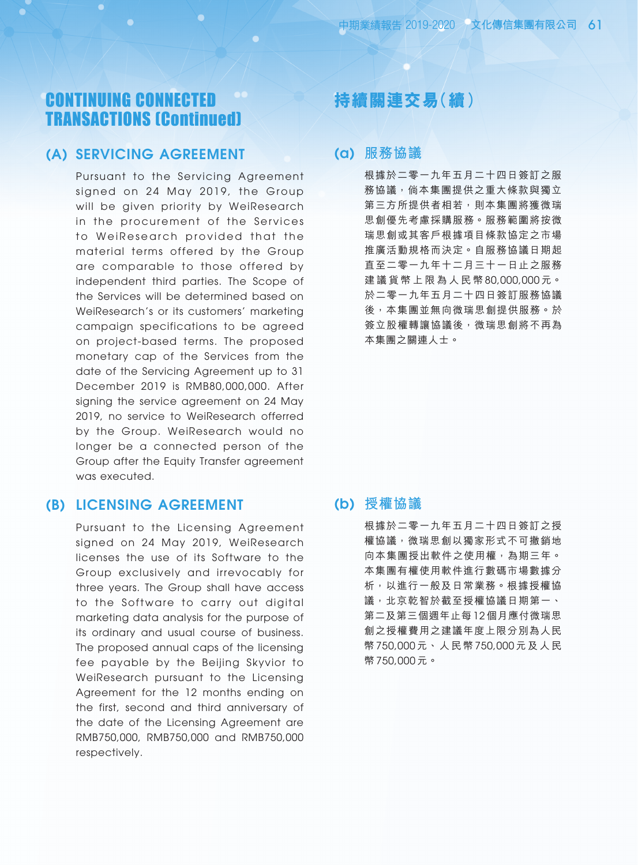# CONTINUING CONNECTED TRANSACTIONS (Continued)

### (a) Servicing Agreement

Pursuant to the Servicing Agreement signed on 24 May 2019, the Group will be given priority by WeiResearch in the procurement of the Services to WeiResearch provided that the material terms offered by the Group are comparable to those offered by independent third parties. The Scope of the Services will be determined based on WeiResearch's or its customers' marketing campaign specifications to be agreed on project-based terms. The proposed monetary cap of the Services from the date of the Servicing Agreement up to 31 December 2019 is RMB80,000,000. After signing the service agreement on 24 May 2019, no service to WeiResearch offerred by the Group. WeiResearch would no longer be a connected person of the Group after the Equity Transfer agreement was executed.

### (b) Licensing Agreement

Pursuant to the Licensing Agreement signed on 24 May 2019, WeiResearch licenses the use of its Software to the Group exclusively and irrevocably for three years. The Group shall have access to the Software to carry out digital marketing data analysis for the purpose of its ordinary and usual course of business. The proposed annual caps of the licensing fee payable by the Beijing Skyvior to WeiResearch pursuant to the Licensing Agreement for the 12 months ending on the first, second and third anniversary of the date of the Licensing Agreement are RMB750,000, RMB750,000 and RMB750,000 respectively.

# **持續關連交易(續)**

### (a) **服務協議**

根據於二零一九年五月二十四日簽訂之服 務協議,倘本集團提供之重大條款與獨立 第三方所提供者相若,則本集團將獲微瑞 思創優先考慮採購服務。服務範圍將按微 瑞思創或其客戶根據項目條款協定之市場 推廣活動規格而決定。自服務協議日期起 直至二零一九年十二月三十一日止之服務 建 議 貨 幣 上 限 為 人 民 幣 80,000,000 元。 於二零一九年五月二十四日簽訂服務協議 後,本集團並無向微瑞思創提供服務。於 簽立股權轉讓協議後,微瑞思創將不再為 本集團之關連人士。

### (b) **授權協議**

根據於二零一九年五月二十四日簽訂之授 權協議,微瑞思創以獨家形式不可撤銷地 向本集團授出軟件之使用權,為期三年。 本集團有權使用軟件進行數碼市場數據分 析,以進行一般及日常業務。根據授權協 議,北京乾智於截至授權協議日期第一、 第二及第三個週年止每 12 個月應付微瑞思 創之授權費用之建議年度上限分別為人民 幣 750,000 元、人民幣 750,000 元及 人民 幣 750,000 元。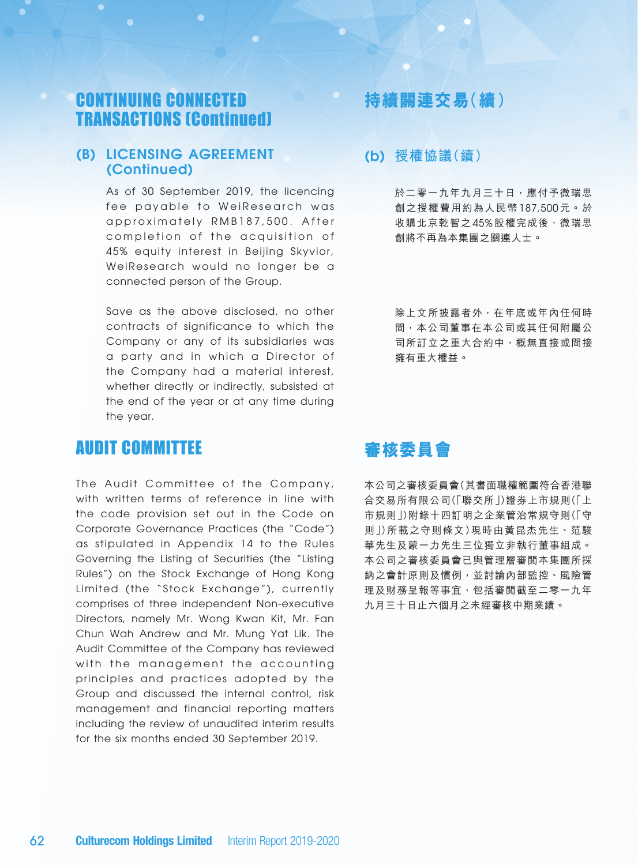# CONTINUING CONNECTED TRANSACTIONS (Continued)

### (b) Licensing Agreement (Continued)

As of 30 September 2019, the licencing fee payable to WeiResearch was approximately RMB187,500. After completion of the acquisition of 45% equity interest in Beijing Skyvior, WeiResearch would no longer be a connected person of the Group.

Save as the above disclosed, no other contracts of significance to which the Company or any of its subsidiaries was a party and in which a Director of the Company had a material interest, whether directly or indirectly, subsisted at the end of the year or at any time during the year.

# AUDIT COMMITTEE

The Audit Committee of the Company, with written terms of reference in line with the code provision set out in the Code on Corporate Governance Practices (the "Code") as stipulated in Appendix 14 to the Rules Governing the Listing of Securities (the "Listing Rules") on the Stock Exchange of Hong Kong Limited (the "Stock Exchange"), currently comprises of three independent Non-executive Directors, namely Mr. Wong Kwan Kit, Mr. Fan Chun Wah Andrew and Mr. Mung Yat Lik. The Audit Committee of the Company has reviewed with the management the accounting principles and practices adopted by the Group and discussed the internal control, risk management and financial reporting matters including the review of unaudited interim results for the six months ended 30 September 2019.

## **持續關連交易(續)**

### (b) **授權協議(續)**

於二零一九年九月三十日,應付予微瑞思 創之授權費用約為人民幣 187,500 元。於 收購北京乾智之45% 股權完成後, 微瑞思 創將不再為本集團之關連人士。

除上文所披露者外,在年底或年內任何時 間,本公司董事在本公司或其任何附屬公 司所訂立之重大合約中,概無直接或間接 擁有重大權益。

# **審核委員會**

本公司之審核委員會(其書面職權範圍符合香港聯 合交易所有限公司(「聯交所」)證券上市規則(「上 市規則」)附錄十四訂明之企業管治常規守則(「守 則」)所載之守則條文)現時由黃昆杰先生、范駿 華先生及蒙一力先生三位獨立非執行董事組成。 本公司之審核委員會已與管理層審閱本集團所採 納之會計原則及慣例,並討論內部監控、風險管 理及財務呈報等事宜,包括審閲截至二零一九年 九月三十日止六個月之未經審核中期業績。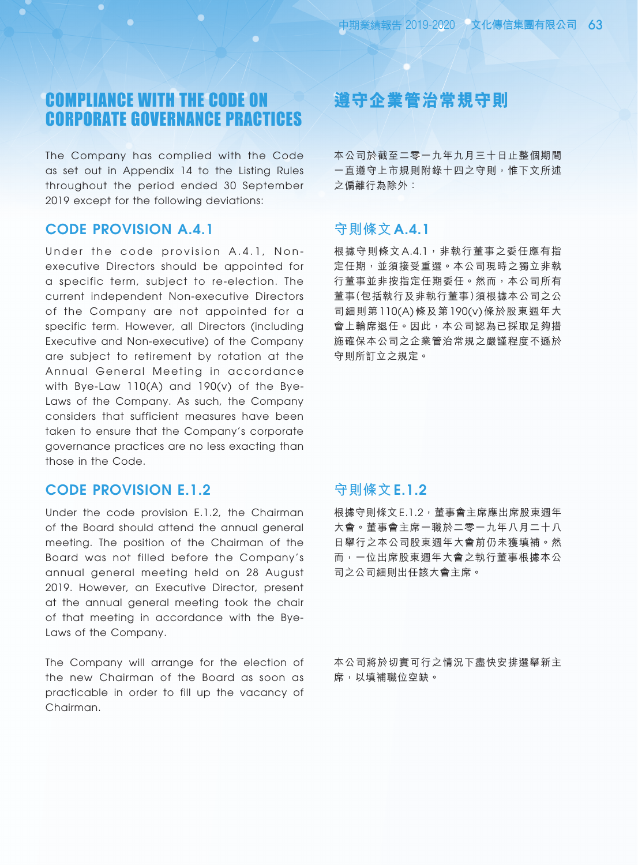# COMPLIANCE WITH THE CODE ON CORPORATE GOVERNANCE PRACTICES

The Company has complied with the Code as set out in Appendix 14 to the Listing Rules throughout the period ended 30 September 2019 except for the following deviations:

### Code Provision A.4.1

Under the code provision A.4.1, Nonexecutive Directors should be appointed for a specific term, subject to re-election. The current independent Non-executive Directors of the Company are not appointed for a specific term. However, all Directors (including Executive and Non-executive) of the Company are subject to retirement by rotation at the Annual General Meeting in accordance with Bye-Law 110(A) and 190(v) of the Bye-Laws of the Company. As such, the Company considers that sufficient measures have been taken to ensure that the Company's corporate governance practices are no less exacting than those in the Code.

## Code Provision E.1.2

Under the code provision E.1.2, the Chairman of the Board should attend the annual general meeting. The position of the Chairman of the Board was not filled before the Company's annual general meeting held on 28 August 2019. However, an Executive Director, present at the annual general meeting took the chair of that meeting in accordance with the Bye-Laws of the Company.

The Company will arrange for the election of the new Chairman of the Board as soon as practicable in order to fill up the vacancy of Chairman.

# **遵守企業管治常規守則**

本公司於截至二零一九年九月三十日止整個期間 一直遵守上市規則附錄十四之守則,惟下文所述 之偏離行為除外:

## **守則條文** A.4.1

根據守則條文 A.4.1, 非執行董事之委任應有指 定任期,並須接受重選。本公司現時之獨立非執 行董事並非按指定任期委任。然而,本公司所有 董事(包括執行及非執行董事)須根據本公司之公 司細則第 110(A) 條及第 190(v) 條於股東週年大 會上輪席退任。因此,本公司認為已採取足夠措 施確保本公司之企業管治常規之嚴謹程度不遜於 守則所訂立之規定。

### **守則條文** E.1.2

根據守則條文 E.1.2, 董事會主席應出席股東週年 大會。董事會主席一職於二零一九年八月二十八 日舉行之本公司股東週年大會前仍未獲填補。然 而,一位出席股東週年大會之執行董事根據本公 司之公司細則出任該大會主席。

本公司將於切實可行之情況下盡快安排選舉新主 席,以填補職位空缺。